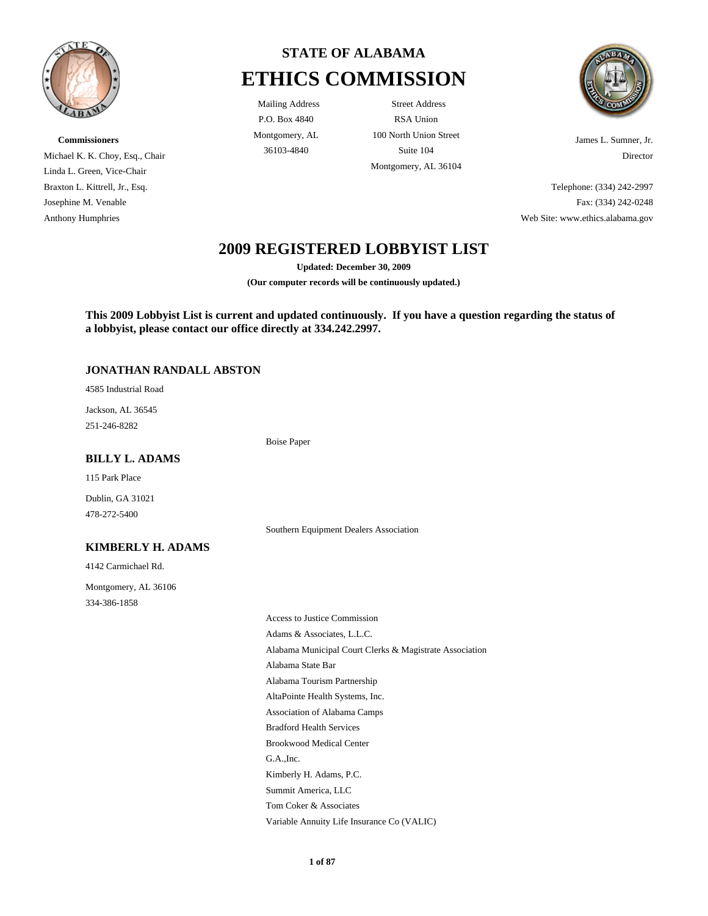

**Commissioners** Michael K. K. Choy, Esq., Chair Linda L. Green, Vice-Chair Braxton L. Kittrell, Jr., Esq. Josephine M. Venable Anthony Humphries

# **STATE OF ALABAMA ETHICS COMMISSION**

P.O. Box 4840 Montgomery, AL

Mailing Address Street Address RSA Union 100 North Union Street 36103-4840 Suite 104 Montgomery, AL 36104



James L. Sumner, Jr. Director

Telephone: (334) 242-2997 Fax: (334) 242-0248 Web Site: www.ethics.alabama.gov

## **2009 REGISTERED LOBBYIST LIST**

**Updated: December 30, 2009**

**(Our computer records will be continuously updated.)**

**This 2009 Lobbyist List is current and updated continuously. If you have a question regarding the status of a lobbyist, please contact our office directly at 334.242.2997.**

Southern Equipment Dealers Association

### **JONATHAN RANDALL ABSTON**

4585 Industrial Road

251-246-8282 Jackson, AL 36545

Boise Paper

### **BILLY L. ADAMS**

115 Park Place

478-272-5400 Dublin, GA 31021

### **KIMBERLY H. ADAMS**

4142 Carmichael Rd.

334-386-1858 Montgomery, AL 36106

> Variable Annuity Life Insurance Co (VALIC) Alabama State Bar Alabama Tourism Partnership AltaPointe Health Systems, Inc. Access to Justice Commission Adams & Associates, L.L.C. Alabama Municipal Court Clerks & Magistrate Association Association of Alabama Camps Kimberly H. Adams, P.C. Summit America, LLC Tom Coker & Associates Bradford Health Services Brookwood Medical Center G.A.,Inc.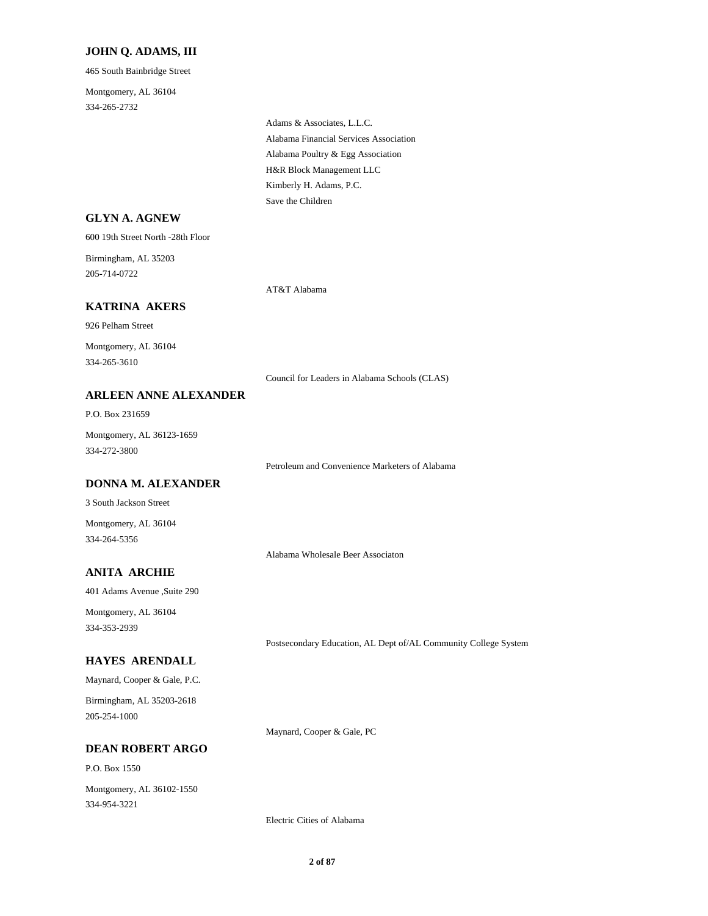### **JOHN Q. ADAMS, III**

465 South Bainbridge Street

334-265-2732 Montgomery, AL 36104

> Alabama Poultry & Egg Association Alabama Financial Services Association Adams & Associates, L.L.C. Save the Children Kimberly H. Adams, P.C. H&R Block Management LLC

| <b>GLYN A. AGNEW</b>                      |                                                                 |
|-------------------------------------------|-----------------------------------------------------------------|
| 600 19th Street North -28th Floor         |                                                                 |
| Birmingham, AL 35203<br>205-714-0722      |                                                                 |
|                                           | AT&T Alabama                                                    |
| <b>KATRINA AKERS</b>                      |                                                                 |
| 926 Pelham Street                         |                                                                 |
| Montgomery, AL 36104<br>334-265-3610      |                                                                 |
|                                           | Council for Leaders in Alabama Schools (CLAS)                   |
| <b>ARLEEN ANNE ALEXANDER</b>              |                                                                 |
| P.O. Box 231659                           |                                                                 |
| Montgomery, AL 36123-1659<br>334-272-3800 |                                                                 |
|                                           | Petroleum and Convenience Marketers of Alabama                  |
| <b>DONNA M. ALEXANDER</b>                 |                                                                 |
| 3 South Jackson Street                    |                                                                 |
| Montgomery, AL 36104<br>334-264-5356      |                                                                 |
|                                           | Alabama Wholesale Beer Associaton                               |
| <b>ANITA ARCHIE</b>                       |                                                                 |
| 401 Adams Avenue ,Suite 290               |                                                                 |
| Montgomery, AL 36104<br>334-353-2939      |                                                                 |
|                                           | Postsecondary Education, AL Dept of/AL Community College System |
| <b>HAYES ARENDALL</b>                     |                                                                 |
| Maynard, Cooper & Gale, P.C.              |                                                                 |
| Birmingham, AL 35203-2618<br>205-254-1000 |                                                                 |
|                                           | Maynard, Cooper & Gale, PC                                      |
| <b>DEAN ROBERT ARGO</b>                   |                                                                 |
| P.O. Box 1550                             |                                                                 |
| Montgomery, AL 36102-1550<br>334-954-3221 |                                                                 |

Electric Cities of Alabama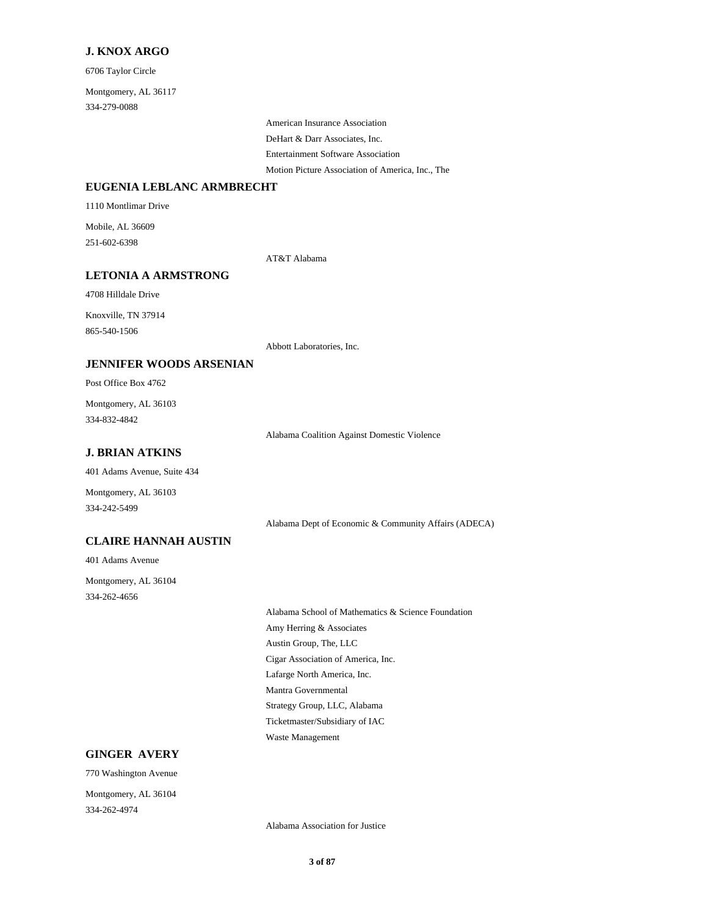#### **J. KNOX ARGO**

6706 Taylor Circle

334-279-0088 Montgomery, AL 36117

> DeHart & Darr Associates, Inc. American Insurance Association Entertainment Software Association

Motion Picture Association of America, Inc., The

### **EUGENIA LEBLANC ARMBRECHT**

1110 Montlimar Drive

251-602-6398 Mobile, AL 36609

AT&T Alabama

### **LETONIA A ARMSTRONG**

4708 Hilldale Drive

865-540-1506 Knoxville, TN 37914

Abbott Laboratories, Inc.

### **JENNIFER WOODS ARSENIAN**

Post Office Box 4762

334-832-4842 Montgomery, AL 36103

Alabama Coalition Against Domestic Violence

### **J. BRIAN ATKINS**

401 Adams Avenue, Suite 434

Montgomery, AL 36103 334-242-5499

Alabama Dept of Economic & Community Affairs (ADECA)

### **CLAIRE HANNAH AUSTIN**

401 Adams Avenue

334-262-4656 Montgomery, AL 36104

> Austin Group, The, LLC Cigar Association of America, Inc. Alabama School of Mathematics & Science Foundation Amy Herring & Associates Lafarge North America, Inc. Ticketmaster/Subsidiary of IAC Waste Management Mantra Governmental Strategy Group, LLC, Alabama

### **GINGER AVERY**

770 Washington Avenue

334-262-4974 Montgomery, AL 36104

Alabama Association for Justice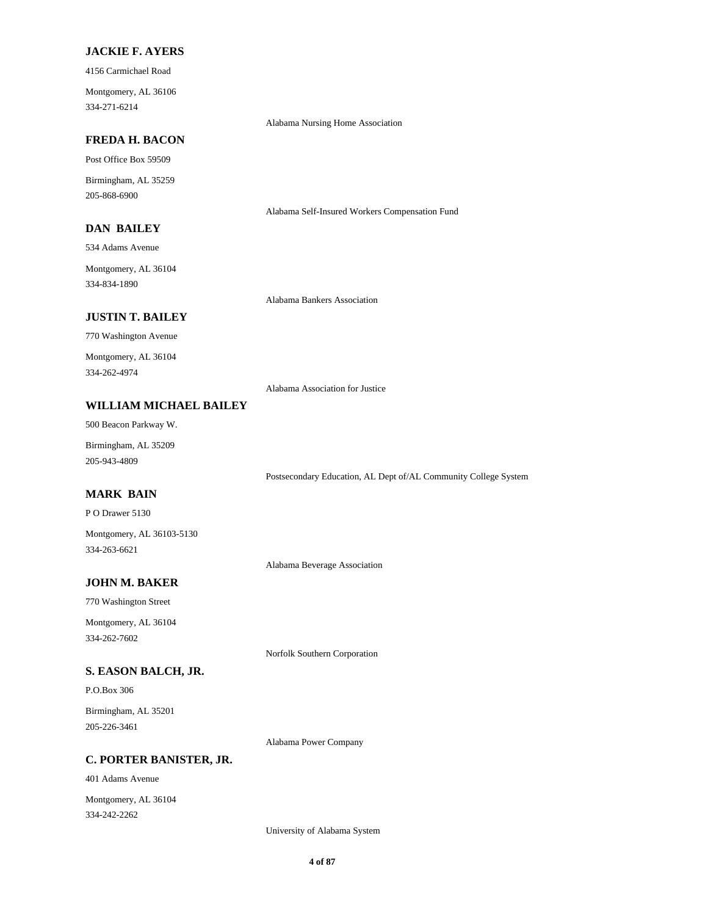### **JACKIE F. AYERS**

4156 Carmichael Road

334-271-6214 Montgomery, AL 36106

Alabama Nursing Home Association

Alabama Self-Insured Workers Compensation Fund

### **FREDA H. BACON**

Post Office Box 59509

205-868-6900 Birmingham, AL 35259

### **DAN BAILEY**

534 Adams Avenue

334-834-1890 Montgomery, AL 36104

Alabama Bankers Association

770 Washington Avenue **JUSTIN T. BAILEY**

334-262-4974 Montgomery, AL 36104

Alabama Association for Justice

### **WILLIAM MICHAEL BAILEY**

500 Beacon Parkway W.

205-943-4809 Birmingham, AL 35209

### Postsecondary Education, AL Dept of/AL Community College System

P O Drawer 5130 **MARK BAIN**

334-263-6621 Montgomery, AL 36103-5130

Alabama Beverage Association

### **JOHN M. BAKER**

770 Washington Street

334-262-7602 Montgomery, AL 36104

Norfolk Southern Corporation

### **S. EASON BALCH, JR.**

P.O.Box 306

205-226-3461 Birmingham, AL 35201

Alabama Power Company

#### **C. PORTER BANISTER, JR.**

401 Adams Avenue

334-242-2262 Montgomery, AL 36104

University of Alabama System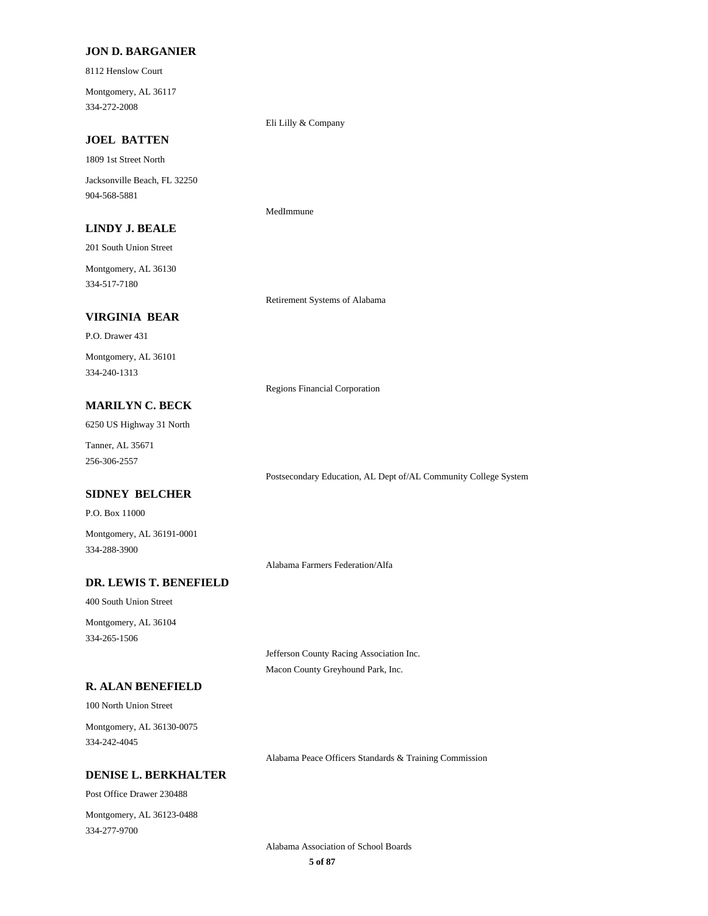#### **JON D. BARGANIER**

8112 Henslow Court

334-272-2008 Montgomery, AL 36117

Eli Lilly & Company

MedImmune

### **JOEL BATTEN**

1809 1st Street North

904-568-5881 Jacksonville Beach, FL 32250

### **LINDY J. BEALE**

201 South Union Street

334-517-7180 Montgomery, AL 36130

Retirement Systems of Alabama

### **VIRGINIA BEAR**

P.O. Drawer 431 334-240-1313 Montgomery, AL 36101

Regions Financial Corporation

### **MARILYN C. BECK**

6250 US Highway 31 North

256-306-2557 Tanner, AL 35671

### **SIDNEY BELCHER**

P.O. Box 11000

334-288-3900 Montgomery, AL 36191-0001

Alabama Farmers Federation/Alfa

### **DR. LEWIS T. BENEFIELD**

400 South Union Street

334-265-1506 Montgomery, AL 36104

> Jefferson County Racing Association Inc. Macon County Greyhound Park, Inc.

#### **R. ALAN BENEFIELD**

100 North Union Street

334-242-4045 Montgomery, AL 36130-0075

Alabama Peace Officers Standards & Training Commission

Postsecondary Education, AL Dept of/AL Community College System

### **DENISE L. BERKHALTER**

Post Office Drawer 230488

334-277-9700 Montgomery, AL 36123-0488

> **5 of 87** Alabama Association of School Boards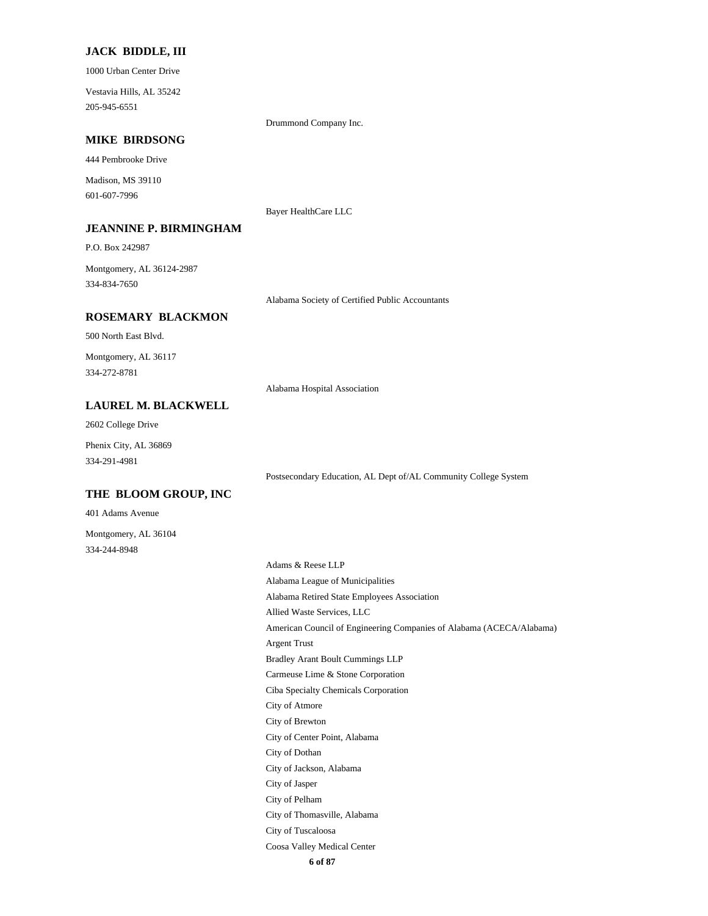#### **JACK BIDDLE, III**

1000 Urban Center Drive

205-945-6551 Vestavia Hills, AL 35242

Drummond Company Inc.

Bayer HealthCare LLC

### **MIKE BIRDSONG**

444 Pembrooke Drive

601-607-7996 Madison, MS 39110

#### **JEANNINE P. BIRMINGHAM**

P.O. Box 242987

334-834-7650 Montgomery, AL 36124-2987

**ROSEMARY BLACKMON**

500 North East Blvd.

334-272-8781 Montgomery, AL 36117

Alabama Hospital Association

Alabama Society of Certified Public Accountants

### **LAUREL M. BLACKWELL**

2602 College Drive

334-291-4981 Phenix City, AL 36869

Postsecondary Education, AL Dept of/AL Community College System

### **THE BLOOM GROUP, INC**

401 Adams Avenue

334-244-8948 Montgomery, AL 36104

> **6 of 87** Bradley Arant Boult Cummings LLP Argent Trust Carmeuse Lime & Stone Corporation City of Atmore Ciba Specialty Chemicals Corporation Alabama League of Municipalities Adams & Reese LLP Alabama Retired State Employees Association American Council of Engineering Companies of Alabama (ACECA/Alabama) Allied Waste Services, LLC City of Brewton City of Tuscaloosa City of Thomasville, Alabama Coosa Valley Medical Center City of Dothan City of Center Point, Alabama City of Jackson, Alabama City of Pelham City of Jasper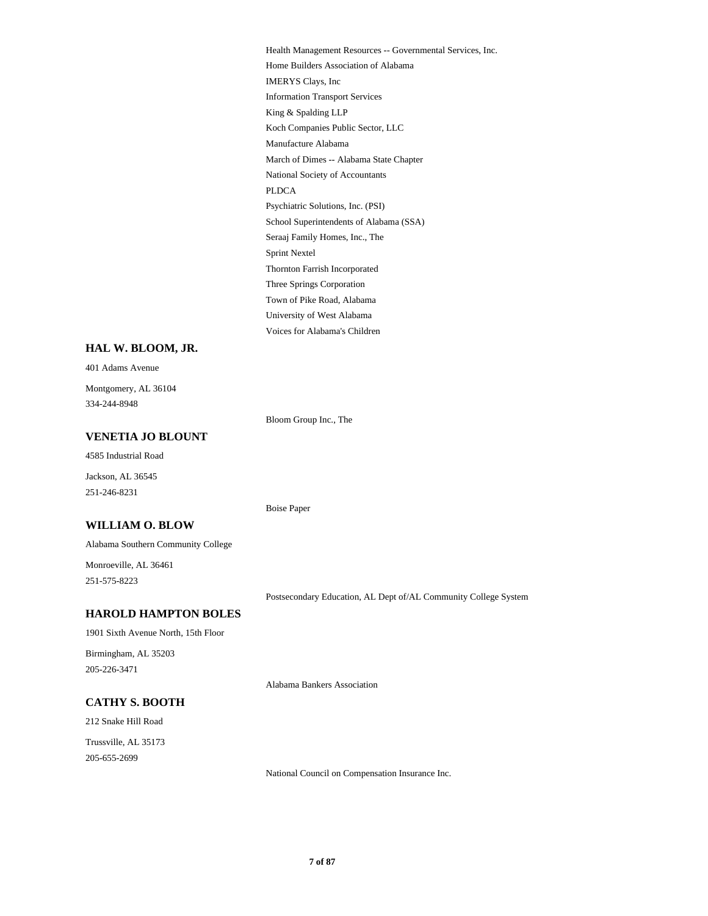Manufacture Alabama Koch Companies Public Sector, LLC National Society of Accountants March of Dimes -- Alabama State Chapter King & Spalding LLP Home Builders Association of Alabama Health Management Resources -- Governmental Services, Inc. Information Transport Services IMERYS Clays, Inc PLDCA Town of Pike Road, Alabama Three Springs Corporation Voices for Alabama's Children University of West Alabama Thornton Farrish Incorporated School Superintendents of Alabama (SSA) Psychiatric Solutions, Inc. (PSI) Sprint Nextel Seraaj Family Homes, Inc., The

#### **HAL W. BLOOM, JR.**

401 Adams Avenue 334-244-8948 Montgomery, AL 36104

Bloom Group Inc., The

Boise Paper

### **VENETIA JO BLOUNT**

4585 Industrial Road

251-246-8231 Jackson, AL 36545

#### **WILLIAM O. BLOW**

Alabama Southern Community College

251-575-8223 Monroeville, AL 36461

Postsecondary Education, AL Dept of/AL Community College System

### **HAROLD HAMPTON BOLES**

1901 Sixth Avenue North, 15th Floor

205-226-3471 Birmingham, AL 35203

Alabama Bankers Association

### **CATHY S. BOOTH**

212 Snake Hill Road

205-655-2699 Trussville, AL 35173

National Council on Compensation Insurance Inc.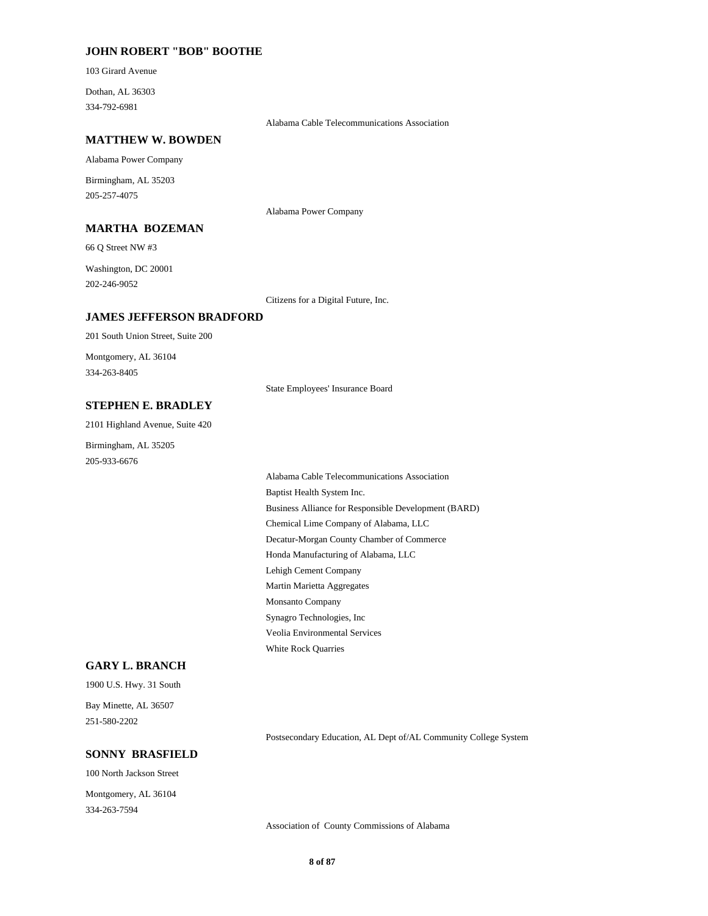### **JOHN ROBERT "BOB" BOOTHE**

103 Girard Avenue

334-792-6981 Dothan, AL 36303

Alabama Cable Telecommunications Association

#### **MATTHEW W. BOWDEN**

Alabama Power Company

205-257-4075 Birmingham, AL 35203

### **MARTHA BOZEMAN**

66 Q Street NW #3

202-246-9052 Washington, DC 20001

Citizens for a Digital Future, Inc.

Alabama Power Company

### **JAMES JEFFERSON BRADFORD**

201 South Union Street, Suite 200 Montgomery, AL 36104

334-263-8405

State Employees' Insurance Board

### **STEPHEN E. BRADLEY**

2101 Highland Avenue, Suite 420

205-933-6676 Birmingham, AL 35205

> Decatur-Morgan County Chamber of Commerce Honda Manufacturing of Alabama, LLC Chemical Lime Company of Alabama, LLC Baptist Health System Inc. Business Alliance for Responsible Development (BARD) Lehigh Cement Company Veolia Environmental Services White Rock Quarries Synagro Technologies, Inc Martin Marietta Aggregates Monsanto Company Alabama Cable Telecommunications Association

### **GARY L. BRANCH**

1900 U.S. Hwy. 31 South

251-580-2202 Bay Minette, AL 36507

Postsecondary Education, AL Dept of/AL Community College System

### **SONNY BRASFIELD**

100 North Jackson Street

334-263-7594 Montgomery, AL 36104

Association of County Commissions of Alabama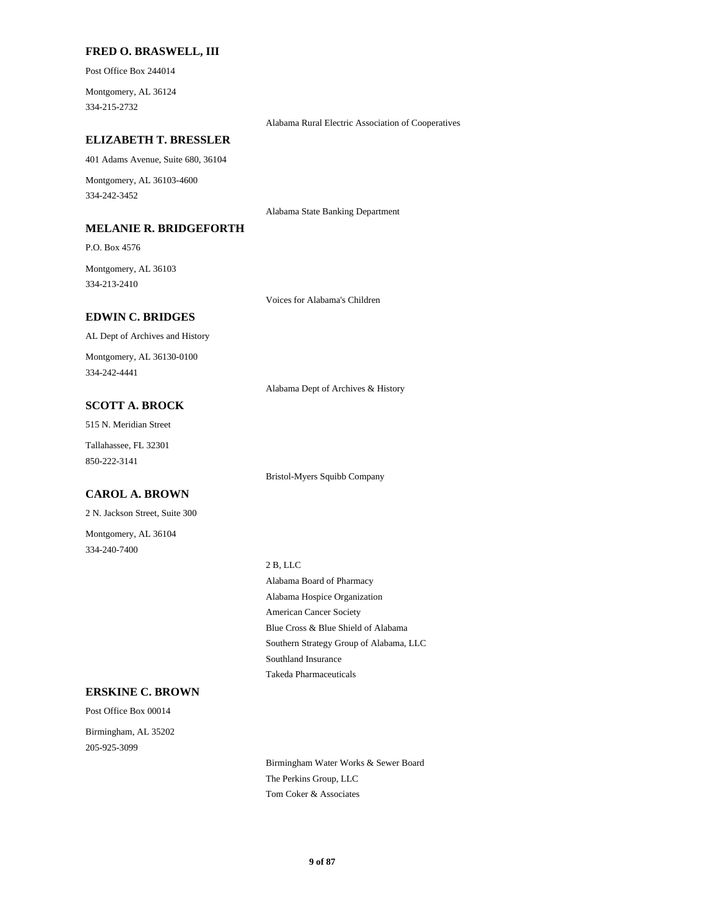### **FRED O. BRASWELL, III**

Post Office Box 244014

334-215-2732 Montgomery, AL 36124

Alabama Rural Electric Association of Cooperatives

### **ELIZABETH T. BRESSLER**

401 Adams Avenue, Suite 680, 36104

334-242-3452 Montgomery, AL 36103-4600

#### **MELANIE R. BRIDGEFORTH**

P.O. Box 4576

334-213-2410 Montgomery, AL 36103

Voices for Alabama's Children

Alabama State Banking Department

### **EDWIN C. BRIDGES**

AL Dept of Archives and History

334-242-4441 Montgomery, AL 36130-0100

Alabama Dept of Archives & History

Bristol-Myers Squibb Company

### **SCOTT A. BROCK**

515 N. Meridian Street

850-222-3141 Tallahassee, FL 32301

### **CAROL A. BROWN**

2 N. Jackson Street, Suite 300

334-240-7400 Montgomery, AL 36104

2 B, LLC

Alabama Hospice Organization American Cancer Society Alabama Board of Pharmacy Southland Insurance Takeda Pharmaceuticals Blue Cross & Blue Shield of Alabama Southern Strategy Group of Alabama, LLC

### **ERSKINE C. BROWN**

Post Office Box 00014 205-925-3099 Birmingham, AL 35202

> Birmingham Water Works & Sewer Board The Perkins Group, LLC Tom Coker & Associates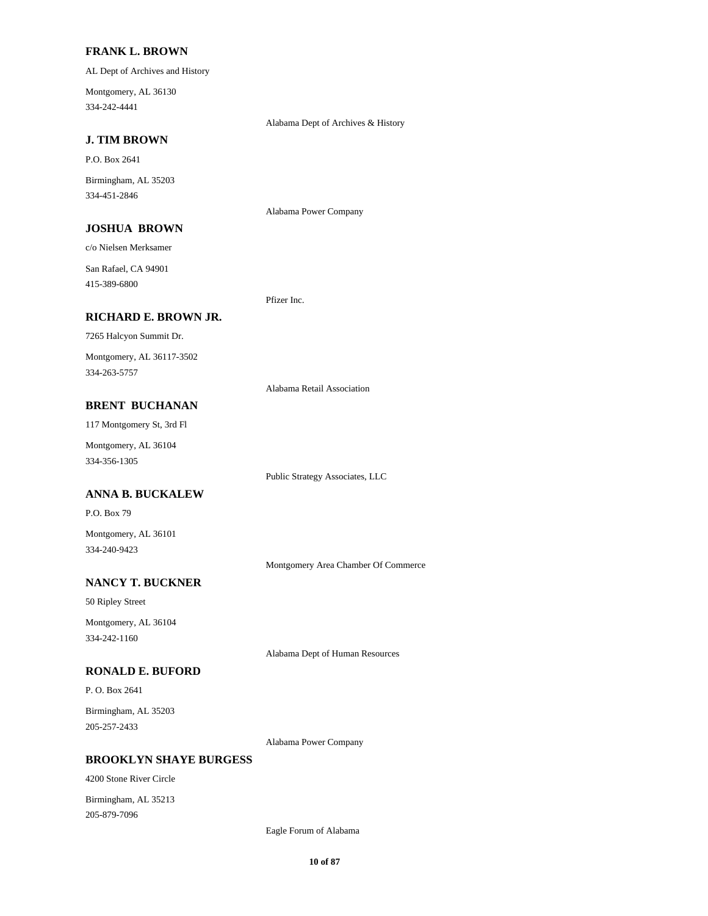### **FRANK L. BROWN**

AL Dept of Archives and History

334-242-4441 Montgomery, AL 36130

Alabama Dept of Archives & History

### **J. TIM BROWN**

P.O. Box 2641

334-451-2846 Birmingham, AL 35203

Alabama Power Company

### **JOSHUA BROWN**

c/o Nielsen Merksamer

415-389-6800 San Rafael, CA 94901

Pfizer Inc.

### **RICHARD E. BROWN JR.**

7265 Halcyon Summit Dr.

334-263-5757 Montgomery, AL 36117-3502

Alabama Retail Association

Public Strategy Associates, LLC

### **BRENT BUCHANAN**

117 Montgomery St, 3rd Fl

334-356-1305 Montgomery, AL 36104

### **ANNA B. BUCKALEW**

P.O. Box 79

334-240-9423 Montgomery, AL 36101

Montgomery Area Chamber Of Commerce

### **NANCY T. BUCKNER**

50 Ripley Street

334-242-1160 Montgomery, AL 36104

Alabama Dept of Human Resources

### **RONALD E. BUFORD**

P. O. Box 2641

205-257-2433 Birmingham, AL 35203

Alabama Power Company

#### **BROOKLYN SHAYE BURGESS**

4200 Stone River Circle Birmingham, AL 35213

205-879-7096

Eagle Forum of Alabama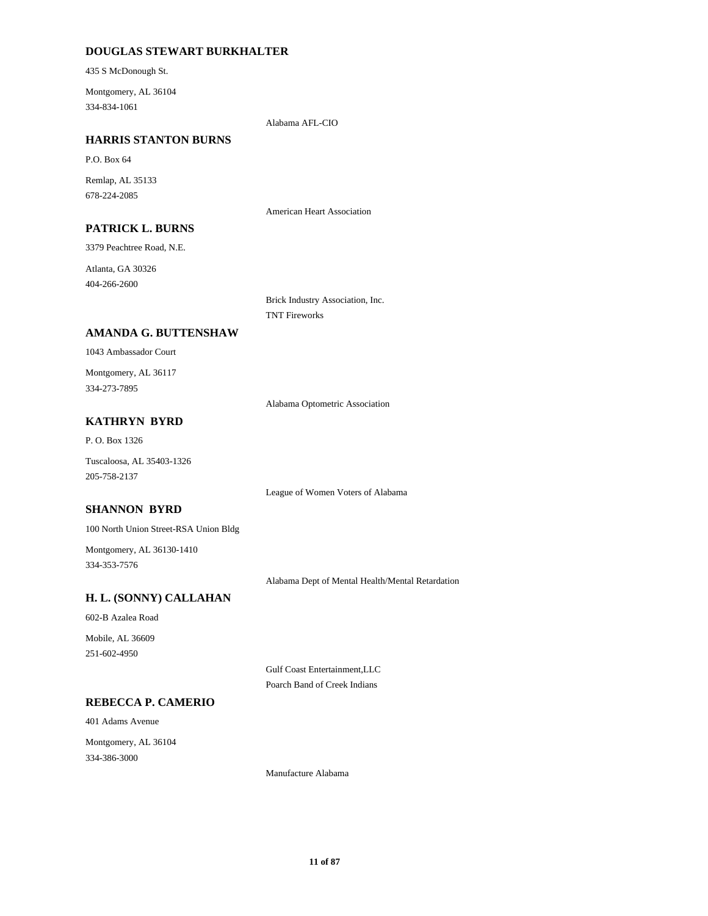### **DOUGLAS STEWART BURKHALTER**

435 S McDonough St.

334-834-1061 Montgomery, AL 36104

Alabama AFL-CIO

### **HARRIS STANTON BURNS**

P.O. Box 64

678-224-2085 Remlap, AL 35133

American Heart Association

### **PATRICK L. BURNS**

3379 Peachtree Road, N.E.

404-266-2600 Atlanta, GA 30326

> Brick Industry Association, Inc. TNT Fireworks

### **AMANDA G. BUTTENSHAW**

1043 Ambassador Court

334-273-7895 Montgomery, AL 36117

Alabama Optometric Association

### **KATHRYN BYRD**

P. O. Box 1326

205-758-2137 Tuscaloosa, AL 35403-1326

League of Women Voters of Alabama

### **SHANNON BYRD**

100 North Union Street-RSA Union Bldg

334-353-7576 Montgomery, AL 36130-1410

Alabama Dept of Mental Health/Mental Retardation

### **H. L. (SONNY) CALLAHAN**

602-B Azalea Road

251-602-4950 Mobile, AL 36609

> Gulf Coast Entertainment,LLC Poarch Band of Creek Indians

### **REBECCA P. CAMERIO**

401 Adams Avenue

334-386-3000 Montgomery, AL 36104

Manufacture Alabama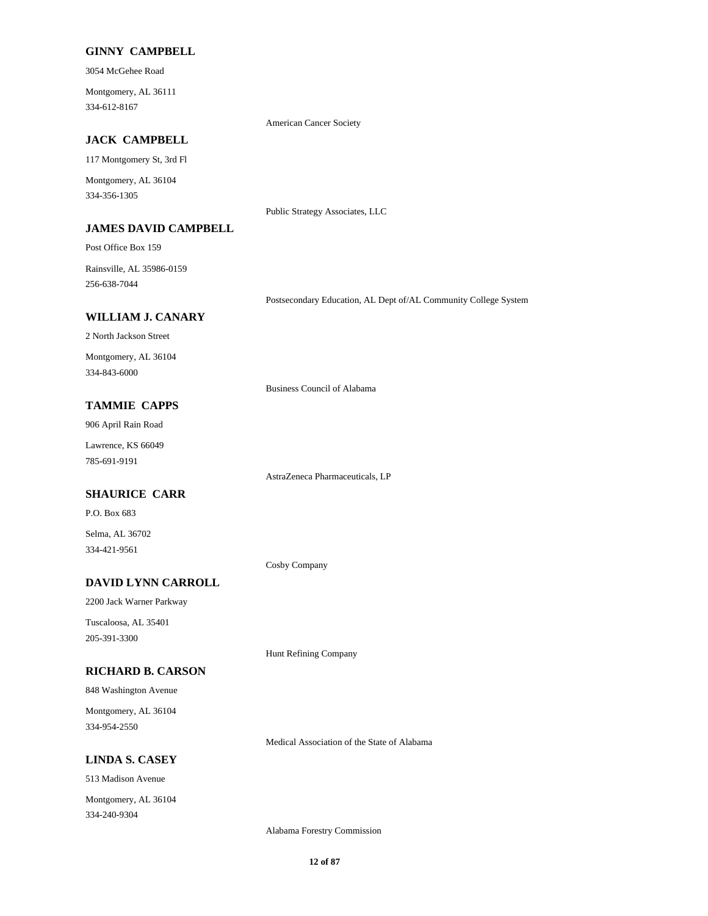### **GINNY CAMPBELL**

3054 McGehee Road

334-612-8167 Montgomery, AL 36111

American Cancer Society

Public Strategy Associates, LLC

### **JACK CAMPBELL**

117 Montgomery St, 3rd Fl

334-356-1305 Montgomery, AL 36104

#### **JAMES DAVID CAMPBELL**

Post Office Box 159

256-638-7044 Rainsville, AL 35986-0159

Postsecondary Education, AL Dept of/AL Community College System

### **WILLIAM J. CANARY**

2 North Jackson Street Montgomery, AL 36104

334-843-6000

Business Council of Alabama

### **TAMMIE CAPPS**

906 April Rain Road

785-691-9191 Lawrence, KS 66049

AstraZeneca Pharmaceuticals, LP

### **SHAURICE CARR**

P.O. Box 683

334-421-9561 Selma, AL 36702

Cosby Company

### **DAVID LYNN CARROLL**

2200 Jack Warner Parkway

205-391-3300 Tuscaloosa, AL 35401

Hunt Refining Company

### **RICHARD B. CARSON**

848 Washington Avenue

334-954-2550 Montgomery, AL 36104

Medical Association of the State of Alabama

#### **LINDA S. CASEY**

513 Madison Avenue

334-240-9304 Montgomery, AL 36104

Alabama Forestry Commission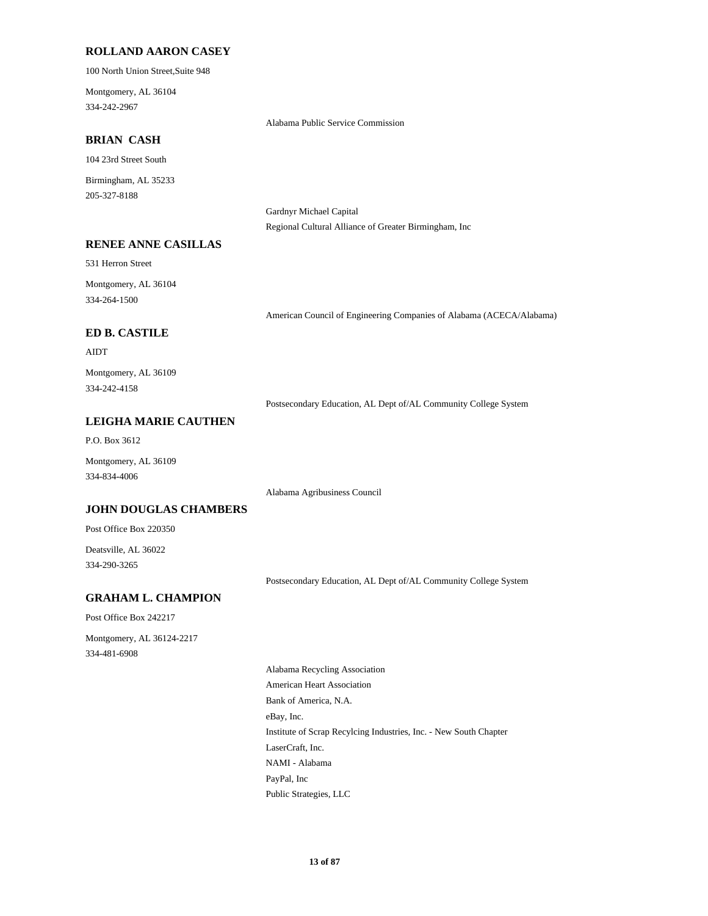#### **ROLLAND AARON CASEY**

100 North Union Street,Suite 948

334-242-2967 Montgomery, AL 36104

Alabama Public Service Commission

### **BRIAN CASH**

104 23rd Street South

205-327-8188 Birmingham, AL 35233

> Gardnyr Michael Capital Regional Cultural Alliance of Greater Birmingham, Inc

### **RENEE ANNE CASILLAS**

531 Herron Street

334-264-1500 Montgomery, AL 36104

American Council of Engineering Companies of Alabama (ACECA/Alabama)

### **ED B. CASTILE**

### AIDT

334-242-4158 Montgomery, AL 36109

Postsecondary Education, AL Dept of/AL Community College System

### **LEIGHA MARIE CAUTHEN**

P.O. Box 3612

334-834-4006 Montgomery, AL 36109

Alabama Agribusiness Council

#### **JOHN DOUGLAS CHAMBERS**

Post Office Box 220350

334-290-3265 Deatsville, AL 36022

Postsecondary Education, AL Dept of/AL Community College System

### **GRAHAM L. CHAMPION**

Post Office Box 242217

334-481-6908 Montgomery, AL 36124-2217

> Bank of America, N.A. eBay, Inc. Alabama Recycling Association American Heart Association Institute of Scrap Recylcing Industries, Inc. - New South Chapter PayPal, Inc Public Strategies, LLC LaserCraft, Inc. NAMI - Alabama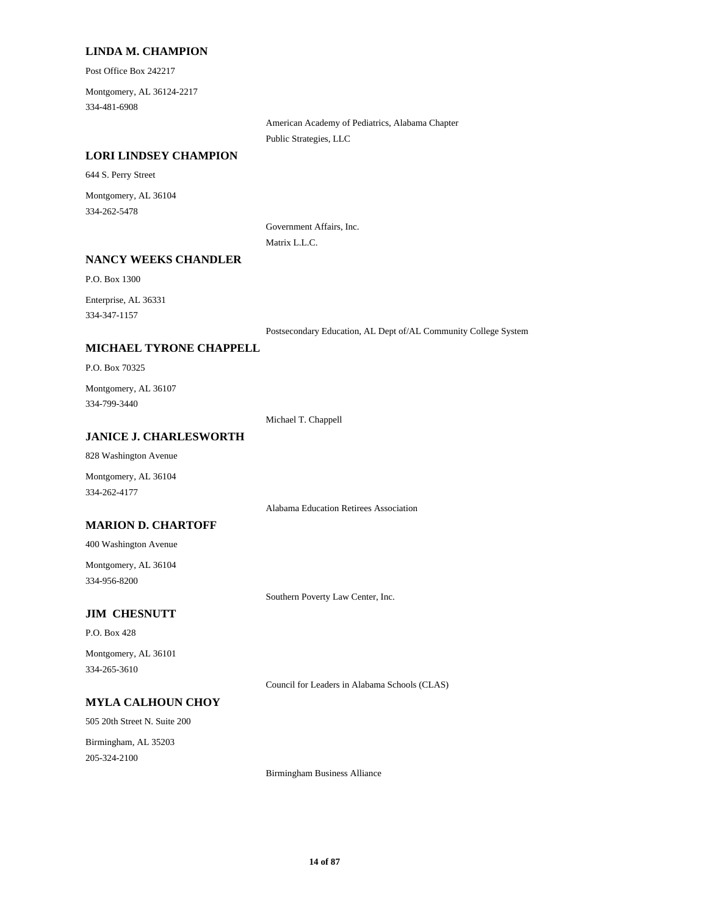#### **LINDA M. CHAMPION**

Post Office Box 242217

334-481-6908 Montgomery, AL 36124-2217

> American Academy of Pediatrics, Alabama Chapter Public Strategies, LLC

### **LORI LINDSEY CHAMPION**

644 S. Perry Street

334-262-5478 Montgomery, AL 36104

> Government Affairs, Inc. Matrix L.L.C.

#### **NANCY WEEKS CHANDLER**

P.O. Box 1300

334-347-1157 Enterprise, AL 36331

Postsecondary Education, AL Dept of/AL Community College System

### **MICHAEL TYRONE CHAPPELL**

P.O. Box 70325

334-799-3440 Montgomery, AL 36107

Michael T. Chappell

#### **JANICE J. CHARLESWORTH**

828 Washington Avenue

Montgomery, AL 36104 334-262-4177

Alabama Education Retirees Association

### **MARION D. CHARTOFF**

400 Washington Avenue

334-956-8200 Montgomery, AL 36104

Southern Poverty Law Center, Inc.

### **JIM CHESNUTT**

P.O. Box 428

334-265-3610 Montgomery, AL 36101

Council for Leaders in Alabama Schools (CLAS)

#### **MYLA CALHOUN CHOY**

505 20th Street N. Suite 200 205-324-2100 Birmingham, AL 35203

Birmingham Business Alliance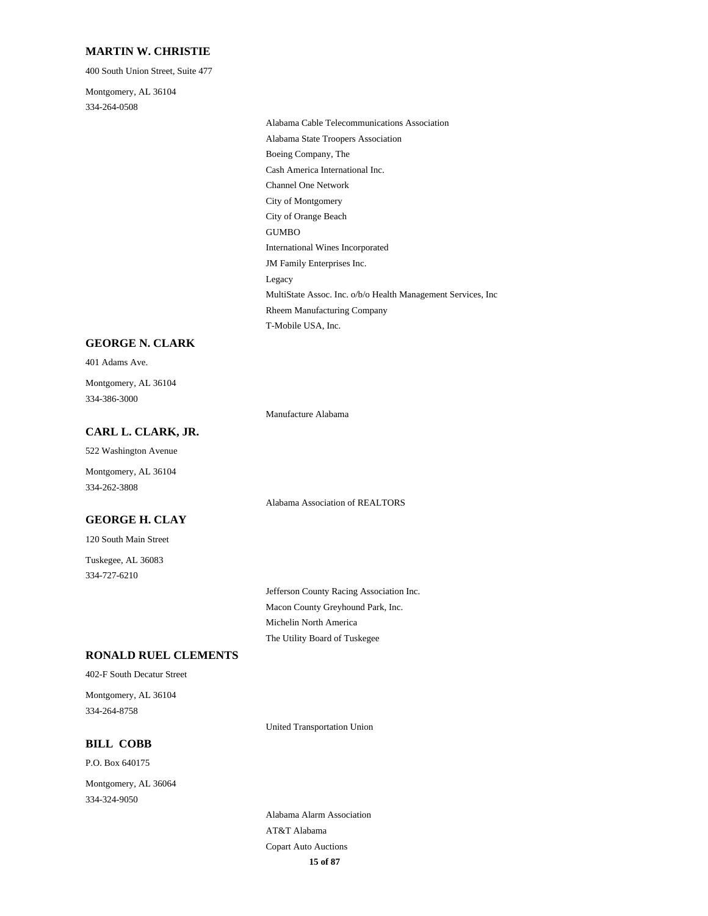#### **MARTIN W. CHRISTIE**

400 South Union Street, Suite 477

334-264-0508 Montgomery, AL 36104

> Channel One Network City of Montgomery City of Orange Beach Cash America International Inc. Alabama Cable Telecommunications Association Alabama State Troopers Association Boeing Company, The MultiState Assoc. Inc. o/b/o Health Management Services, Inc Rheem Manufacturing Company T-Mobile USA, Inc. Legacy GUMBO International Wines Incorporated JM Family Enterprises Inc.

#### **GEORGE N. CLARK**

401 Adams Ave.

334-386-3000 Montgomery, AL 36104

Manufacture Alabama

### **CARL L. CLARK, JR.**

522 Washington Avenue

334-262-3808 Montgomery, AL 36104

### **GEORGE H. CLAY**

120 South Main Street

334-727-6210 Tuskegee, AL 36083 Alabama Association of REALTORS

Macon County Greyhound Park, Inc. Jefferson County Racing Association Inc. The Utility Board of Tuskegee Michelin North America

### **RONALD RUEL CLEMENTS**

402-F South Decatur Street

334-264-8758 Montgomery, AL 36104

United Transportation Union

### **BILL COBB**

P.O. Box 640175

334-324-9050 Montgomery, AL 36064

> **15 of 87** Alabama Alarm Association AT&T Alabama Copart Auto Auctions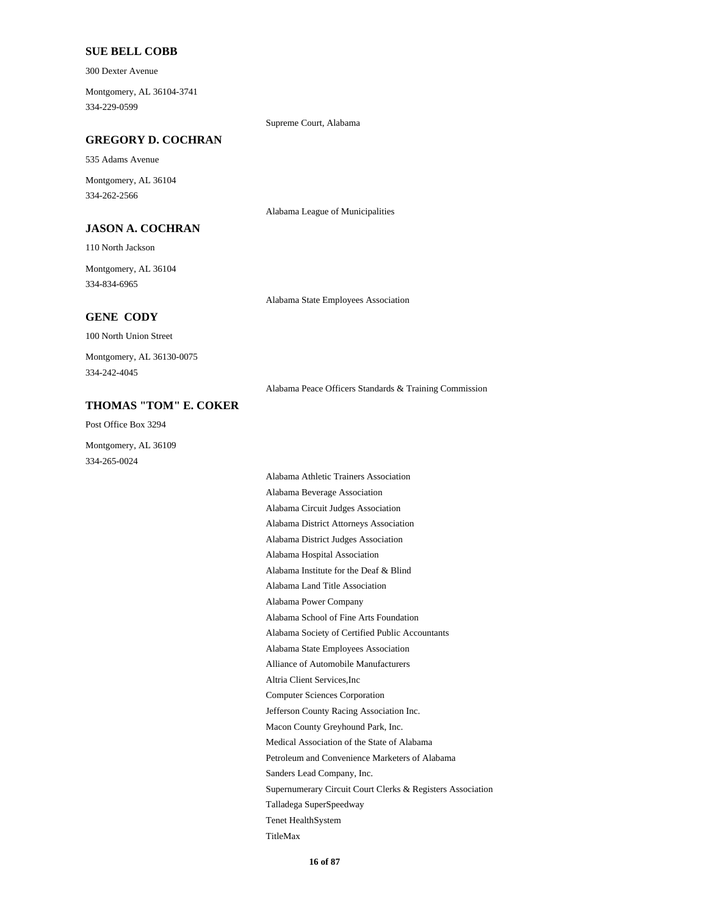#### **SUE BELL COBB**

300 Dexter Avenue

334-229-0599 Montgomery, AL 36104-3741

Supreme Court, Alabama

### **GREGORY D. COCHRAN**

535 Adams Avenue

334-262-2566 Montgomery, AL 36104

#### **JASON A. COCHRAN**

110 North Jackson

334-834-6965 Montgomery, AL 36104

Alabama State Employees Association

Alabama League of Municipalities

### **GENE CODY**

100 North Union Street

334-242-4045 Montgomery, AL 36130-0075

Alabama Peace Officers Standards & Training Commission

### **THOMAS "TOM" E. COKER**

Post Office Box 3294

334-265-0024 Montgomery, AL 36109

> Alabama School of Fine Arts Foundation Alabama Power Company Alabama Land Title Association Alliance of Automobile Manufacturers Alabama State Employees Association Alabama Society of Certified Public Accountants Alabama Institute for the Deaf & Blind Alabama Circuit Judges Association Alabama Beverage Association Alabama Athletic Trainers Association Alabama Hospital Association Alabama District Judges Association Alabama District Attorneys Association Tenet HealthSystem Talladega SuperSpeedway Supernumerary Circuit Court Clerks & Registers Association TitleMax Sanders Lead Company, Inc. Jefferson County Racing Association Inc. Computer Sciences Corporation Altria Client Services,Inc Petroleum and Convenience Marketers of Alabama Medical Association of the State of Alabama Macon County Greyhound Park, Inc.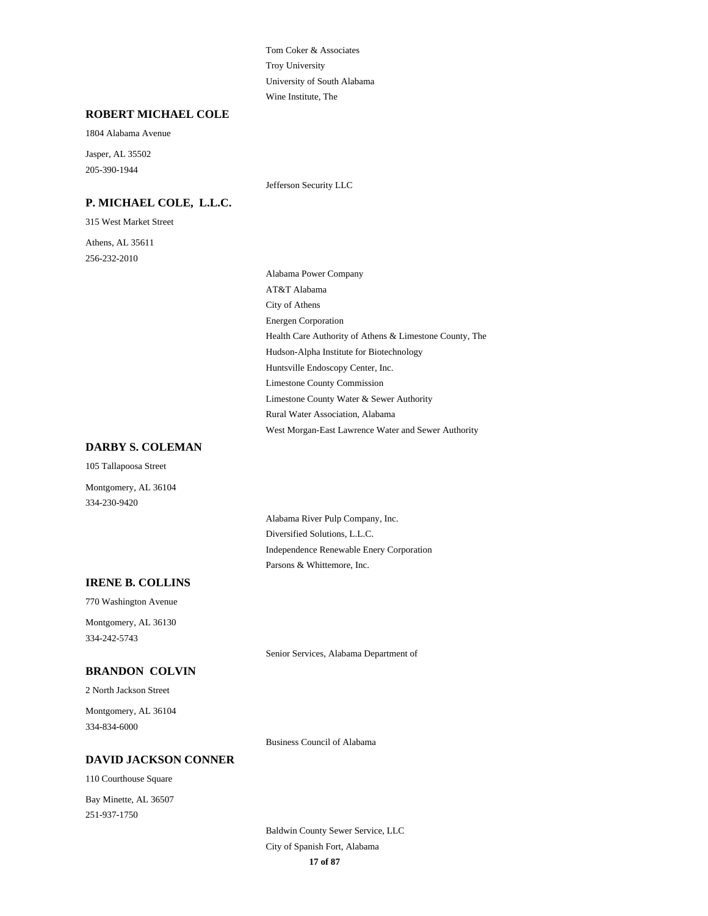Troy University Tom Coker & Associates Wine Institute, The University of South Alabama

#### **ROBERT MICHAEL COLE**

1804 Alabama Avenue

205-390-1944 Jasper, AL 35502

### **P. MICHAEL COLE, L.L.C.**

315 West Market Street

256-232-2010 Athens, AL 35611 Jefferson Security LLC

Energen Corporation Health Care Authority of Athens & Limestone County, The City of Athens Alabama Power Company AT&T Alabama Hudson-Alpha Institute for Biotechnology Rural Water Association, Alabama West Morgan-East Lawrence Water and Sewer Authority Limestone County Water & Sewer Authority Huntsville Endoscopy Center, Inc. Limestone County Commission

### **DARBY S. COLEMAN**

105 Tallapoosa Street

334-230-9420 Montgomery, AL 36104

> Diversified Solutions, L.L.C. Alabama River Pulp Company, Inc. Parsons & Whittemore, Inc. Independence Renewable Enery Corporation

### **IRENE B. COLLINS**

770 Washington Avenue

334-242-5743 Montgomery, AL 36130

Senior Services, Alabama Department of

### **BRANDON COLVIN**

2 North Jackson Street

334-834-6000 Montgomery, AL 36104

Business Council of Alabama

#### **DAVID JACKSON CONNER**

110 Courthouse Square

251-937-1750 Bay Minette, AL 36507

> **17 of 87** Baldwin County Sewer Service, LLC City of Spanish Fort, Alabama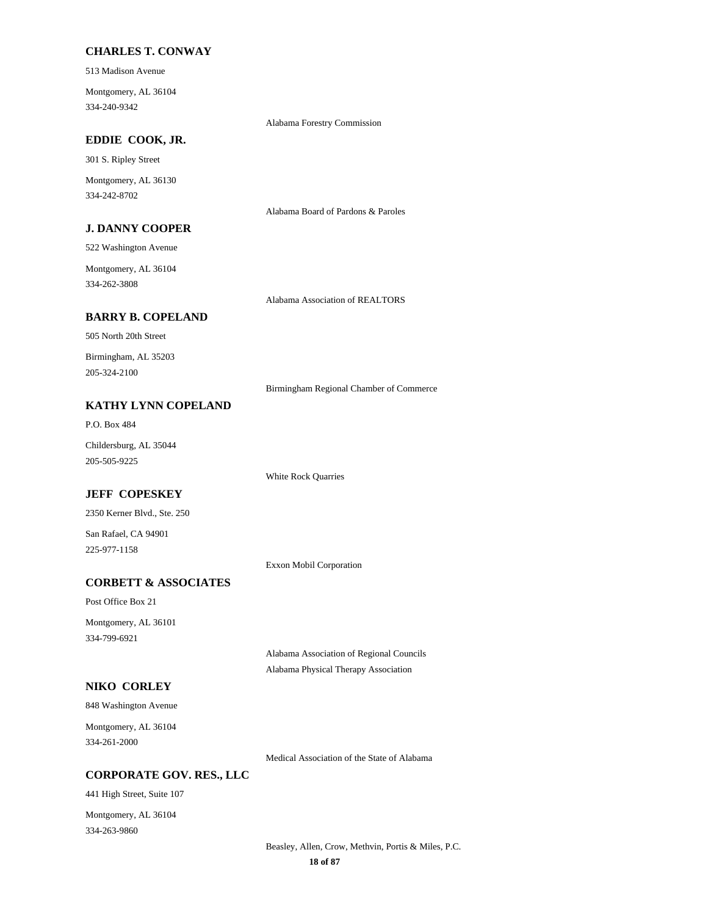### **CHARLES T. CONWAY**

513 Madison Avenue

334-240-9342 Montgomery, AL 36104

Alabama Forestry Commission

### **EDDIE COOK, JR.**

301 S. Ripley Street

334-242-8702 Montgomery, AL 36130

Alabama Board of Pardons & Paroles

### **J. DANNY COOPER**

522 Washington Avenue

334-262-3808 Montgomery, AL 36104

Alabama Association of REALTORS

### **BARRY B. COPELAND**

505 North 20th Street

205-324-2100 Birmingham, AL 35203

Birmingham Regional Chamber of Commerce

### **KATHY LYNN COPELAND**

P.O. Box 484

205-505-9225 Childersburg, AL 35044

### **JEFF COPESKEY**

2350 Kerner Blvd., Ste. 250

225-977-1158 San Rafael, CA 94901

Exxon Mobil Corporation

White Rock Quarries

### **CORBETT & ASSOCIATES**

Post Office Box 21 Montgomery, AL 36101

334-799-6921

Alabama Association of Regional Councils Alabama Physical Therapy Association

### **NIKO CORLEY**

848 Washington Avenue

334-261-2000 Montgomery, AL 36104

Medical Association of the State of Alabama

### **CORPORATE GOV. RES., LLC**

441 High Street, Suite 107

334-263-9860 Montgomery, AL 36104

> **18 of 87** Beasley, Allen, Crow, Methvin, Portis & Miles, P.C.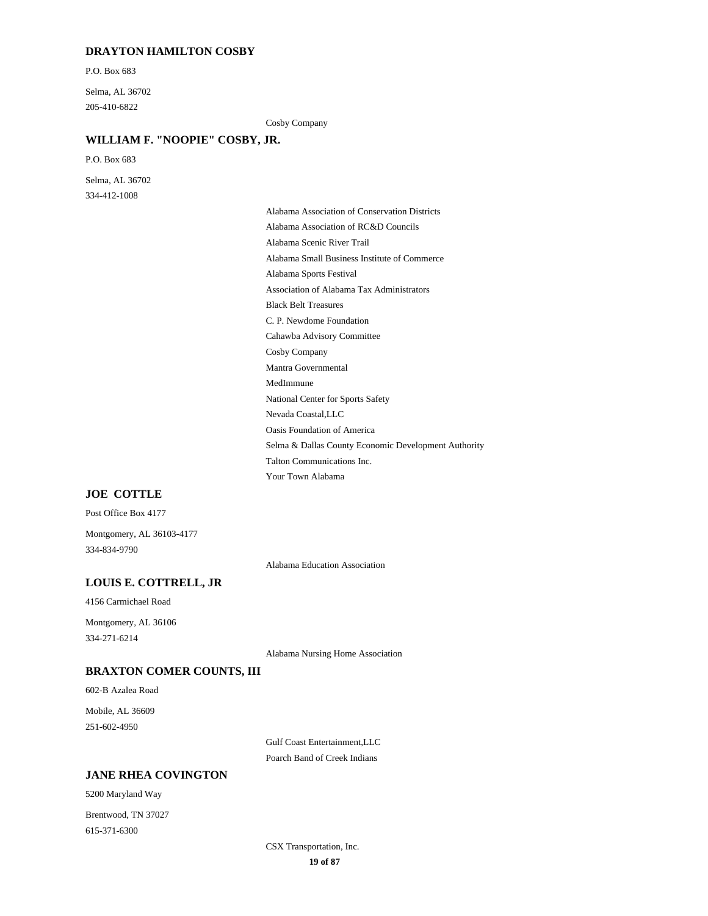### **DRAYTON HAMILTON COSBY**

P.O. Box 683

205-410-6822 Selma, AL 36702

Cosby Company

### **WILLIAM F. "NOOPIE" COSBY, JR.**

P.O. Box 683

334-412-1008 Selma, AL 36702

> Black Belt Treasures Association of Alabama Tax Administrators Cahawba Advisory Committee C. P. Newdome Foundation Alabama Sports Festival Alabama Association of RC&D Councils Alabama Association of Conservation Districts Alabama Small Business Institute of Commerce Alabama Scenic River Trail Selma & Dallas County Economic Development Authority Oasis Foundation of America Your Town Alabama Talton Communications Inc. Nevada Coastal,LLC Mantra Governmental Cosby Company National Center for Sports Safety MedImmune

#### **JOE COTTLE**

Post Office Box 4177

334-834-9790 Montgomery, AL 36103-4177

Alabama Education Association

### **LOUIS E. COTTRELL, JR**

4156 Carmichael Road

334-271-6214 Montgomery, AL 36106

Alabama Nursing Home Association

### **BRAXTON COMER COUNTS, III**

602-B Azalea Road

251-602-4950 Mobile, AL 36609

> Gulf Coast Entertainment,LLC Poarch Band of Creek Indians

#### **JANE RHEA COVINGTON**

5200 Maryland Way

615-371-6300 Brentwood, TN 37027

> **19 of 87** CSX Transportation, Inc.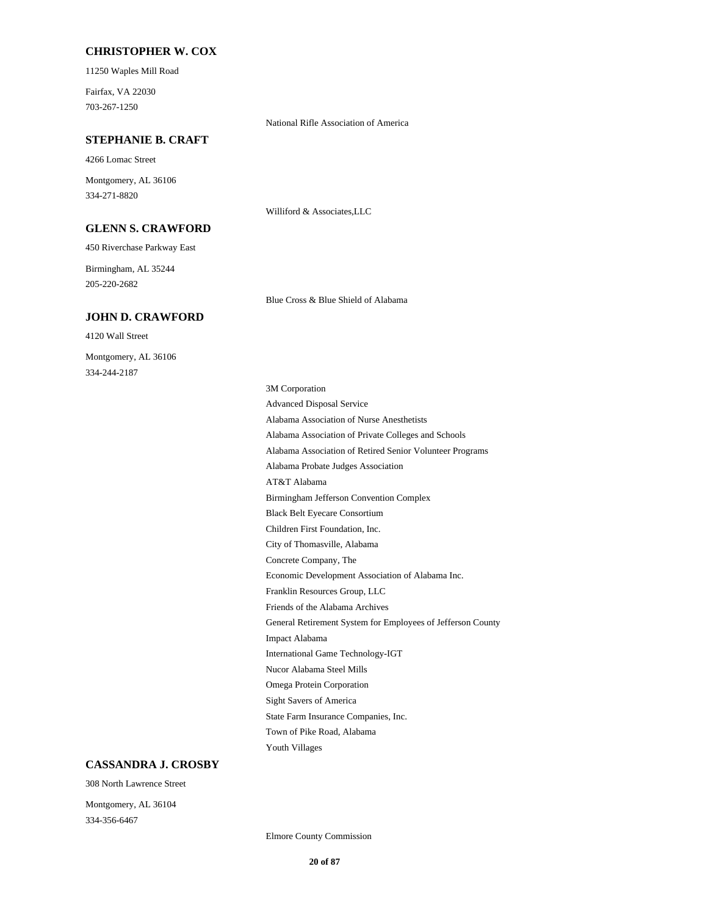#### **CHRISTOPHER W. COX**

11250 Waples Mill Road

703-267-1250 Fairfax, VA 22030

National Rifle Association of America

### **STEPHANIE B. CRAFT**

4266 Lomac Street

334-271-8820 Montgomery, AL 36106

**GLENN S. CRAWFORD**

450 Riverchase Parkway East

205-220-2682 Birmingham, AL 35244

#### **JOHN D. CRAWFORD**

4120 Wall Street 334-244-2187 Montgomery, AL 36106

Williford & Associates,LLC

Blue Cross & Blue Shield of Alabama

Economic Development Association of Alabama Inc. Concrete Company, The Friends of the Alabama Archives Franklin Resources Group, LLC Black Belt Eyecare Consortium Birmingham Jefferson Convention Complex City of Thomasville, Alabama Children First Foundation, Inc. General Retirement System for Employees of Jefferson County State Farm Insurance Companies, Inc. Sight Savers of America Youth Villages Town of Pike Road, Alabama International Game Technology-IGT Impact Alabama Omega Protein Corporation Nucor Alabama Steel Mills Alabama Association of Nurse Anesthetists Advanced Disposal Service 3M Corporation Alabama Association of Private Colleges and Schools AT&T Alabama Alabama Probate Judges Association Alabama Association of Retired Senior Volunteer Programs

### **CASSANDRA J. CROSBY**

308 North Lawrence Street

334-356-6467 Montgomery, AL 36104

Elmore County Commission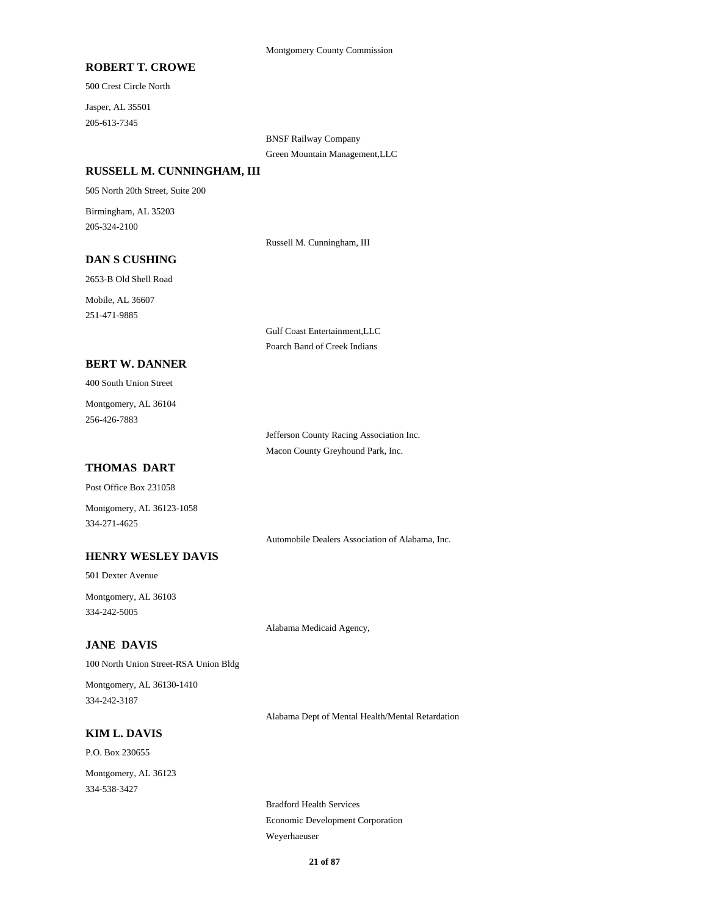### **ROBERT T. CROWE**

500 Crest Circle North

205-613-7345 Jasper, AL 35501

> BNSF Railway Company Green Mountain Management,LLC

#### **RUSSELL M. CUNNINGHAM, III**

505 North 20th Street, Suite 200

205-324-2100 Birmingham, AL 35203

Russell M. Cunningham, III

### **DAN S CUSHING**

2653-B Old Shell Road Mobile, AL 36607

251-471-9885

Gulf Coast Entertainment,LLC Poarch Band of Creek Indians

### **BERT W. DANNER**

400 South Union Street

256-426-7883 Montgomery, AL 36104

> Jefferson County Racing Association Inc. Macon County Greyhound Park, Inc.

### **THOMAS DART**

Post Office Box 231058

Montgomery, AL 36123-1058 334-271-4625

Automobile Dealers Association of Alabama, Inc.

### **HENRY WESLEY DAVIS**

501 Dexter Avenue

334-242-5005 Montgomery, AL 36103

Alabama Medicaid Agency,

### **JANE DAVIS**

100 North Union Street-RSA Union Bldg

334-242-3187 Montgomery, AL 36130-1410

Alabama Dept of Mental Health/Mental Retardation

### **KIM L. DAVIS**

P.O. Box 230655

334-538-3427 Montgomery, AL 36123

> Bradford Health Services Economic Development Corporation Weyerhaeuser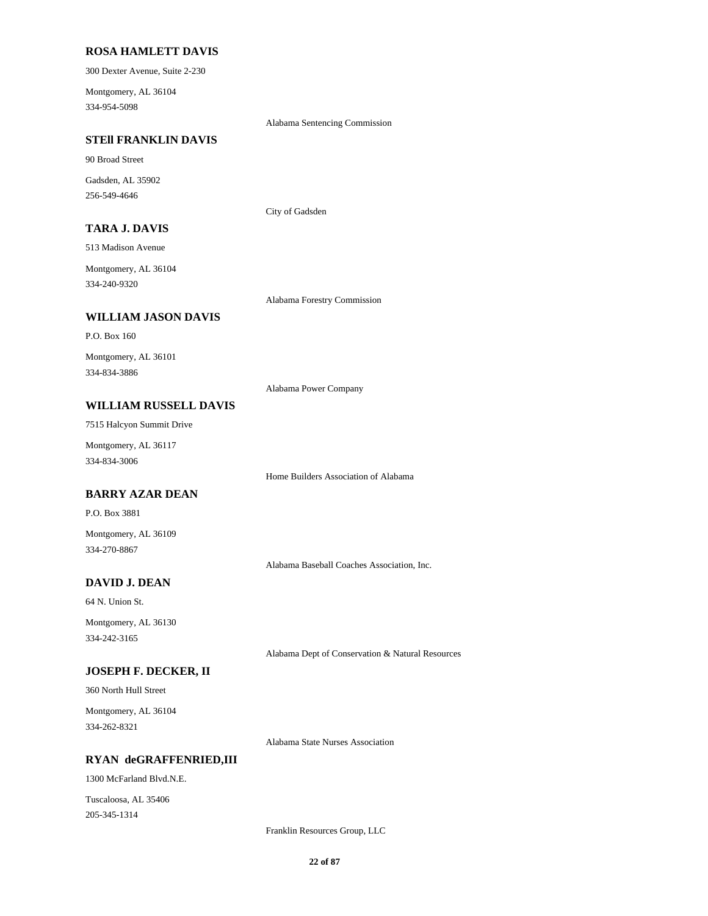#### **ROSA HAMLETT DAVIS**

300 Dexter Avenue, Suite 2-230

334-954-5098 Montgomery, AL 36104

Alabama Sentencing Commission

### **STEll FRANKLIN DAVIS**

90 Broad Street

256-549-4646 Gadsden, AL 35902

City of Gadsden

### **TARA J. DAVIS**

513 Madison Avenue

334-240-9320 Montgomery, AL 36104

#### **WILLIAM JASON DAVIS**

P.O. Box 160

334-834-3886 Montgomery, AL 36101

Alabama Power Company

Alabama Forestry Commission

### **WILLIAM RUSSELL DAVIS**

7515 Halcyon Summit Drive

334-834-3006 Montgomery, AL 36117

Home Builders Association of Alabama

### **BARRY AZAR DEAN**

P.O. Box 3881

334-270-8867 Montgomery, AL 36109

Alabama Baseball Coaches Association, Inc.

### **DAVID J. DEAN**

64 N. Union St.

334-242-3165 Montgomery, AL 36130

Alabama Dept of Conservation & Natural Resources

### **JOSEPH F. DECKER, II**

360 North Hull Street

334-262-8321 Montgomery, AL 36104

Alabama State Nurses Association

#### **RYAN deGRAFFENRIED,III**

1300 McFarland Blvd.N.E.

205-345-1314 Tuscaloosa, AL 35406

Franklin Resources Group, LLC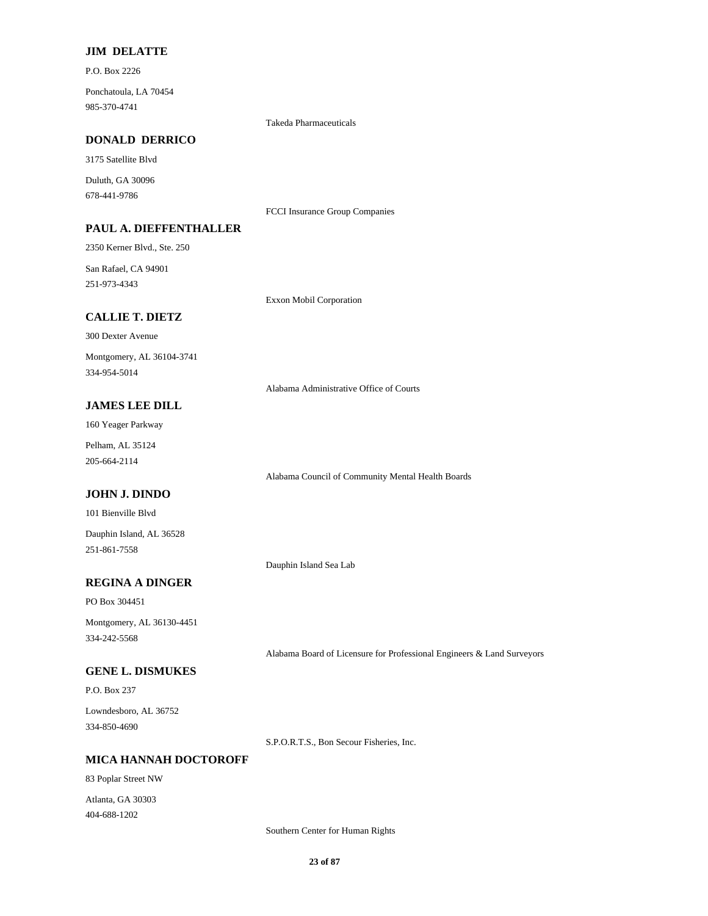### **JIM DELATTE**

P.O. Box 2226

985-370-4741 Ponchatoula, LA 70454

Takeda Pharmaceuticals

### **DONALD DERRICO**

3175 Satellite Blvd

678-441-9786 Duluth, GA 30096

FCCI Insurance Group Companies

### **PAUL A. DIEFFENTHALLER**

2350 Kerner Blvd., Ste. 250

251-973-4343 San Rafael, CA 94901

Exxon Mobil Corporation

### **CALLIE T. DIETZ**

300 Dexter Avenue

334-954-5014 Montgomery, AL 36104-3741

Alabama Administrative Office of Courts

### **JAMES LEE DILL**

160 Yeager Parkway

205-664-2114 Pelham, AL 35124

Alabama Council of Community Mental Health Boards

### **JOHN J. DINDO**

101 Bienville Blvd

251-861-7558 Dauphin Island, AL 36528

Dauphin Island Sea Lab

### **REGINA A DINGER**

PO Box 304451

334-242-5568 Montgomery, AL 36130-4451

Alabama Board of Licensure for Professional Engineers & Land Surveyors

### **GENE L. DISMUKES**

P.O. Box 237

334-850-4690 Lowndesboro, AL 36752

S.P.O.R.T.S., Bon Secour Fisheries, Inc.

### **MICA HANNAH DOCTOROFF**

83 Poplar Street NW 404-688-1202 Atlanta, GA 30303

Southern Center for Human Rights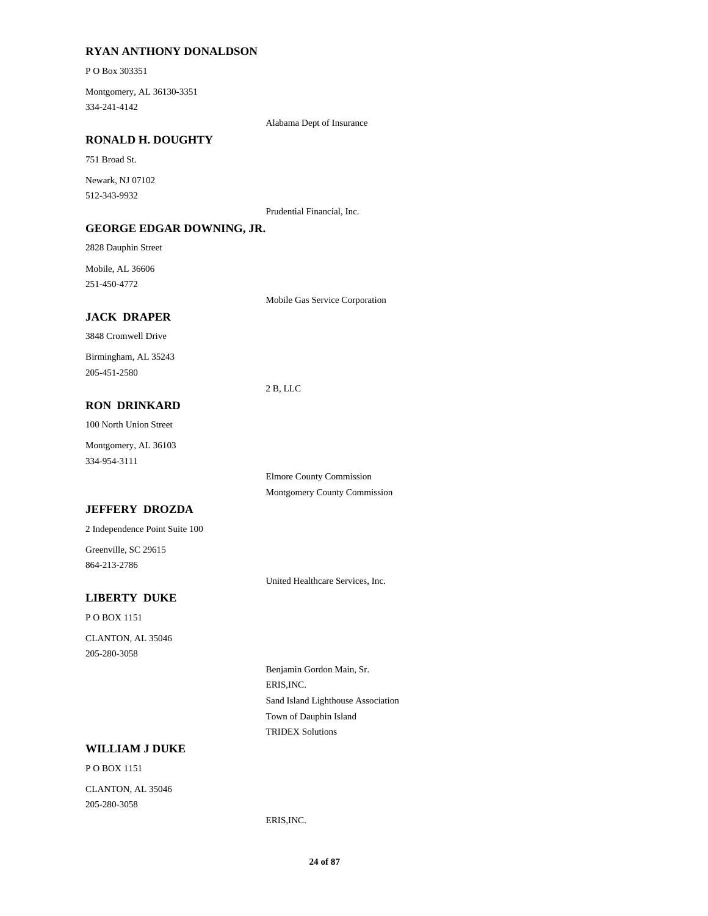### **RYAN ANTHONY DONALDSON**

P O Box 303351

334-241-4142 Montgomery, AL 36130-3351

Alabama Dept of Insurance

### **RONALD H. DOUGHTY**

751 Broad St.

512-343-9932 Newark, NJ 07102

Prudential Financial, Inc.

### **GEORGE EDGAR DOWNING, JR.**

2828 Dauphin Street

251-450-4772 Mobile, AL 36606

Mobile Gas Service Corporation

### **JACK DRAPER**

3848 Cromwell Drive

205-451-2580 Birmingham, AL 35243

2 B, LLC

### **RON DRINKARD**

100 North Union Street

334-954-3111 Montgomery, AL 36103

> Montgomery County Commission Elmore County Commission

### **JEFFERY DROZDA**

2 Independence Point Suite 100

864-213-2786 Greenville, SC 29615

United Healthcare Services, Inc.

### **LIBERTY DUKE**

P O BOX 1151

205-280-3058 CLANTON, AL 35046

> ERIS,INC. Benjamin Gordon Main, Sr. Sand Island Lighthouse Association TRIDEX Solutions Town of Dauphin Island

### **WILLIAM J DUKE**

P O BOX 1151 205-280-3058 CLANTON, AL 35046

ERIS,INC.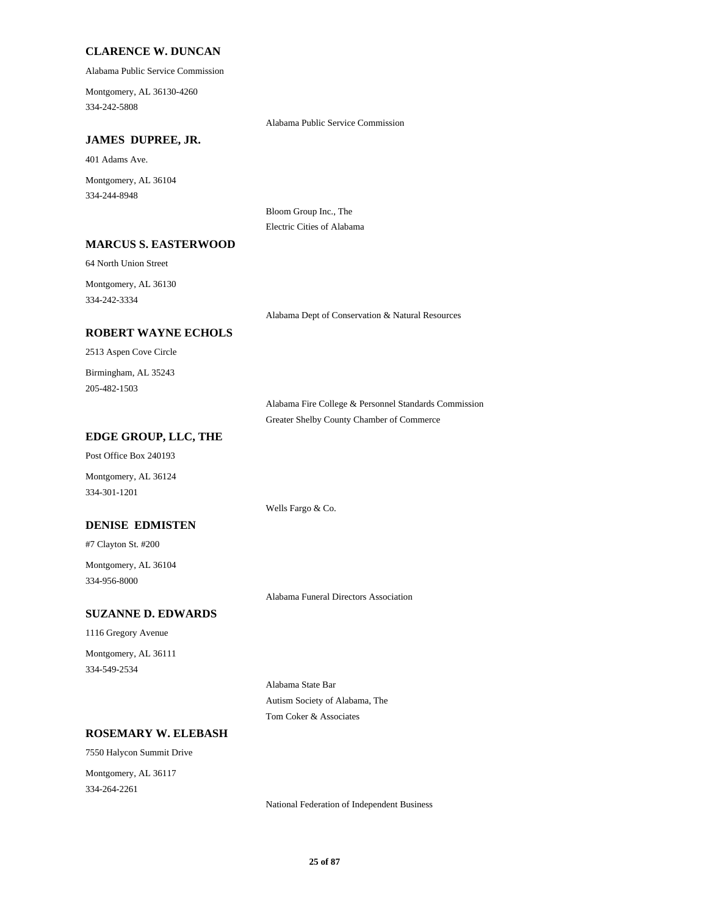### **CLARENCE W. DUNCAN**

Alabama Public Service Commission

334-242-5808 Montgomery, AL 36130-4260

Alabama Public Service Commission

### **JAMES DUPREE, JR.**

401 Adams Ave.

334-244-8948 Montgomery, AL 36104

> Bloom Group Inc., The Electric Cities of Alabama

### **MARCUS S. EASTERWOOD**

64 North Union Street

334-242-3334 Montgomery, AL 36130

Alabama Dept of Conservation & Natural Resources

### **ROBERT WAYNE ECHOLS**

2513 Aspen Cove Circle

205-482-1503 Birmingham, AL 35243

> Alabama Fire College & Personnel Standards Commission Greater Shelby County Chamber of Commerce

#### **EDGE GROUP, LLC, THE**

Post Office Box 240193

Montgomery, AL 36124 334-301-1201

#### **DENISE EDMISTEN**

#7 Clayton St. #200

334-956-8000 Montgomery, AL 36104

Alabama Funeral Directors Association

Wells Fargo & Co.

### **SUZANNE D. EDWARDS**

1116 Gregory Avenue

334-549-2534 Montgomery, AL 36111

Alabama State Bar

Autism Society of Alabama, The Tom Coker & Associates

### **ROSEMARY W. ELEBASH**

7550 Halycon Summit Drive Montgomery, AL 36117

334-264-2261

National Federation of Independent Business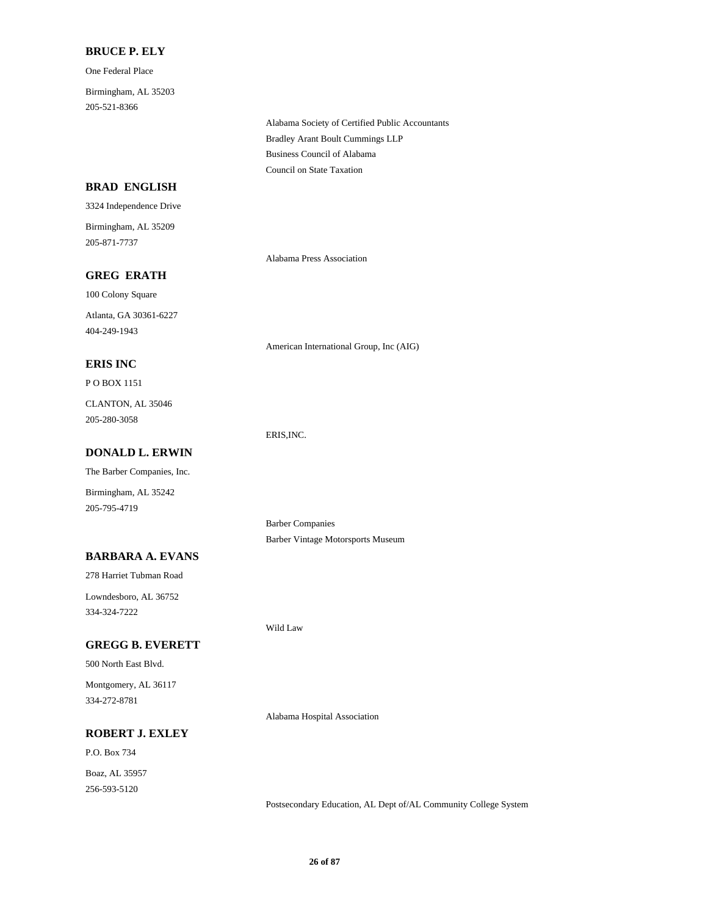### **BRUCE P. ELY**

One Federal Place

205-521-8366 Birmingham, AL 35203

> Bradley Arant Boult Cummings LLP Alabama Society of Certified Public Accountants Council on State Taxation Business Council of Alabama

### **BRAD ENGLISH**

3324 Independence Drive 205-871-7737 Birmingham, AL 35209

### **GREG ERATH**

100 Colony Square Atlanta, GA 30361-6227

404-249-1943

### **ERIS INC**

P O BOX 1151

205-280-3058 CLANTON, AL 35046

### **DONALD L. ERWIN**

The Barber Companies, Inc.

Birmingham, AL 35242 205-795-4719

Barber Companies Barber Vintage Motorsports Museum

American International Group, Inc (AIG)

Alabama Press Association

### **BARBARA A. EVANS**

278 Harriet Tubman Road

334-324-7222 Lowndesboro, AL 36752

### **GREGG B. EVERETT**

500 North East Blvd.

334-272-8781 Montgomery, AL 36117

### **ROBERT J. EXLEY**

P.O. Box 734 256-593-5120 Boaz, AL 35957

Wild Law

ERIS,INC.

Alabama Hospital Association

Postsecondary Education, AL Dept of/AL Community College System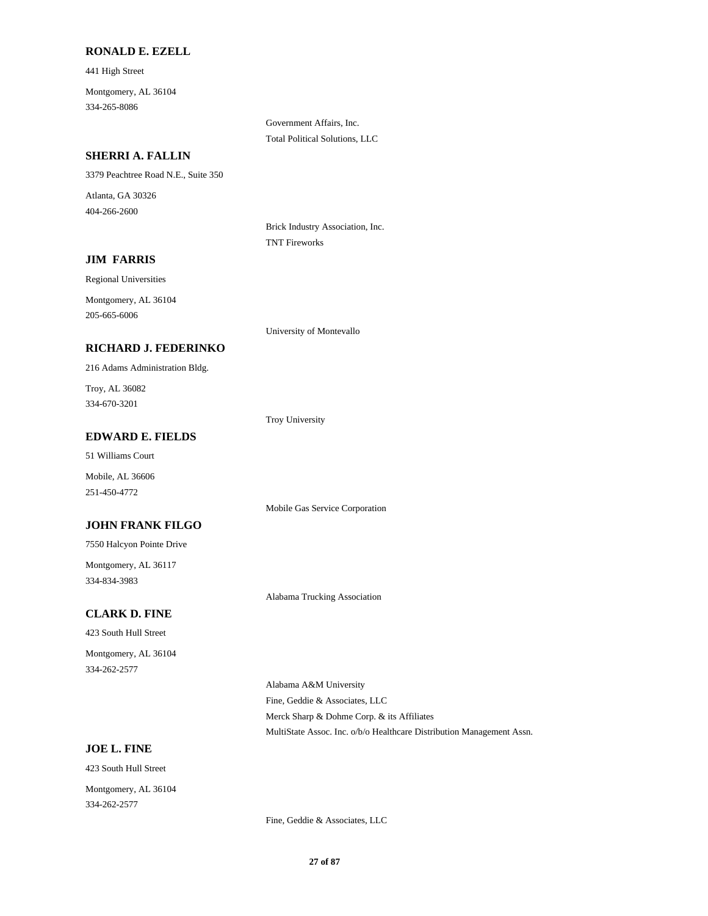#### **RONALD E. EZELL**

441 High Street 334-265-8086 Montgomery, AL 36104

> Government Affairs, Inc. Total Political Solutions, LLC

### **SHERRI A. FALLIN**

3379 Peachtree Road N.E., Suite 350

404-266-2600 Atlanta, GA 30326

> Brick Industry Association, Inc. TNT Fireworks

### **JIM FARRIS**

Regional Universities

205-665-6006 Montgomery, AL 36104

University of Montevallo

### **RICHARD J. FEDERINKO**

216 Adams Administration Bldg.

334-670-3201 Troy, AL 36082

Troy University

#### **EDWARD E. FIELDS**

51 Williams Court

251-450-4772 Mobile, AL 36606

Mobile Gas Service Corporation

### **JOHN FRANK FILGO**

7550 Halcyon Pointe Drive

334-834-3983 Montgomery, AL 36117

Alabama Trucking Association

### **CLARK D. FINE**

423 South Hull Street

334-262-2577 Montgomery, AL 36104

> Fine, Geddie & Associates, LLC Alabama A&M University MultiState Assoc. Inc. o/b/o Healthcare Distribution Management Assn. Merck Sharp & Dohme Corp. & its Affiliates

### **JOE L. FINE**

423 South Hull Street 334-262-2577 Montgomery, AL 36104

Fine, Geddie & Associates, LLC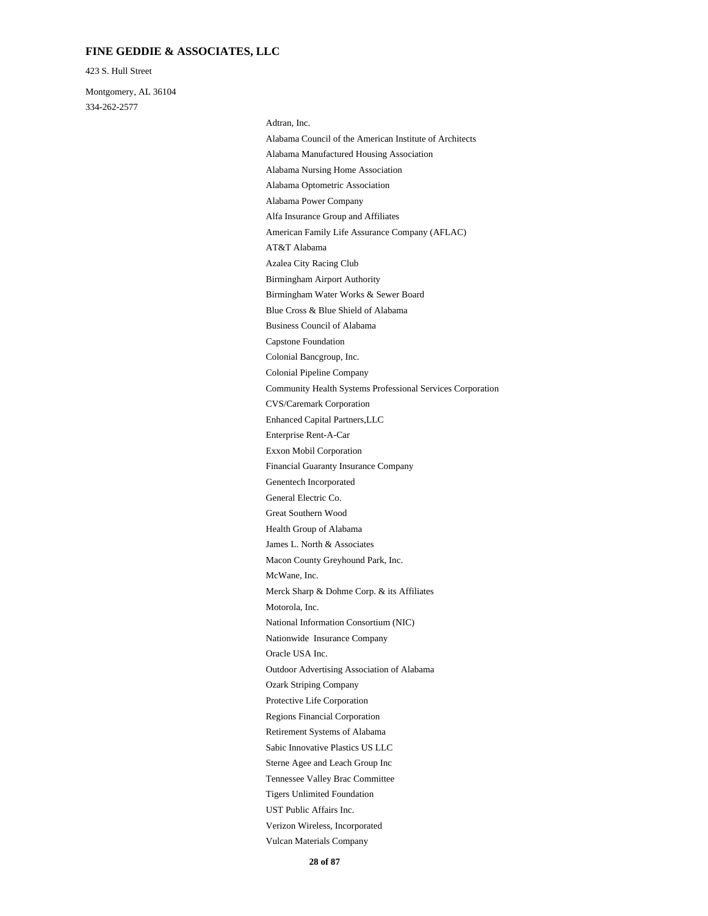### **FINE GEDDIE & ASSOCIATES, LLC**

423 S. Hull Street

334-262-2577 Montgomery, AL 36104

Motorola, Inc. Merck Sharp & Dohme Corp. & its Affiliates National Information Consortium (NIC) Oracle USA Inc. Nationwide Insurance Company McWane, Inc. Great Southern Wood General Electric Co. Health Group of Alabama Macon County Greyhound Park, Inc. James L. North & Associates Outdoor Advertising Association of Alabama Tigers Unlimited Foundation Tennessee Valley Brac Committee UST Public Affairs Inc. Vulcan Materials Company Verizon Wireless, Incorporated Sterne Agee and Leach Group Inc Protective Life Corporation Ozark Striping Company Regions Financial Corporation Sabic Innovative Plastics US LLC Retirement Systems of Alabama AT&T Alabama American Family Life Assurance Company (AFLAC) Alfa Insurance Group and Affiliates Birmingham Water Works & Sewer Board Birmingham Airport Authority Azalea City Racing Club Alabama Manufactured Housing Association Alabama Council of the American Institute of Architects Adtran, Inc. Alabama Power Company Alabama Optometric Association Alabama Nursing Home Association Enterprise Rent-A-Car Enhanced Capital Partners,LLC CVS/Caremark Corporation Genentech Incorporated Financial Guaranty Insurance Company Exxon Mobil Corporation Capstone Foundation Business Council of Alabama Blue Cross & Blue Shield of Alabama Community Health Systems Professional Services Corporation Colonial Pipeline Company Colonial Bancgroup, Inc.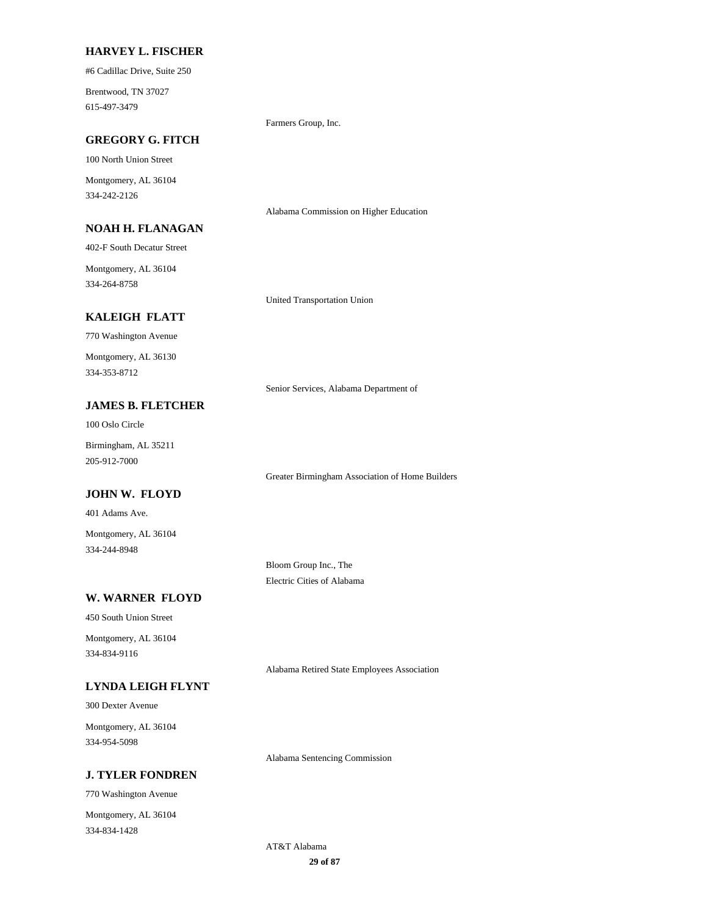#### **HARVEY L. FISCHER**

#6 Cadillac Drive, Suite 250

615-497-3479 Brentwood, TN 37027

Farmers Group, Inc.

### **GREGORY G. FITCH**

100 North Union Street

334-242-2126 Montgomery, AL 36104

### **NOAH H. FLANAGAN**

402-F South Decatur Street

334-264-8758 Montgomery, AL 36104

United Transportation Union

### **KALEIGH FLATT**

770 Washington Avenue

334-353-8712 Montgomery, AL 36130

Senior Services, Alabama Department of

Alabama Commission on Higher Education

Greater Birmingham Association of Home Builders

### **JAMES B. FLETCHER**

100 Oslo Circle

205-912-7000 Birmingham, AL 35211

### **JOHN W. FLOYD**

401 Adams Ave.

334-244-8948 Montgomery, AL 36104

> Bloom Group Inc., The Electric Cities of Alabama

### **W. WARNER FLOYD**

450 South Union Street

334-834-9116 Montgomery, AL 36104

**LYNDA LEIGH FLYNT**

300 Dexter Avenue

334-954-5098 Montgomery, AL 36104

**J. TYLER FONDREN**

770 Washington Avenue

334-834-1428 Montgomery, AL 36104 Alabama Retired State Employees Association

Alabama Sentencing Commission

**29 of 87** AT&T Alabama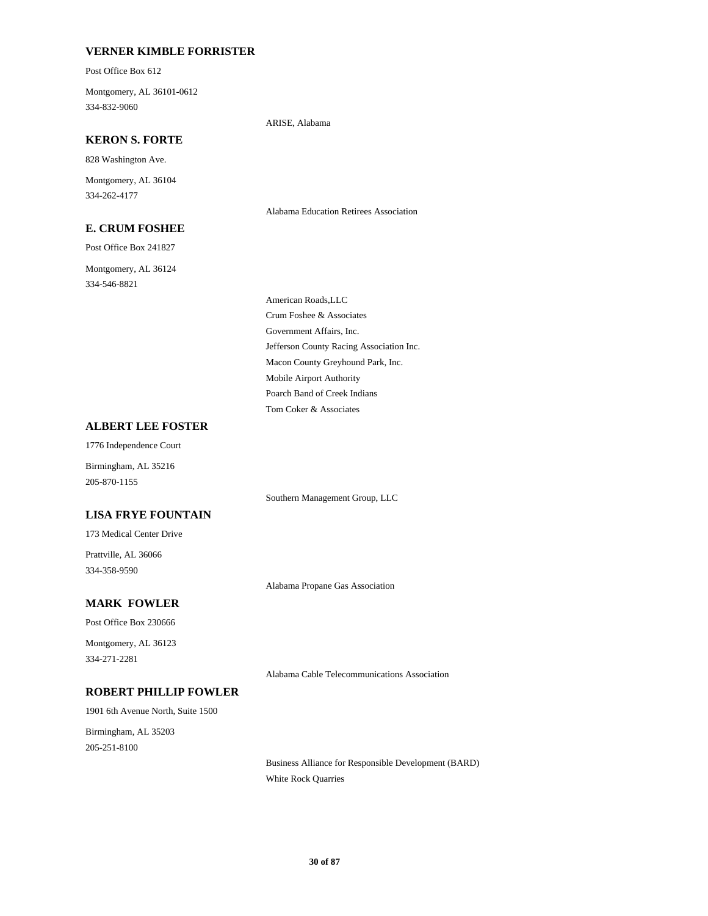### **VERNER KIMBLE FORRISTER**

Post Office Box 612

334-832-9060 Montgomery, AL 36101-0612

ARISE, Alabama

### **KERON S. FORTE**

828 Washington Ave.

334-262-4177 Montgomery, AL 36104

### **E. CRUM FOSHEE**

Post Office Box 241827

334-546-8821 Montgomery, AL 36124 Alabama Education Retirees Association

Government Affairs, Inc. Jefferson County Racing Association Inc. American Roads,LLC Crum Foshee & Associates Poarch Band of Creek Indians Tom Coker & Associates Macon County Greyhound Park, Inc. Mobile Airport Authority

### **ALBERT LEE FOSTER**

1776 Independence Court

Birmingham, AL 35216 205-870-1155

Southern Management Group, LLC

### **LISA FRYE FOUNTAIN**

173 Medical Center Drive

334-358-9590 Prattville, AL 36066

Alabama Propane Gas Association

### **MARK FOWLER**

Post Office Box 230666

334-271-2281 Montgomery, AL 36123

Alabama Cable Telecommunications Association

### **ROBERT PHILLIP FOWLER**

1901 6th Avenue North, Suite 1500

205-251-8100 Birmingham, AL 35203

> Business Alliance for Responsible Development (BARD) White Rock Quarries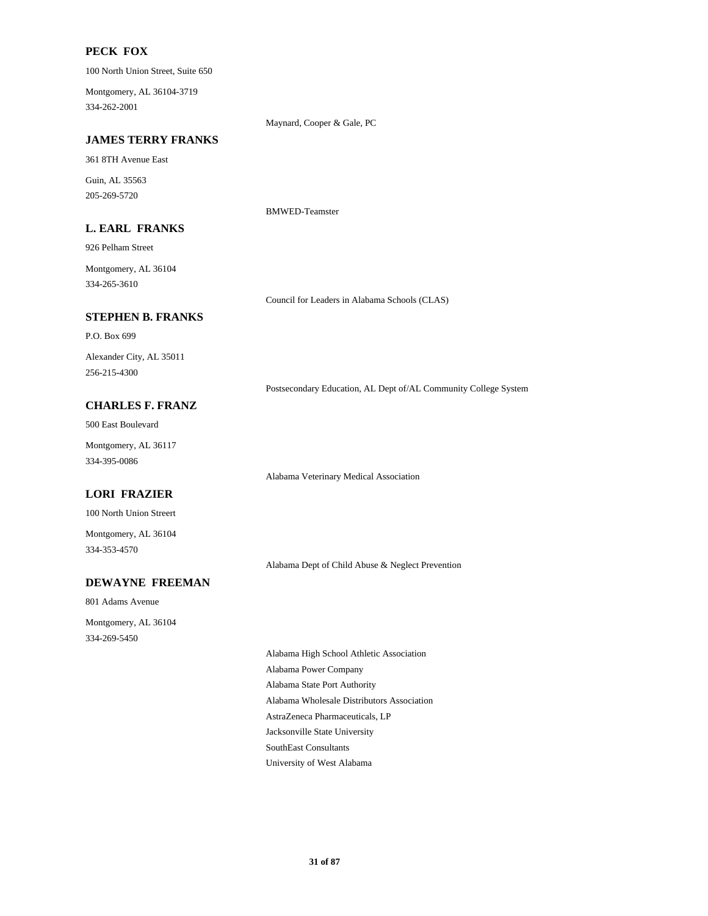### **PECK FOX**

100 North Union Street, Suite 650

334-262-2001 Montgomery, AL 36104-3719

Maynard, Cooper & Gale, PC

### **JAMES TERRY FRANKS**

361 8TH Avenue East

205-269-5720 Guin, AL 35563

BMWED-Teamster

### **L. EARL FRANKS**

926 Pelham Street

334-265-3610 Montgomery, AL 36104

Council for Leaders in Alabama Schools (CLAS)

### **STEPHEN B. FRANKS**

P.O. Box 699

256-215-4300 Alexander City, AL 35011

Postsecondary Education, AL Dept of/AL Community College System

### **CHARLES F. FRANZ**

500 East Boulevard

334-395-0086 Montgomery, AL 36117

### **LORI FRAZIER**

100 North Union Streert

334-353-4570 Montgomery, AL 36104

Alabama Dept of Child Abuse & Neglect Prevention

Alabama Veterinary Medical Association

801 Adams Avenue 334-269-5450 Montgomery, AL 36104

**DEWAYNE FREEMAN**

Alabama State Port Authority Alabama Wholesale Distributors Association Alabama High School Athletic Association Alabama Power Company SouthEast Consultants University of West Alabama AstraZeneca Pharmaceuticals, LP Jacksonville State University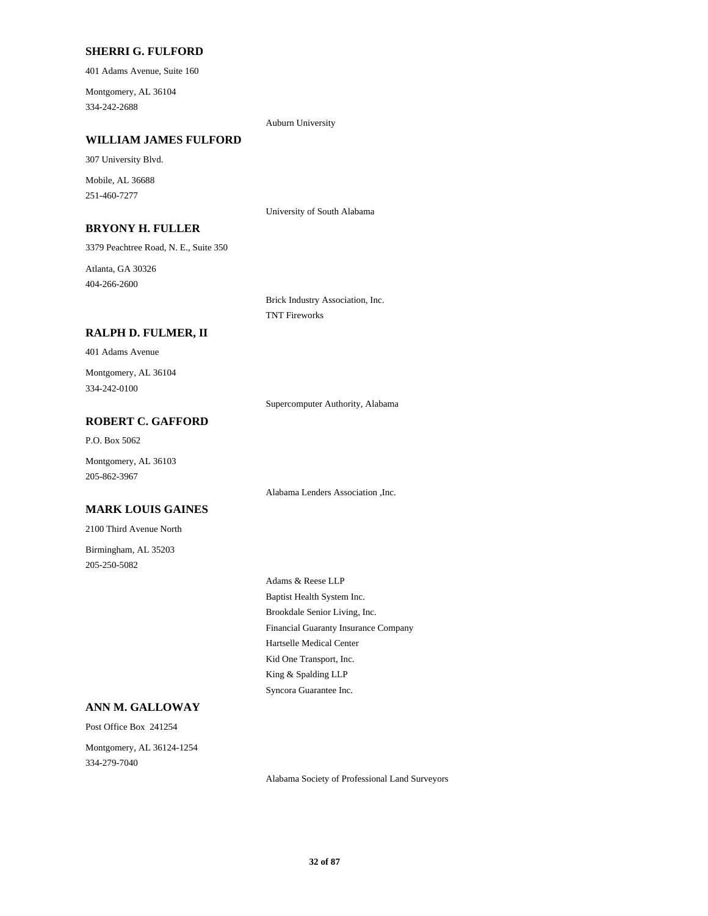#### **SHERRI G. FULFORD**

401 Adams Avenue, Suite 160

334-242-2688 Montgomery, AL 36104

Auburn University

### **WILLIAM JAMES FULFORD**

307 University Blvd.

251-460-7277 Mobile, AL 36688

University of South Alabama

### **BRYONY H. FULLER**

3379 Peachtree Road, N. E., Suite 350

404-266-2600 Atlanta, GA 30326

> Brick Industry Association, Inc. TNT Fireworks

### **RALPH D. FULMER, II**

401 Adams Avenue

334-242-0100 Montgomery, AL 36104

Supercomputer Authority, Alabama

### **ROBERT C. GAFFORD**

P.O. Box 5062

Montgomery, AL 36103 205-862-3967

Alabama Lenders Association ,Inc.

#### **MARK LOUIS GAINES**

2100 Third Avenue North

205-250-5082 Birmingham, AL 35203

> Brookdale Senior Living, Inc. Financial Guaranty Insurance Company Adams & Reese LLP Baptist Health System Inc. King & Spalding LLP Syncora Guarantee Inc. Hartselle Medical Center Kid One Transport, Inc.

### **ANN M. GALLOWAY**

Post Office Box 241254

334-279-7040 Montgomery, AL 36124-1254

Alabama Society of Professional Land Surveyors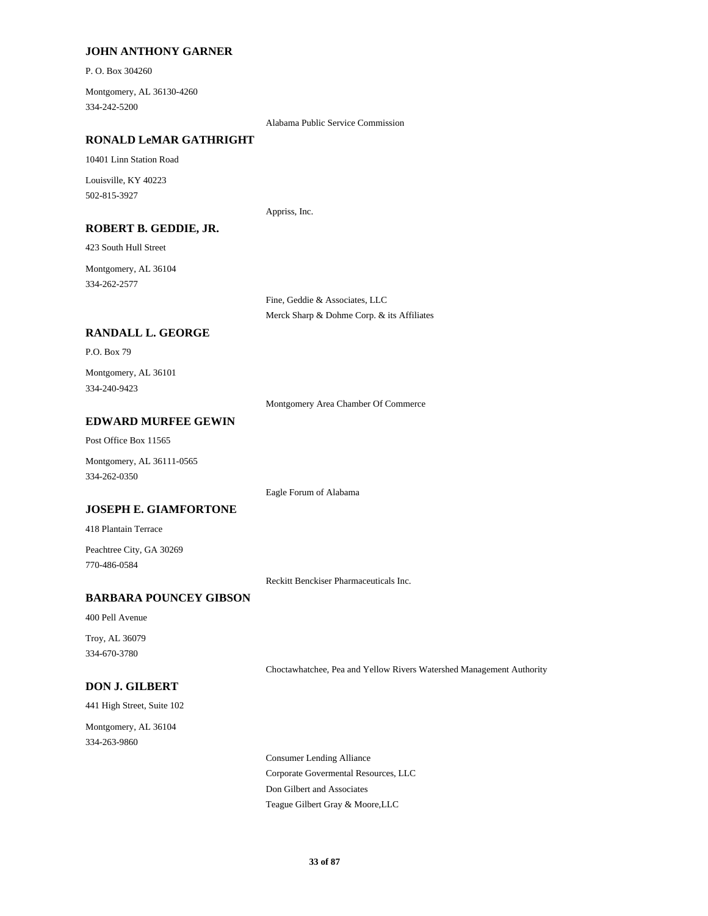### **JOHN ANTHONY GARNER**

P. O. Box 304260

334-242-5200 Montgomery, AL 36130-4260

Alabama Public Service Commission

### **RONALD LeMAR GATHRIGHT**

10401 Linn Station Road

502-815-3927 Louisville, KY 40223

Appriss, Inc.

### **ROBERT B. GEDDIE, JR.**

423 South Hull Street

334-262-2577 Montgomery, AL 36104

> Fine, Geddie & Associates, LLC Merck Sharp & Dohme Corp. & its Affiliates

### **RANDALL L. GEORGE**

P.O. Box 79

334-240-9423 Montgomery, AL 36101

Montgomery Area Chamber Of Commerce

### **EDWARD MURFEE GEWIN**

Post Office Box 11565

334-262-0350 Montgomery, AL 36111-0565

Eagle Forum of Alabama

#### **JOSEPH E. GIAMFORTONE**

418 Plantain Terrace

770-486-0584 Peachtree City, GA 30269

Reckitt Benckiser Pharmaceuticals Inc.

### **BARBARA POUNCEY GIBSON**

400 Pell Avenue

334-670-3780 Troy, AL 36079

Choctawhatchee, Pea and Yellow Rivers Watershed Management Authority

### **DON J. GILBERT**

441 High Street, Suite 102

334-263-9860 Montgomery, AL 36104

> Corporate Govermental Resources, LLC Consumer Lending Alliance Teague Gilbert Gray & Moore,LLC Don Gilbert and Associates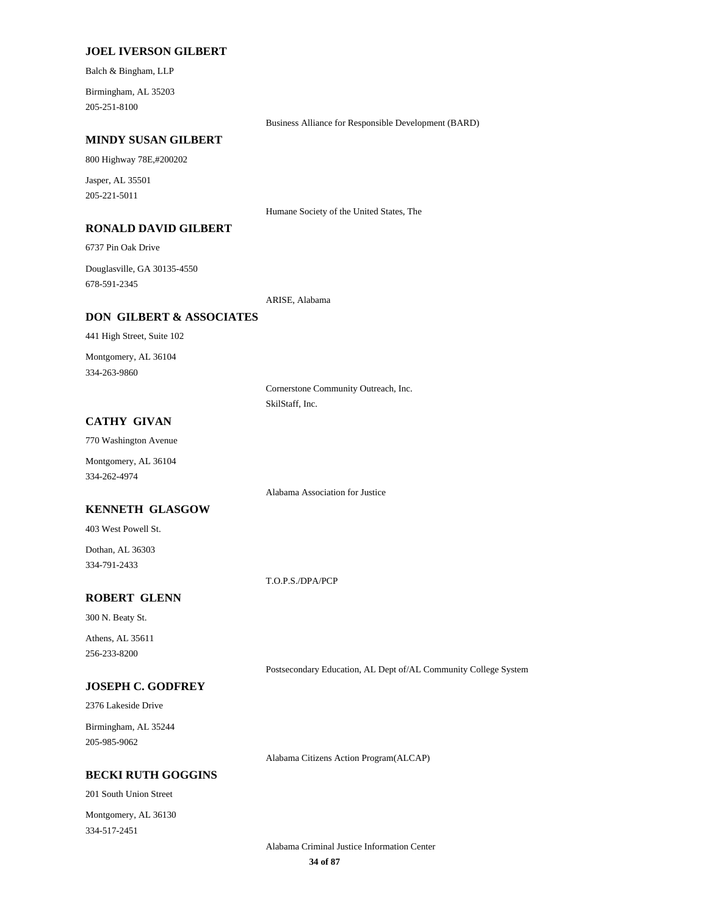#### **JOEL IVERSON GILBERT**

Balch & Bingham, LLP

205-251-8100 Birmingham, AL 35203

Business Alliance for Responsible Development (BARD)

### **MINDY SUSAN GILBERT**

800 Highway 78E,#200202

205-221-5011 Jasper, AL 35501

**RONALD DAVID GILBERT**

6737 Pin Oak Drive

678-591-2345 Douglasville, GA 30135-4550

ARISE, Alabama

### **DON GILBERT & ASSOCIATES**

441 High Street, Suite 102

334-263-9860 Montgomery, AL 36104

> Cornerstone Community Outreach, Inc. SkilStaff, Inc.

Humane Society of the United States, The

### **CATHY GIVAN**

770 Washington Avenue

334-262-4974 Montgomery, AL 36104

Alabama Association for Justice

#### **KENNETH GLASGOW**

403 West Powell St.

334-791-2433 Dothan, AL 36303

T.O.P.S./DPA/PCP

### **ROBERT GLENN**

300 N. Beaty St.

256-233-8200 Athens, AL 35611

Postsecondary Education, AL Dept of/AL Community College System

### **JOSEPH C. GODFREY**

2376 Lakeside Drive

205-985-9062 Birmingham, AL 35244

Alabama Citizens Action Program(ALCAP)

### **BECKI RUTH GOGGINS**

201 South Union Street

334-517-2451 Montgomery, AL 36130

> **34 of 87** Alabama Criminal Justice Information Center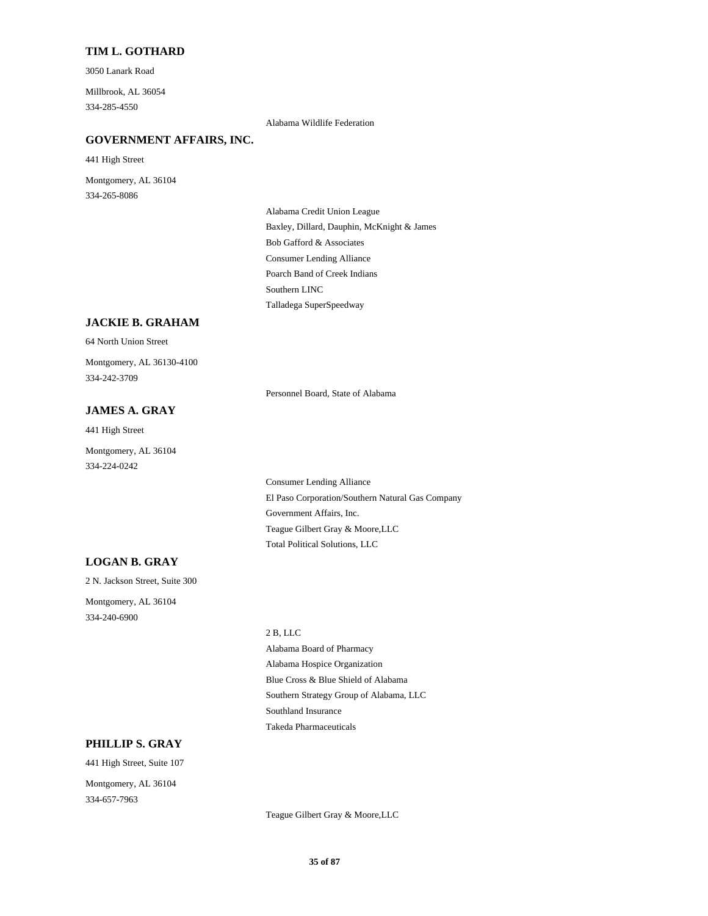### **TIM L. GOTHARD**

3050 Lanark Road

334-285-4550 Millbrook, AL 36054

Alabama Wildlife Federation

### **GOVERNMENT AFFAIRS, INC.**

441 High Street

334-265-8086 Montgomery, AL 36104

> Bob Gafford & Associates Baxley, Dillard, Dauphin, McKnight & James Alabama Credit Union League Consumer Lending Alliance Talladega SuperSpeedway Southern LINC Poarch Band of Creek Indians

### **JACKIE B. GRAHAM**

#### 64 North Union Street

334-242-3709 Montgomery, AL 36130-4100

Personnel Board, State of Alabama

### **JAMES A. GRAY**

441 High Street

334-224-0242 Montgomery, AL 36104

> El Paso Corporation/Southern Natural Gas Company Consumer Lending Alliance Government Affairs, Inc. Total Political Solutions, LLC Teague Gilbert Gray & Moore,LLC

### **LOGAN B. GRAY**

2 N. Jackson Street, Suite 300

334-240-6900 Montgomery, AL 36104

#### 2 B, LLC

Alabama Hospice Organization Alabama Board of Pharmacy Blue Cross & Blue Shield of Alabama Takeda Pharmaceuticals Southland Insurance Southern Strategy Group of Alabama, LLC

### **PHILLIP S. GRAY**

441 High Street, Suite 107 Montgomery, AL 36104

334-657-7963

Teague Gilbert Gray & Moore,LLC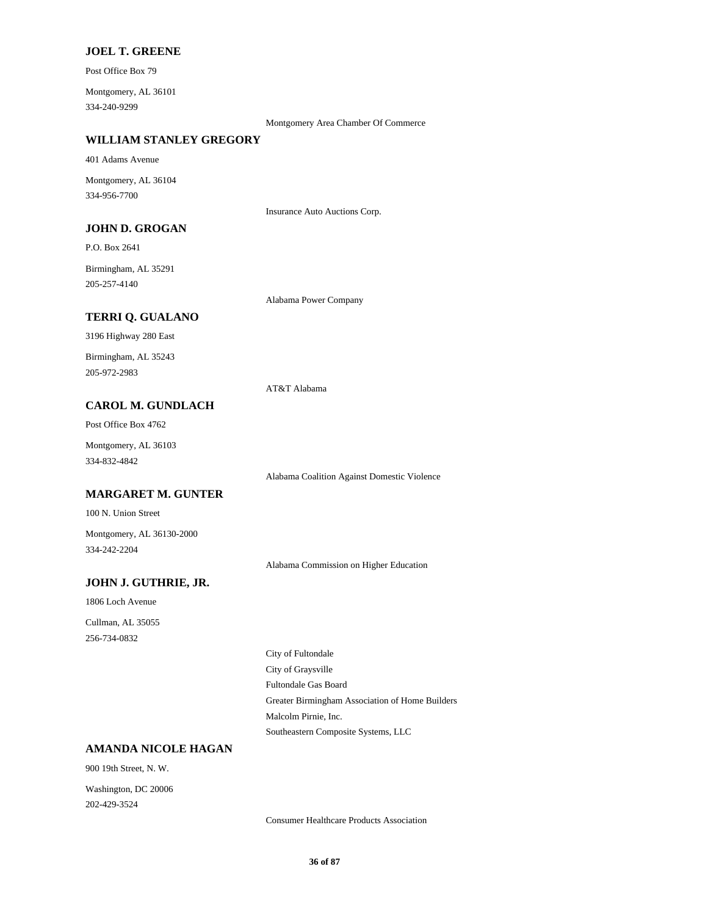### **JOEL T. GREENE**

Post Office Box 79

334-240-9299 Montgomery, AL 36101

Montgomery Area Chamber Of Commerce

### **WILLIAM STANLEY GREGORY**

401 Adams Avenue

334-956-7700 Montgomery, AL 36104

Insurance Auto Auctions Corp.

### **JOHN D. GROGAN**

P.O. Box 2641

205-257-4140 Birmingham, AL 35291

Alabama Power Company

### **TERRI Q. GUALANO**

3196 Highway 280 East

205-972-2983 Birmingham, AL 35243

AT&T Alabama

### **CAROL M. GUNDLACH**

Post Office Box 4762

334-832-4842 Montgomery, AL 36103

**MARGARET M. GUNTER**

100 N. Union Street

334-242-2204 Montgomery, AL 36130-2000

Alabama Commission on Higher Education

Alabama Coalition Against Domestic Violence

### **JOHN J. GUTHRIE, JR.**

1806 Loch Avenue 256-734-0832 Cullman, AL 35055

> Fultondale Gas Board City of Graysville City of Fultondale Southeastern Composite Systems, LLC Malcolm Pirnie, Inc. Greater Birmingham Association of Home Builders

### **AMANDA NICOLE HAGAN**

900 19th Street, N. W.

202-429-3524 Washington, DC 20006

Consumer Healthcare Products Association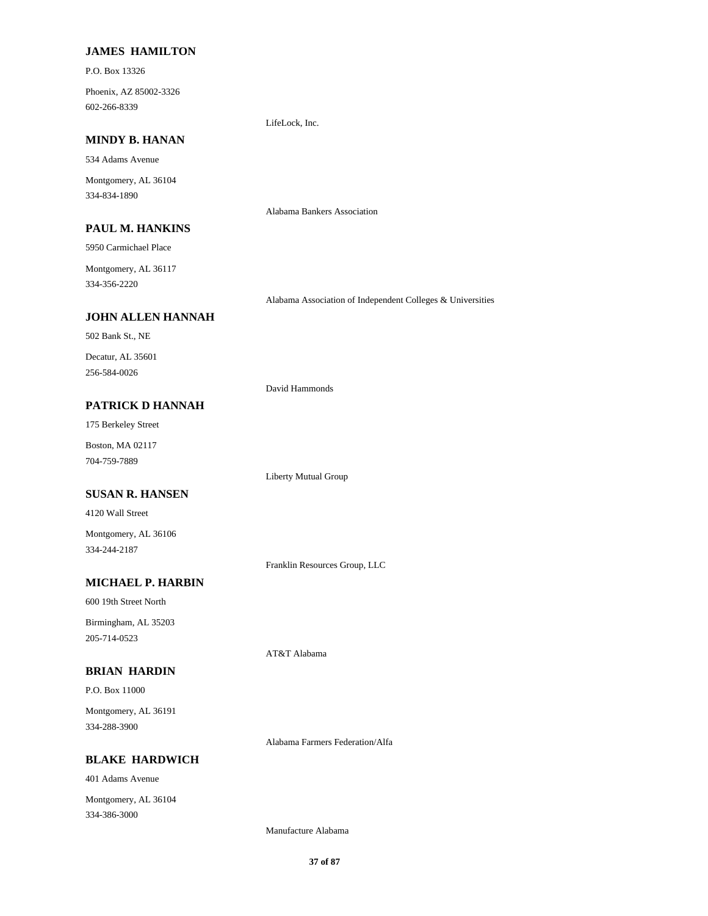### **JAMES HAMILTON**

P.O. Box 13326

602-266-8339 Phoenix, AZ 85002-3326

#### **MINDY B. HANAN**

534 Adams Avenue

334-834-1890 Montgomery, AL 36104

#### **PAUL M. HANKINS**

5950 Carmichael Place

334-356-2220 Montgomery, AL 36117

Alabama Association of Independent Colleges & Universities

# **JOHN ALLEN HANNAH**

502 Bank St., NE

256-584-0026 Decatur, AL 35601

#### David Hammonds

Alabama Bankers Association

LifeLock, Inc.

Liberty Mutual Group

175 Berkeley Street

**PATRICK D HANNAH**

704-759-7889 Boston, MA 02117

#### **SUSAN R. HANSEN**

4120 Wall Street

334-244-2187 Montgomery, AL 36106

Franklin Resources Group, LLC

AT&T Alabama

## **MICHAEL P. HARBIN**

600 19th Street North

205-714-0523 Birmingham, AL 35203

### **BRIAN HARDIN**

P.O. Box 11000

334-288-3900 Montgomery, AL 36191

**BLAKE HARDWICH**

401 Adams Avenue 334-386-3000 Montgomery, AL 36104

Alabama Farmers Federation/Alfa

Manufacture Alabama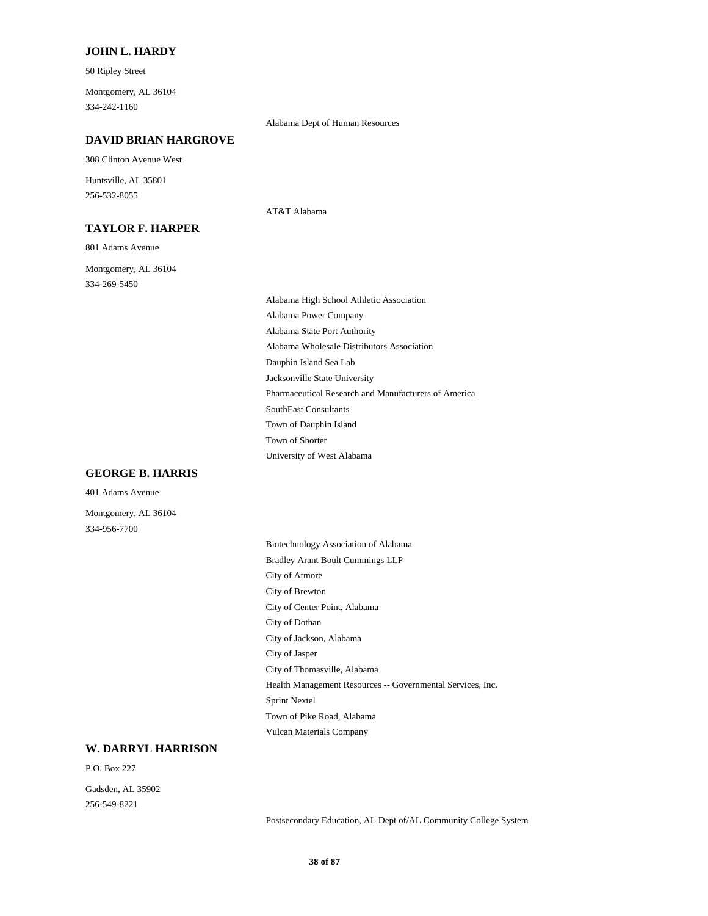#### **JOHN L. HARDY**

50 Ripley Street

334-242-1160 Montgomery, AL 36104

#### Alabama Dept of Human Resources

AT&T Alabama

#### **DAVID BRIAN HARGROVE**

308 Clinton Avenue West

256-532-8055 Huntsville, AL 35801

#### **TAYLOR F. HARPER**

801 Adams Avenue

334-269-5450 Montgomery, AL 36104

## **GEORGE B. HARRIS**

401 Adams Avenue

334-956-7700 Montgomery, AL 36104 Alabama Wholesale Distributors Association Dauphin Island Sea Lab Alabama State Port Authority Alabama Power Company Jacksonville State University Town of Shorter University of West Alabama Town of Dauphin Island Pharmaceutical Research and Manufacturers of America SouthEast Consultants

Alabama High School Athletic Association

City of Brewton City of Center Point, Alabama City of Dothan Biotechnology Association of Alabama Bradley Arant Boult Cummings LLP City of Atmore City of Jackson, Alabama Sprint Nextel Town of Pike Road, Alabama Vulcan Materials Company City of Jasper City of Thomasville, Alabama Health Management Resources -- Governmental Services, Inc.

## **W. DARRYL HARRISON**

P.O. Box 227

256-549-8221 Gadsden, AL 35902

Postsecondary Education, AL Dept of/AL Community College System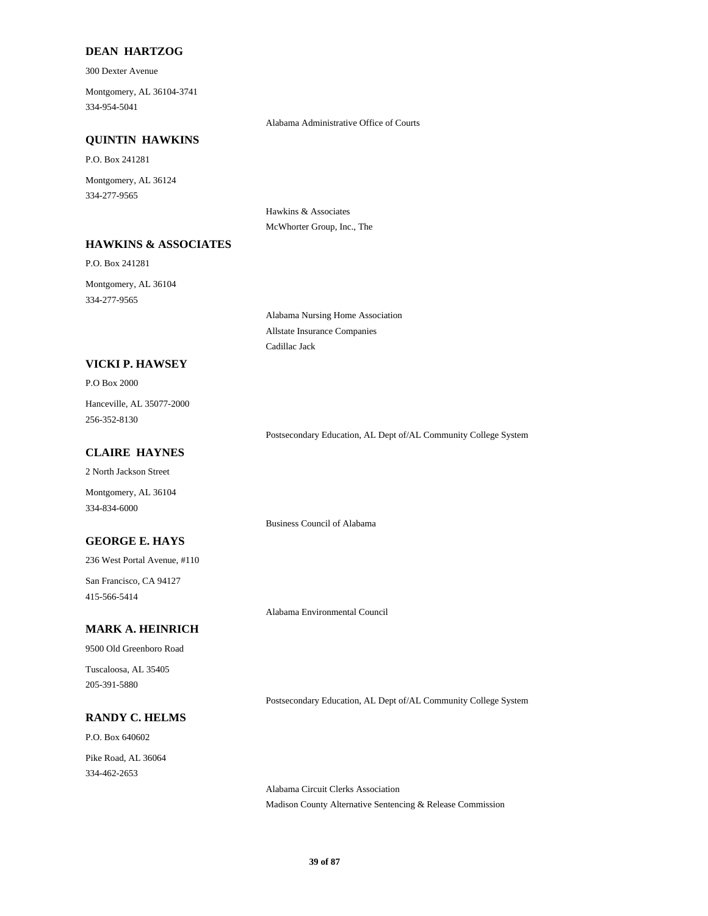## **DEAN HARTZOG**

300 Dexter Avenue

334-954-5041 Montgomery, AL 36104-3741

Alabama Administrative Office of Courts

### **QUINTIN HAWKINS**

**HAWKINS & ASSOCIATES**

P.O. Box 241281

334-277-9565 Montgomery, AL 36124

> Hawkins & Associates McWhorter Group, Inc., The

P.O. Box 241281

334-277-9565 Montgomery, AL 36104

> Alabama Nursing Home Association Allstate Insurance Companies Cadillac Jack

## **VICKI P. HAWSEY**

#### P.O Box 2000

256-352-8130 Hanceville, AL 35077-2000

## **CLAIRE HAYNES**

Montgomery, AL 36104 334-834-6000 2 North Jackson Street

## **GEORGE E. HAYS**

236 West Portal Avenue, #110

415-566-5414 San Francisco, CA 94127

Alabama Environmental Council

Business Council of Alabama

## **MARK A. HEINRICH**

9500 Old Greenboro Road

205-391-5880 Tuscaloosa, AL 35405

#### **RANDY C. HELMS**

P.O. Box 640602 334-462-2653 Pike Road, AL 36064

Postsecondary Education, AL Dept of/AL Community College System

Postsecondary Education, AL Dept of/AL Community College System

Alabama Circuit Clerks Association Madison County Alternative Sentencing & Release Commission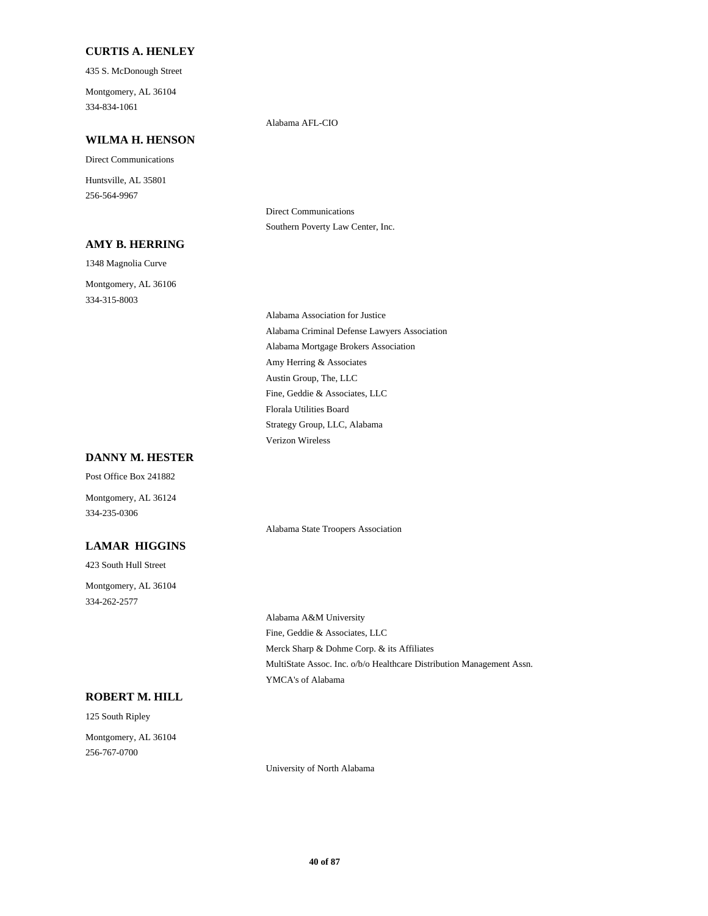### **CURTIS A. HENLEY**

435 S. McDonough Street

334-834-1061 Montgomery, AL 36104

# **WILMA H. HENSON**

Direct Communications

256-564-9967 Huntsville, AL 35801

### **AMY B. HERRING**

1348 Magnolia Curve

334-315-8003

Montgomery, AL 36106

Southern Poverty Law Center, Inc.

Direct Communications

Alabama AFL-CIO

Alabama Mortgage Brokers Association Amy Herring & Associates Alabama Association for Justice Alabama Criminal Defense Lawyers Association Austin Group, The, LLC Strategy Group, LLC, Alabama Verizon Wireless Fine, Geddie & Associates, LLC Florala Utilities Board

Alabama State Troopers Association

## **DANNY M. HESTER**

334-235-0306 Montgomery, AL 36124 Post Office Box 241882

## **LAMAR HIGGINS**

423 South Hull Street 334-262-2577 Montgomery, AL 36104

> Fine, Geddie & Associates, LLC Alabama A&M University Merck Sharp & Dohme Corp. & its Affiliates YMCA's of Alabama MultiState Assoc. Inc. o/b/o Healthcare Distribution Management Assn.

#### **ROBERT M. HILL**

256-767-0700 Montgomery, AL 36104

125 South Ripley

University of North Alabama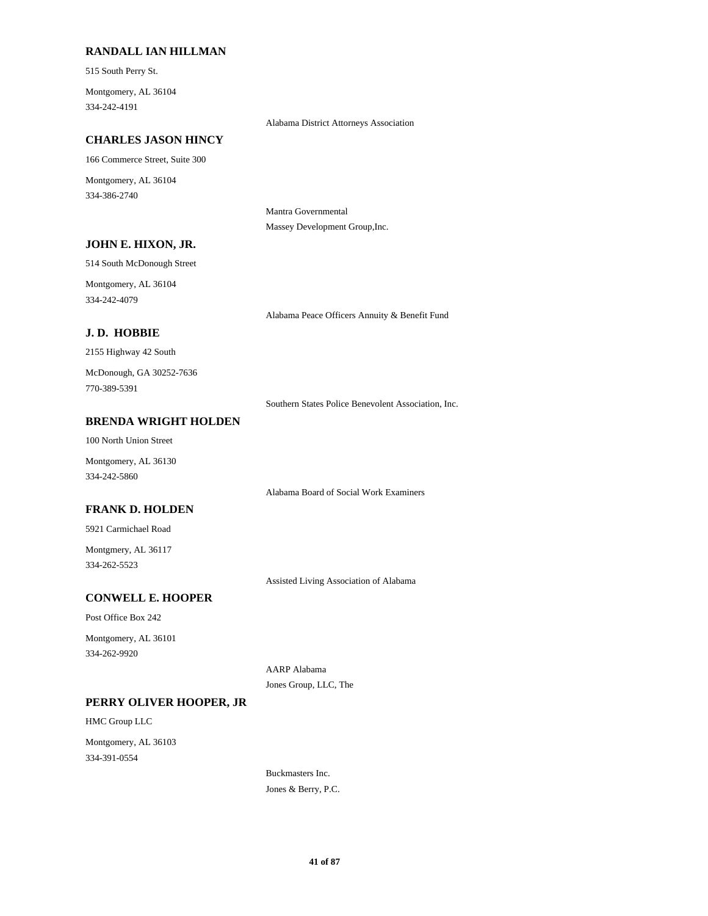## **RANDALL IAN HILLMAN**

515 South Perry St.

334-242-4191 Montgomery, AL 36104

#### Alabama District Attorneys Association

#### **CHARLES JASON HINCY**

166 Commerce Street, Suite 300

334-386-2740 Montgomery, AL 36104

> Mantra Governmental Massey Development Group,Inc.

## **JOHN E. HIXON, JR.**

514 South McDonough Street

334-242-4079 Montgomery, AL 36104

### **J. D. HOBBIE**

2155 Highway 42 South

770-389-5391 McDonough, GA 30252-7636

Southern States Police Benevolent Association, Inc.

Alabama Peace Officers Annuity & Benefit Fund

## **BRENDA WRIGHT HOLDEN**

100 North Union Street

334-242-5860 Montgomery, AL 36130

Alabama Board of Social Work Examiners

#### **FRANK D. HOLDEN**

5921 Carmichael Road

334-262-5523 Montgmery, AL 36117

Assisted Living Association of Alabama

## **CONWELL E. HOOPER**

Post Office Box 242

334-262-9920 Montgomery, AL 36101

> AARP Alabama Jones Group, LLC, The

#### **PERRY OLIVER HOOPER, JR**

HMC Group LLC

334-391-0554 Montgomery, AL 36103

> Buckmasters Inc. Jones & Berry, P.C.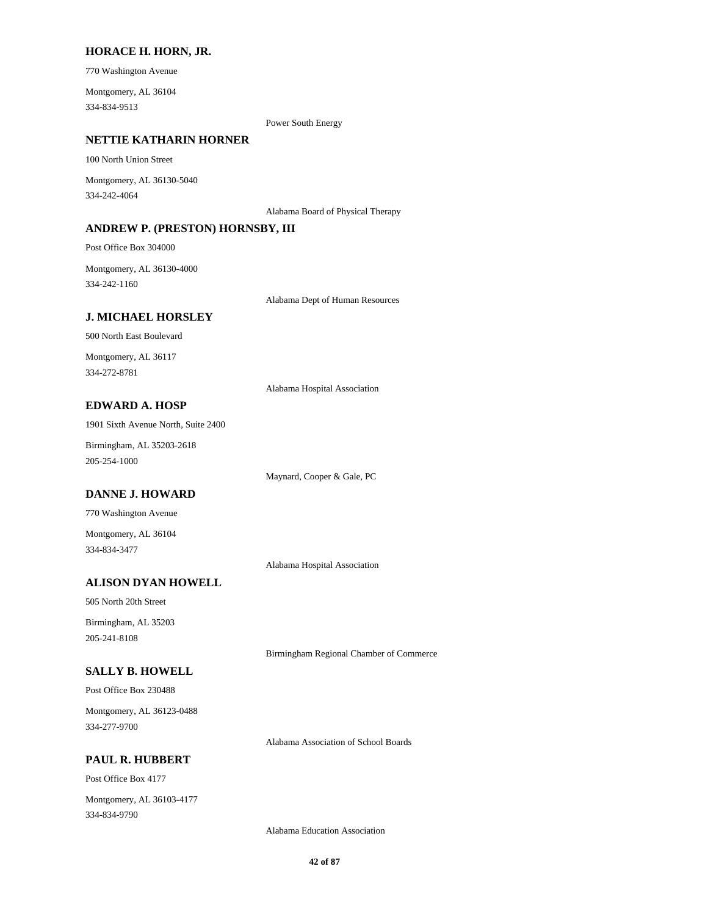#### **HORACE H. HORN, JR.**

770 Washington Avenue

334-834-9513 Montgomery, AL 36104

Power South Energy

### **NETTIE KATHARIN HORNER**

100 North Union Street

334-242-4064 Montgomery, AL 36130-5040

Alabama Board of Physical Therapy

#### **ANDREW P. (PRESTON) HORNSBY, III**

Post Office Box 304000

334-242-1160 Montgomery, AL 36130-4000

Alabama Dept of Human Resources

#### **J. MICHAEL HORSLEY**

500 North East Boulevard

334-272-8781 Montgomery, AL 36117

Alabama Hospital Association

## **EDWARD A. HOSP**

1901 Sixth Avenue North, Suite 2400

205-254-1000 Birmingham, AL 35203-2618

Maynard, Cooper & Gale, PC

## **DANNE J. HOWARD**

770 Washington Avenue

334-834-3477 Montgomery, AL 36104

Alabama Hospital Association

## **ALISON DYAN HOWELL**

505 North 20th Street

205-241-8108 Birmingham, AL 35203

Birmingham Regional Chamber of Commerce

## **SALLY B. HOWELL**

Post Office Box 230488

334-277-9700 Montgomery, AL 36123-0488

**PAUL R. HUBBERT**

Post Office Box 4177

334-834-9790 Montgomery, AL 36103-4177

Alabama Education Association

Alabama Association of School Boards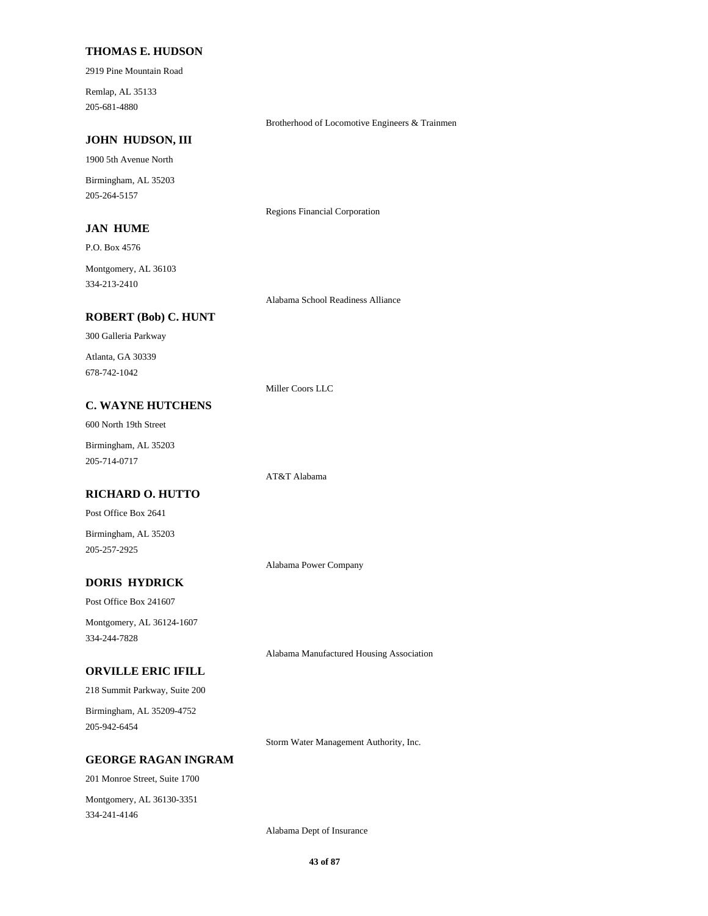#### **THOMAS E. HUDSON**

2919 Pine Mountain Road

205-681-4880 Remlap, AL 35133

Brotherhood of Locomotive Engineers & Trainmen

### **JOHN HUDSON, III**

1900 5th Avenue North

205-264-5157 Birmingham, AL 35203

### **JAN HUME**

Regions Financial Corporation

P.O. Box 4576 Montgomery, AL 36103

334-213-2410

Alabama School Readiness Alliance

# **ROBERT (Bob) C. HUNT**

300 Galleria Parkway

678-742-1042 Atlanta, GA 30339

Miller Coors LLC

AT&T Alabama

## **C. WAYNE HUTCHENS**

600 North 19th Street

205-714-0717 Birmingham, AL 35203

## **RICHARD O. HUTTO**

Post Office Box 2641

205-257-2925 Birmingham, AL 35203

Alabama Power Company

## **DORIS HYDRICK**

Post Office Box 241607

334-244-7828 Montgomery, AL 36124-1607

Alabama Manufactured Housing Association

## **ORVILLE ERIC IFILL**

218 Summit Parkway, Suite 200 Birmingham, AL 35209-4752

205-942-6454

Storm Water Management Authority, Inc.

## **GEORGE RAGAN INGRAM**

201 Monroe Street, Suite 1700 334-241-4146 Montgomery, AL 36130-3351

Alabama Dept of Insurance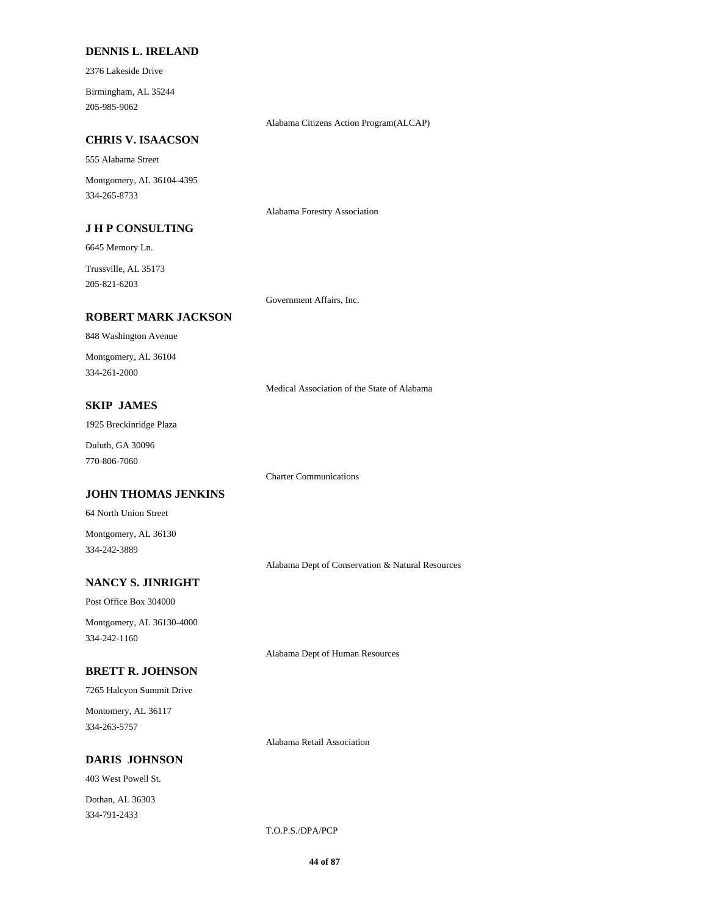#### **DENNIS L. IRELAND**

2376 Lakeside Drive

205-985-9062 Birmingham, AL 35244

Alabama Citizens Action Program(ALCAP)

### **CHRIS V. ISAACSON**

555 Alabama Street

334-265-8733 Montgomery, AL 36104-4395

#### **J H P CONSULTING**

6645 Memory Ln.

205-821-6203 Trussville, AL 35173

Government Affairs, Inc.

Alabama Forestry Association

Charter Communications

#### **ROBERT MARK JACKSON**

848 Washington Avenue

334-261-2000 Montgomery, AL 36104

Medical Association of the State of Alabama

## **SKIP JAMES**

1925 Breckinridge Plaza

770-806-7060 Duluth, GA 30096

#### **JOHN THOMAS JENKINS**

64 North Union Street

334-242-3889 Montgomery, AL 36130

Alabama Dept of Conservation & Natural Resources

## **NANCY S. JINRIGHT**

Post Office Box 304000

334-242-1160 Montgomery, AL 36130-4000

Alabama Dept of Human Resources

## **BRETT R. JOHNSON**

7265 Halcyon Summit Drive

334-263-5757 Montomery, AL 36117

Alabama Retail Association

#### **DARIS JOHNSON**

403 West Powell St.

334-791-2433 Dothan, AL 36303

T.O.P.S./DPA/PCP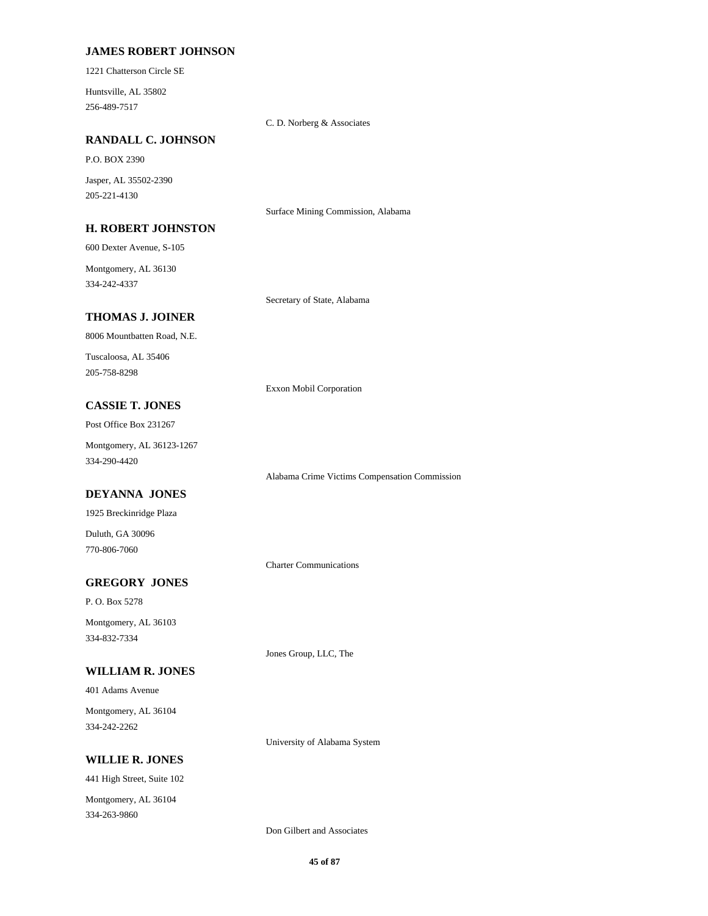### **JAMES ROBERT JOHNSON**

1221 Chatterson Circle SE

256-489-7517 Huntsville, AL 35802

C. D. Norberg & Associates

### **RANDALL C. JOHNSON**

P.O. BOX 2390

205-221-4130 Jasper, AL 35502-2390

Surface Mining Commission, Alabama

#### **H. ROBERT JOHNSTON**

600 Dexter Avenue, S-105

334-242-4337 Montgomery, AL 36130

Secretary of State, Alabama

## **THOMAS J. JOINER**

8006 Mountbatten Road, N.E.

205-758-8298 Tuscaloosa, AL 35406

Exxon Mobil Corporation

## **CASSIE T. JONES**

Post Office Box 231267

334-290-4420 Montgomery, AL 36123-1267

## **DEYANNA JONES**

1925 Breckinridge Plaza

770-806-7060 Duluth, GA 30096

## **GREGORY JONES**

P. O. Box 5278 334-832-7334 Montgomery, AL 36103

### **WILLIAM R. JONES**

401 Adams Avenue

334-242-2262 Montgomery, AL 36104

## **WILLIE R. JONES**

441 High Street, Suite 102 334-263-9860 Montgomery, AL 36104

Alabama Crime Victims Compensation Commission

Charter Communications

Jones Group, LLC, The

Don Gilbert and Associates

University of Alabama System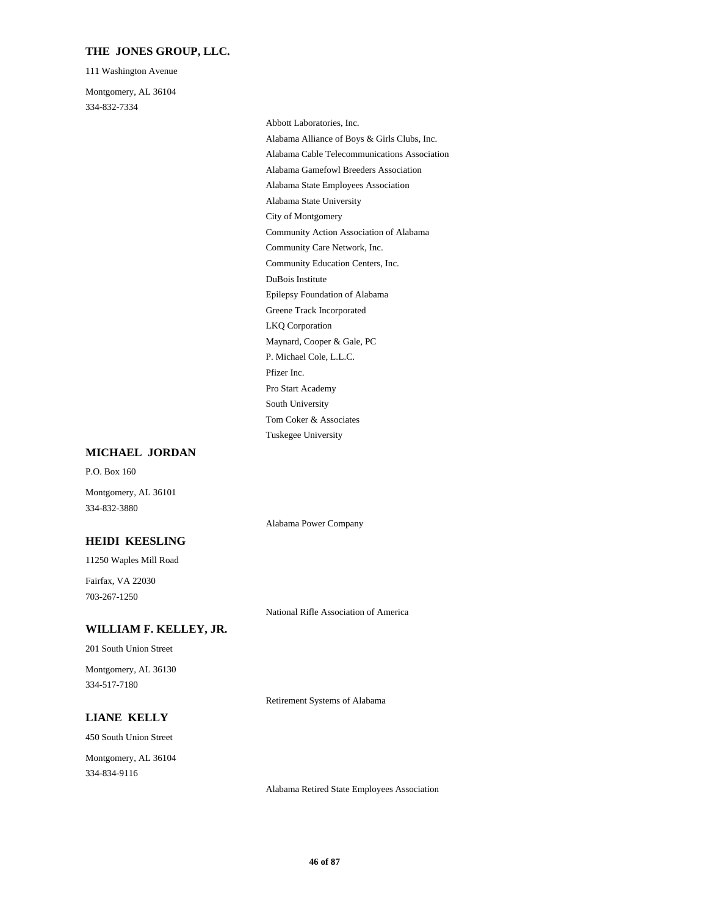### **THE JONES GROUP, LLC.**

111 Washington Avenue

334-832-7334 Montgomery, AL 36104

> City of Montgomery Alabama State University Community Action Association of Alabama Community Education Centers, Inc. Community Care Network, Inc. Alabama Alliance of Boys & Girls Clubs, Inc. Abbott Laboratories, Inc. Alabama Cable Telecommunications Association Alabama State Employees Association Alabama Gamefowl Breeders Association DuBois Institute Pro Start Academy Pfizer Inc. South University Tuskegee University Tom Coker & Associates Greene Track Incorporated Epilepsy Foundation of Alabama LKQ Corporation P. Michael Cole, L.L.C. Maynard, Cooper & Gale, PC

#### **MICHAEL JORDAN**

P.O. Box 160

Montgomery, AL 36101 334-832-3880

## **HEIDI KEESLING**

11250 Waples Mill Road

703-267-1250 Fairfax, VA 22030

National Rifle Association of America

Alabama Power Company

## **WILLIAM F. KELLEY, JR.**

201 South Union Street

334-517-7180 Montgomery, AL 36130

Retirement Systems of Alabama

## **LIANE KELLY**

450 South Union Street 334-834-9116 Montgomery, AL 36104

Alabama Retired State Employees Association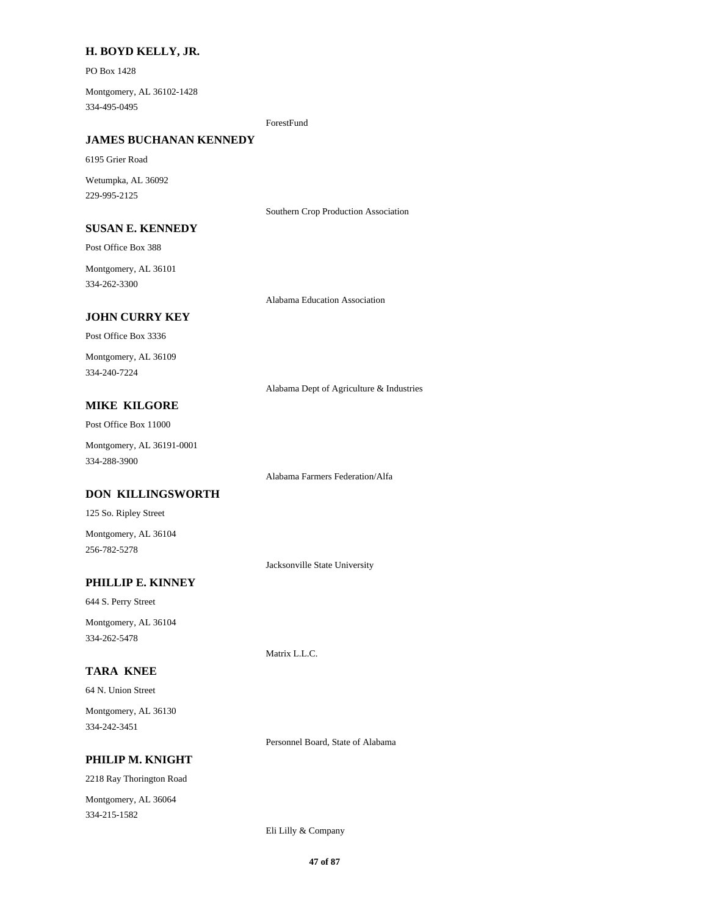## **H. BOYD KELLY, JR.**

PO Box 1428

334-495-0495 Montgomery, AL 36102-1428

ForestFund

### **JAMES BUCHANAN KENNEDY**

6195 Grier Road

229-995-2125 Wetumpka, AL 36092

Southern Crop Production Association

#### **SUSAN E. KENNEDY**

Post Office Box 388

334-262-3300 Montgomery, AL 36101

Alabama Education Association

## **JOHN CURRY KEY**

Post Office Box 3336 334-240-7224 Montgomery, AL 36109

Alabama Dept of Agriculture & Industries

## **MIKE KILGORE**

Post Office Box 11000

334-288-3900 Montgomery, AL 36191-0001

Alabama Farmers Federation/Alfa

## **DON KILLINGSWORTH**

125 So. Ripley Street

256-782-5278 Montgomery, AL 36104

Jacksonville State University

## **PHILLIP E. KINNEY**

644 S. Perry Street Montgomery, AL 36104

334-262-5478

## **TARA KNEE**

64 N. Union Street

334-242-3451 Montgomery, AL 36130

Personnel Board, State of Alabama

Matrix L.L.C.

## **PHILIP M. KNIGHT**

2218 Ray Thorington Road 334-215-1582 Montgomery, AL 36064

Eli Lilly & Company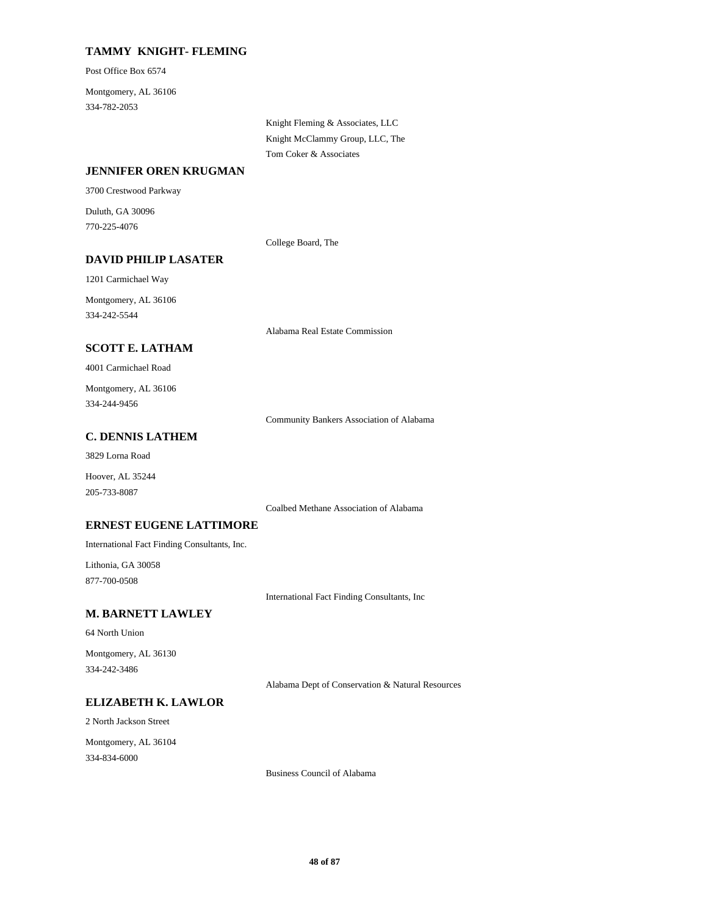## **TAMMY KNIGHT- FLEMING**

Post Office Box 6574

334-782-2053 Montgomery, AL 36106

> Knight Fleming & Associates, LLC Knight McClammy Group, LLC, The Tom Coker & Associates

### **JENNIFER OREN KRUGMAN**

3700 Crestwood Parkway

770-225-4076 Duluth, GA 30096

College Board, The

**DAVID PHILIP LASATER**

334-242-5544 Montgomery, AL 36106

1201 Carmichael Way

Alabama Real Estate Commission

## **SCOTT E. LATHAM**

4001 Carmichael Road

334-244-9456 Montgomery, AL 36106

Community Bankers Association of Alabama

#### **C. DENNIS LATHEM**

3829 Lorna Road

205-733-8087 Hoover, AL 35244

Coalbed Methane Association of Alabama

## **ERNEST EUGENE LATTIMORE**

International Fact Finding Consultants, Inc.

877-700-0508 Lithonia, GA 30058

International Fact Finding Consultants, Inc

## **M. BARNETT LAWLEY**

#### 64 North Union

334-242-3486 Montgomery, AL 36130

Alabama Dept of Conservation & Natural Resources

#### **ELIZABETH K. LAWLOR**

2 North Jackson Street

334-834-6000 Montgomery, AL 36104

Business Council of Alabama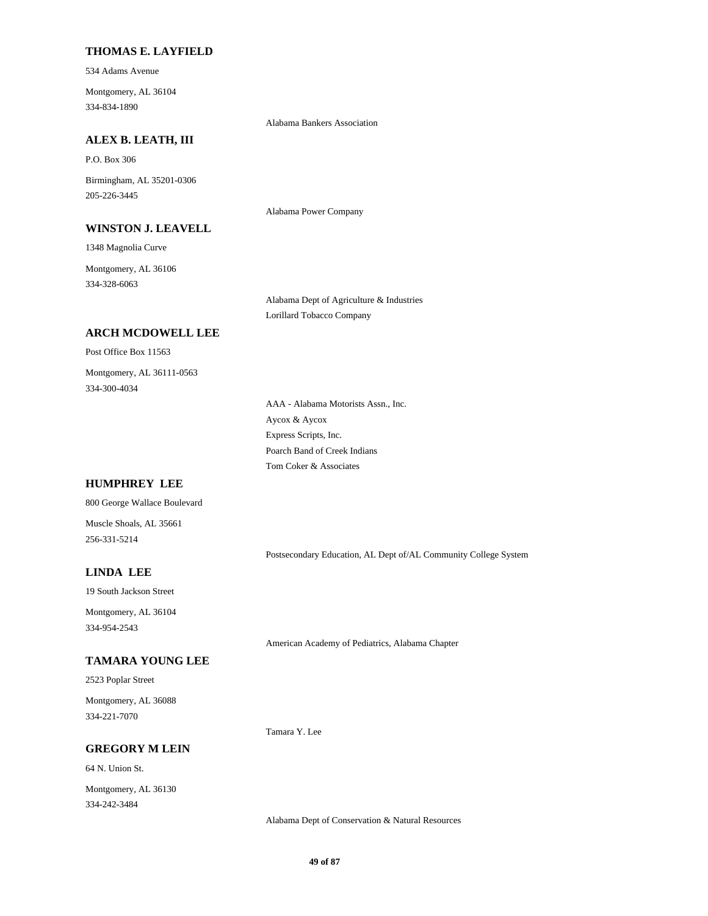## **THOMAS E. LAYFIELD**

534 Adams Avenue

334-834-1890 Montgomery, AL 36104

Alabama Bankers Association

Alabama Power Company

## **ALEX B. LEATH, III**

P.O. Box 306

205-226-3445 Birmingham, AL 35201-0306

### **WINSTON J. LEAVELL**

1348 Magnolia Curve

334-328-6063 Montgomery, AL 36106

Alabama Dept of Agriculture & Industries

Lorillard Tobacco Company

## **ARCH MCDOWELL LEE**

Post Office Box 11563

334-300-4034 Montgomery, AL 36111-0563

> Aycox & Aycox AAA - Alabama Motorists Assn., Inc. Express Scripts, Inc. Tom Coker & Associates Poarch Band of Creek Indians

## **HUMPHREY LEE**

800 George Wallace Boulevard

256-331-5214 Muscle Shoals, AL 35661

Postsecondary Education, AL Dept of/AL Community College System

## **LINDA LEE**

19 South Jackson Street

334-954-2543 Montgomery, AL 36104

## **TAMARA YOUNG LEE**

2523 Poplar Street

334-221-7070 Montgomery, AL 36088

### **GREGORY M LEIN**

64 N. Union St.

334-242-3484 Montgomery, AL 36130 American Academy of Pediatrics, Alabama Chapter

Alabama Dept of Conservation & Natural Resources

Tamara Y. Lee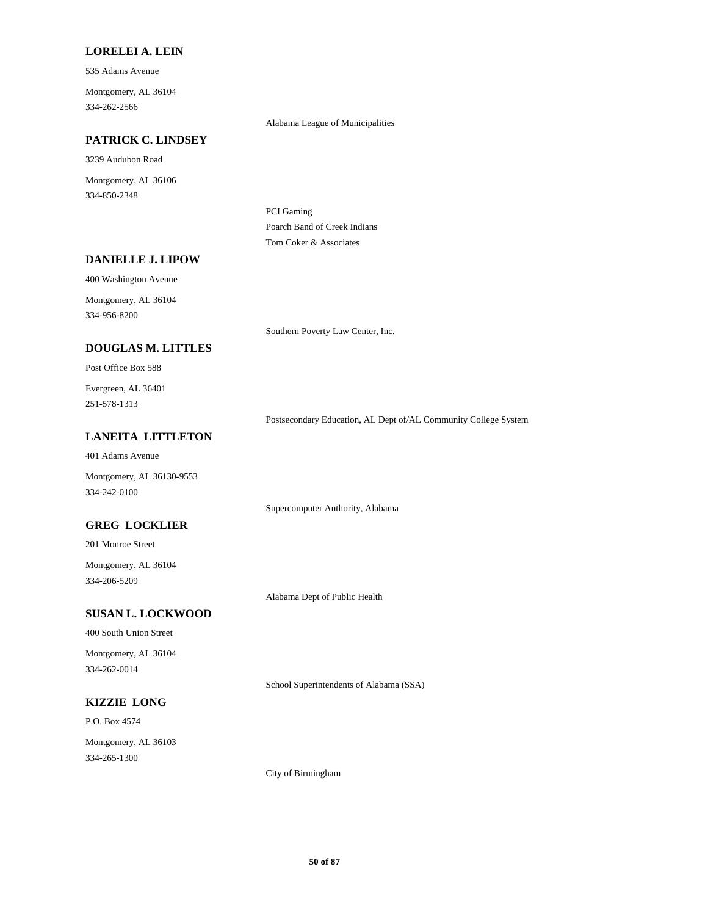#### **LORELEI A. LEIN**

535 Adams Avenue

334-262-2566 Montgomery, AL 36104

Alabama League of Municipalities

### **PATRICK C. LINDSEY**

3239 Audubon Road

334-850-2348 Montgomery, AL 36106

> PCI Gaming Poarch Band of Creek Indians Tom Coker & Associates

## **DANIELLE J. LIPOW**

400 Washington Avenue

334-956-8200 Montgomery, AL 36104

Southern Poverty Law Center, Inc.

### **DOUGLAS M. LITTLES**

Post Office Box 588

251-578-1313 Evergreen, AL 36401

Postsecondary Education, AL Dept of/AL Community College System

### **LANEITA LITTLETON**

401 Adams Avenue

334-242-0100 Montgomery, AL 36130-9553

Supercomputer Authority, Alabama

## **GREG LOCKLIER**

201 Monroe Street

334-206-5209 Montgomery, AL 36104

Alabama Dept of Public Health

## **SUSAN L. LOCKWOOD**

400 South Union Street

334-262-0014 Montgomery, AL 36104

School Superintendents of Alabama (SSA)

## **KIZZIE LONG**

P.O. Box 4574

334-265-1300 Montgomery, AL 36103

City of Birmingham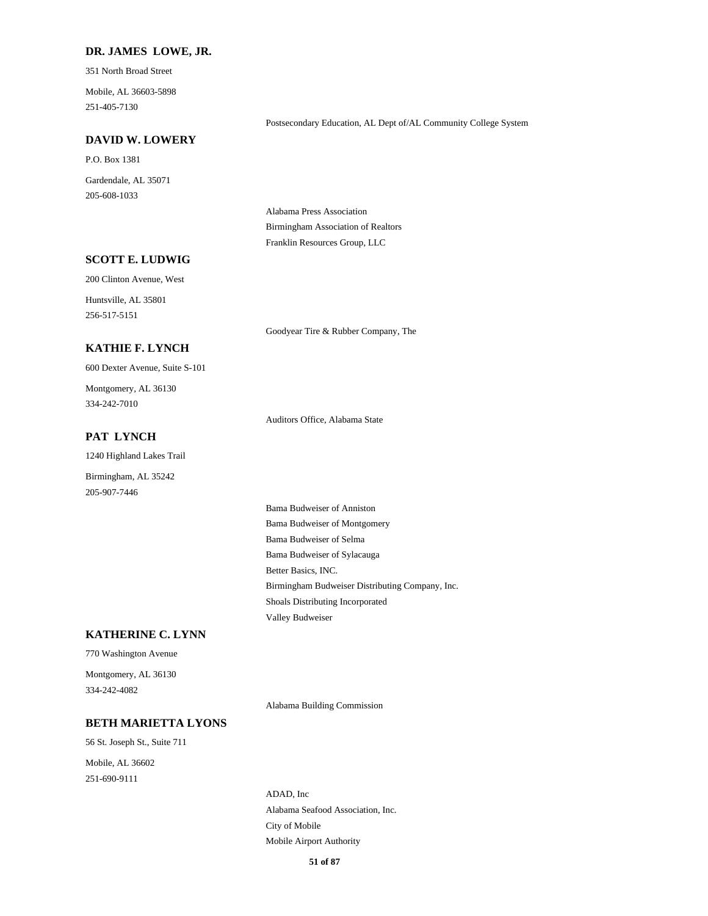#### **DR. JAMES LOWE, JR.**

351 North Broad Street

251-405-7130 Mobile, AL 36603-5898

#### Postsecondary Education, AL Dept of/AL Community College System

#### **DAVID W. LOWERY**

P.O. Box 1381

205-608-1033 Gardendale, AL 35071

> Alabama Press Association Birmingham Association of Realtors Franklin Resources Group, LLC

## **SCOTT E. LUDWIG**

200 Clinton Avenue, West

256-517-5151 Huntsville, AL 35801

Goodyear Tire & Rubber Company, The

## **KATHIE F. LYNCH**

600 Dexter Avenue, Suite S-101

334-242-7010 Montgomery, AL 36130

### **PAT LYNCH**

1240 Highland Lakes Trail

Birmingham, AL 35242 205-907-7446

Auditors Office, Alabama State

Bama Budweiser of Selma Bama Budweiser of Sylacauga Bama Budweiser of Anniston Bama Budweiser of Montgomery Shoals Distributing Incorporated Valley Budweiser Better Basics, INC. Birmingham Budweiser Distributing Company, Inc.

#### **KATHERINE C. LYNN**

770 Washington Avenue

334-242-4082 Montgomery, AL 36130

Alabama Building Commission

#### **BETH MARIETTA LYONS**

56 St. Joseph St., Suite 711 251-690-9111 Mobile, AL 36602

City of Mobile Alabama Seafood Association, Inc. ADAD, Inc Mobile Airport Authority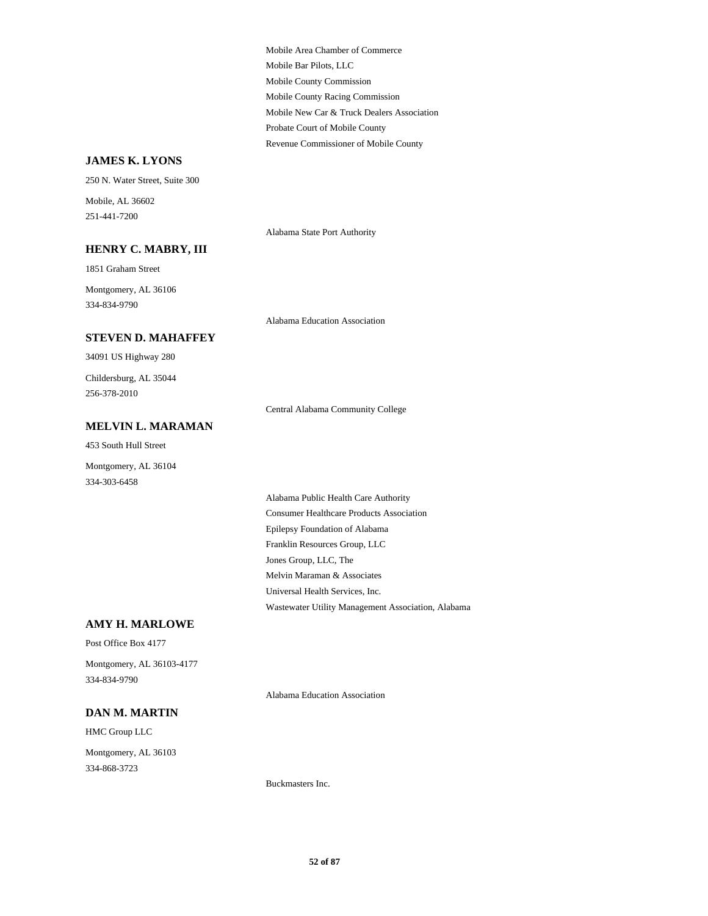Mobile County Commission Mobile Bar Pilots, LLC Mobile Area Chamber of Commerce Mobile County Racing Commission Revenue Commissioner of Mobile County Probate Court of Mobile County Mobile New Car & Truck Dealers Association

### **JAMES K. LYONS**

Buckmasters Inc. HMC Group LLC **DAN M. MARTIN** 334-868-3723 Montgomery, AL 36103 Alabama Education Association Post Office Box 4177 **AMY H. MARLOWE** 334-834-9790 Montgomery, AL 36103-4177 Epilepsy Foundation of Alabama Franklin Resources Group, LLC Alabama Public Health Care Authority Consumer Healthcare Products Association Universal Health Services, Inc. Wastewater Utility Management Association, Alabama Jones Group, LLC, The Melvin Maraman & Associates Montgomery, AL 36104 334-303-6458 **MELVIN L. MARAMAN** 453 South Hull Street Central Alabama Community College 34091 US Highway 280 **STEVEN D. MAHAFFEY** 256-378-2010 Childersburg, AL 35044 Alabama Education Association 1851 Graham Street **HENRY C. MABRY, III** 334-834-9790 Montgomery, AL 36106 Alabama State Port Authority 250 N. Water Street, Suite 300 251-441-7200 Mobile, AL 36602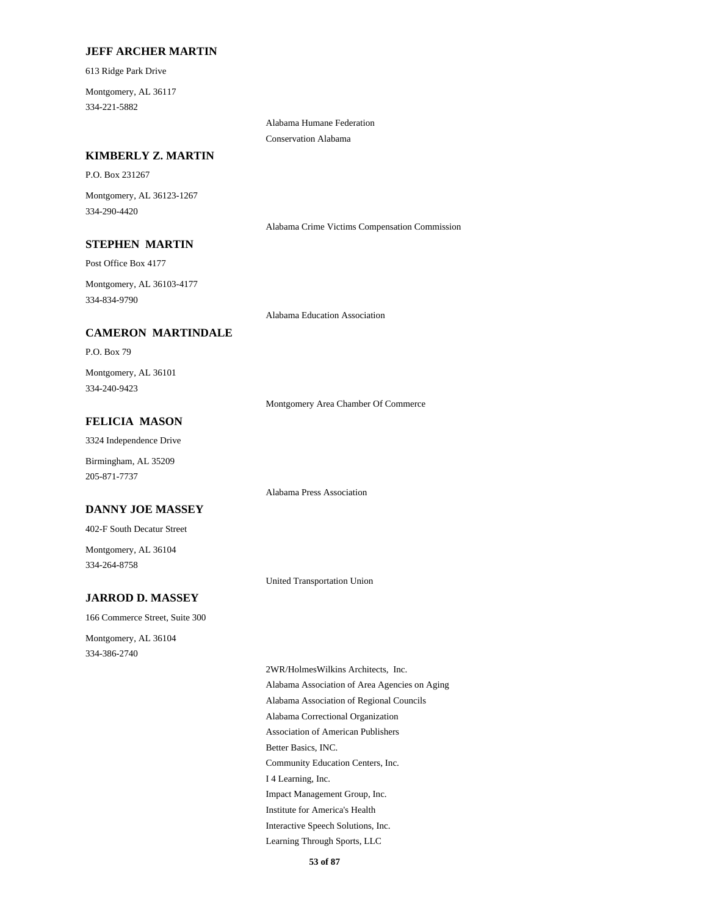### **JEFF ARCHER MARTIN**

613 Ridge Park Drive

334-221-5882 Montgomery, AL 36117

> Alabama Humane Federation Conservation Alabama

## **KIMBERLY Z. MARTIN**

P.O. Box 231267

334-290-4420 Montgomery, AL 36123-1267

Alabama Crime Victims Compensation Commission

## **STEPHEN MARTIN**

Post Office Box 4177

334-834-9790 Montgomery, AL 36103-4177

Alabama Education Association

## **CAMERON MARTINDALE**

P.O. Box 79

334-240-9423 Montgomery, AL 36101

Montgomery Area Chamber Of Commerce

## **FELICIA MASON**

3324 Independence Drive

Birmingham, AL 35209 205-871-7737

Alabama Press Association

#### **DANNY JOE MASSEY**

402-F South Decatur Street

334-264-8758 Montgomery, AL 36104

United Transportation Union

## **JARROD D. MASSEY**

166 Commerce Street, Suite 300

334-386-2740 Montgomery, AL 36104

> Association of American Publishers Better Basics, INC. Community Education Centers, Inc. Alabama Correctional Organization 2WR/HolmesWilkins Architects, Inc. Alabama Association of Area Agencies on Aging Alabama Association of Regional Councils Learning Through Sports, LLC Interactive Speech Solutions, Inc. I 4 Learning, Inc. Impact Management Group, Inc. Institute for America's Health

> > **53 of 87**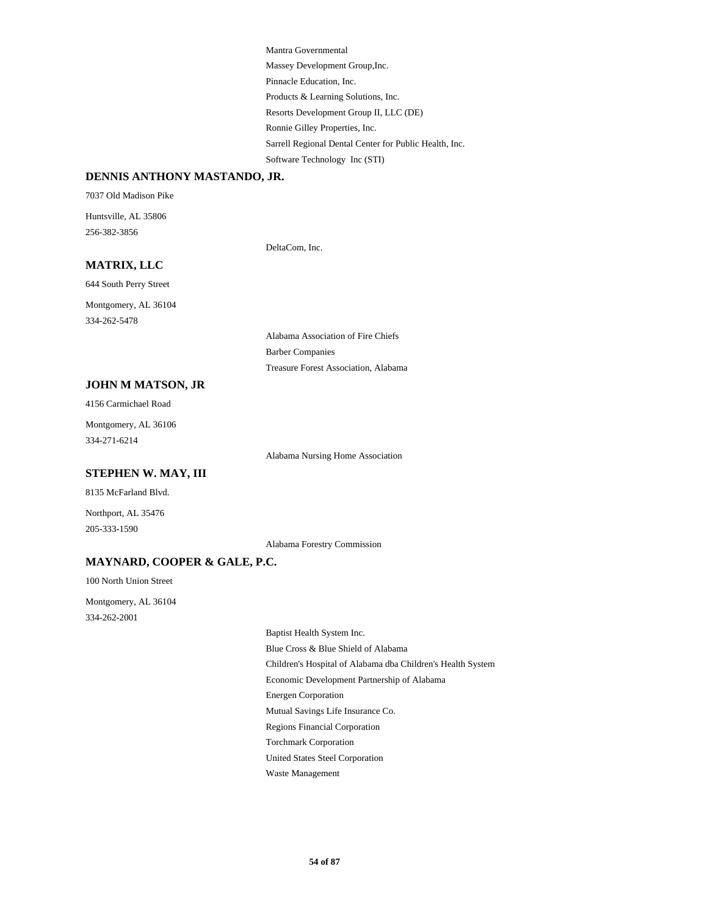Pinnacle Education, Inc. Products & Learning Solutions, Inc. Mantra Governmental Massey Development Group,Inc. Sarrell Regional Dental Center for Public Health, Inc. Software Technology Inc (STI) Resorts Development Group II, LLC (DE) Ronnie Gilley Properties, Inc.

#### **DENNIS ANTHONY MASTANDO, JR.**

7037 Old Madison Pike Huntsville, AL 35806

256-382-3856

DeltaCom, Inc.

## **MATRIX, LLC**

644 South Perry Street

334-262-5478 Montgomery, AL 36104

> Alabama Association of Fire Chiefs Barber Companies Treasure Forest Association, Alabama

### **JOHN M MATSON, JR**

4156 Carmichael Road

334-271-6214 Montgomery, AL 36106

Alabama Nursing Home Association

### **STEPHEN W. MAY, III**

8135 McFarland Blvd.

Northport, AL 35476 205-333-1590

Alabama Forestry Commission

## **MAYNARD, COOPER & GALE, P.C.**

100 North Union Street

334-262-2001 Montgomery, AL 36104

> Economic Development Partnership of Alabama Energen Corporation Children's Hospital of Alabama dba Children's Health System Baptist Health System Inc. Blue Cross & Blue Shield of Alabama United States Steel Corporation Waste Management Torchmark Corporation Mutual Savings Life Insurance Co. Regions Financial Corporation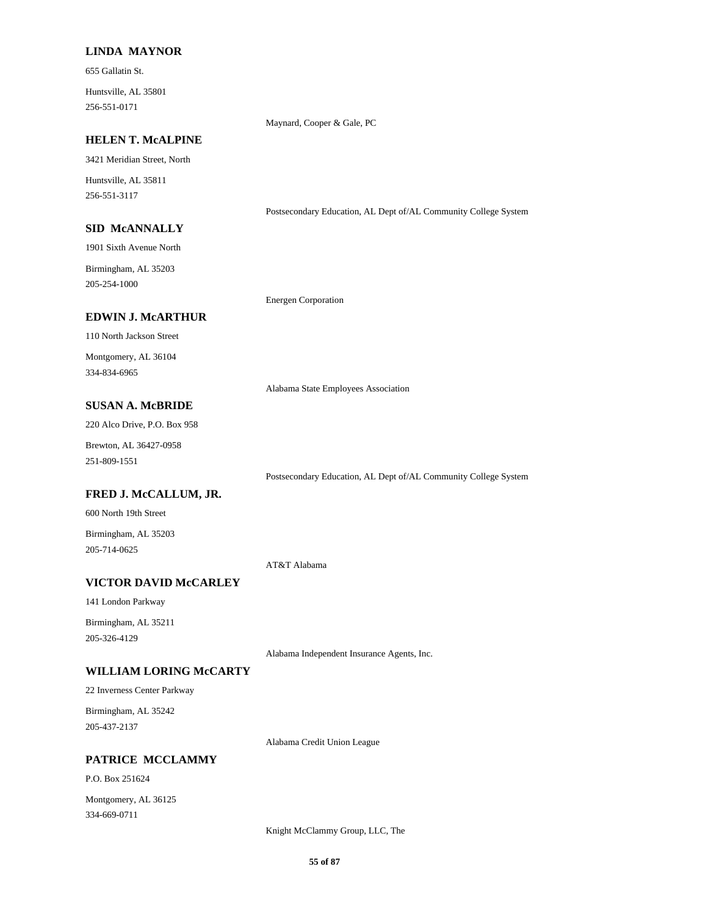#### **LINDA MAYNOR**

655 Gallatin St.

256-551-0171 Huntsville, AL 35801

Maynard, Cooper & Gale, PC

### **HELEN T. McALPINE**

3421 Meridian Street, North

256-551-3117 Huntsville, AL 35811

#### **SID McANNALLY**

1901 Sixth Avenue North

205-254-1000 Birmingham, AL 35203

**EDWIN J. McARTHUR**

#### Energen Corporation

110 North Jackson Street 334-834-6965 Montgomery, AL 36104

Alabama State Employees Association

Postsecondary Education, AL Dept of/AL Community College System

Postsecondary Education, AL Dept of/AL Community College System

## **SUSAN A. McBRIDE**

220 Alco Drive, P.O. Box 958

251-809-1551 Brewton, AL 36427-0958

#### **FRED J. McCALLUM, JR.**

600 North 19th Street

205-714-0625 Birmingham, AL 35203

AT&T Alabama

## **VICTOR DAVID McCARLEY**

141 London Parkway

205-326-4129 Birmingham, AL 35211

Alabama Independent Insurance Agents, Inc.

## **WILLIAM LORING McCARTY**

22 Inverness Center Parkway

205-437-2137 Birmingham, AL 35242

Alabama Credit Union League

**PATRICE MCCLAMMY**

334-669-0711 Montgomery, AL 36125

P.O. Box 251624

Knight McClammy Group, LLC, The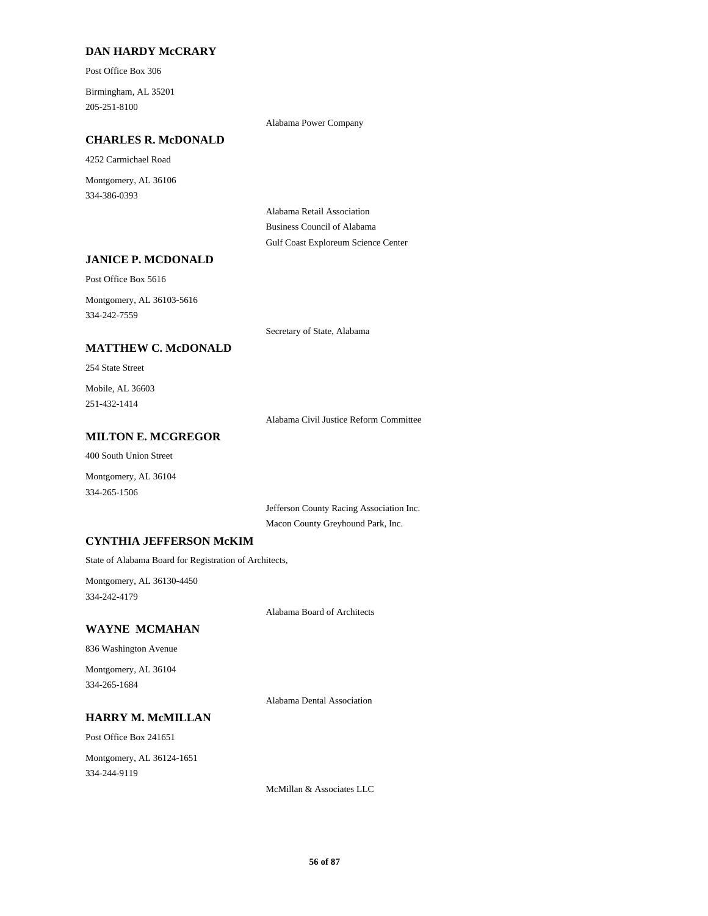## **DAN HARDY McCRARY**

Post Office Box 306

205-251-8100 Birmingham, AL 35201

Alabama Power Company

### **CHARLES R. McDONALD**

4252 Carmichael Road

334-386-0393 Montgomery, AL 36106

> Alabama Retail Association Business Council of Alabama Gulf Coast Exploreum Science Center

### **JANICE P. MCDONALD**

Post Office Box 5616

334-242-7559 Montgomery, AL 36103-5616

Secretary of State, Alabama

## **MATTHEW C. McDONALD**

#### 254 State Street

251-432-1414 Mobile, AL 36603

Alabama Civil Justice Reform Committee

#### **MILTON E. MCGREGOR**

400 South Union Street

Montgomery, AL 36104 334-265-1506

> Jefferson County Racing Association Inc. Macon County Greyhound Park, Inc.

## **CYNTHIA JEFFERSON McKIM**

State of Alabama Board for Registration of Architects,

334-242-4179 Montgomery, AL 36130-4450

Alabama Board of Architects

## **WAYNE MCMAHAN**

836 Washington Avenue

334-265-1684 Montgomery, AL 36104

Alabama Dental Association

### **HARRY M. McMILLAN**

Post Office Box 241651

334-244-9119 Montgomery, AL 36124-1651

McMillan & Associates LLC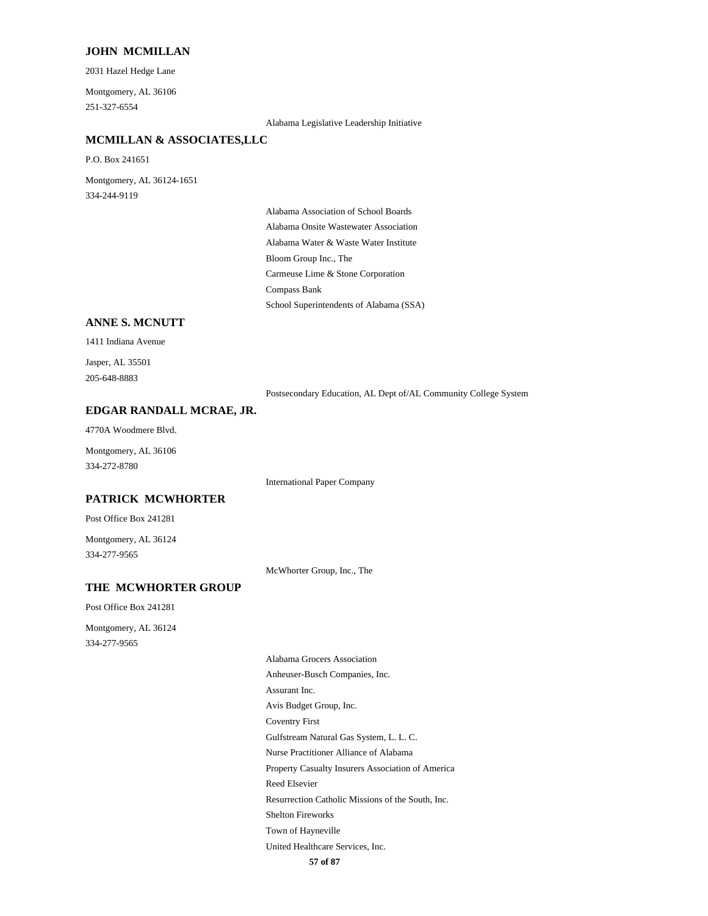#### **JOHN MCMILLAN**

2031 Hazel Hedge Lane

251-327-6554 Montgomery, AL 36106

Alabama Legislative Leadership Initiative

## **MCMILLAN & ASSOCIATES,LLC**

P.O. Box 241651

334-244-9119 Montgomery, AL 36124-1651

> Alabama Water & Waste Water Institute Alabama Onsite Wastewater Association Alabama Association of School Boards Bloom Group Inc., The School Superintendents of Alabama (SSA) Compass Bank Carmeuse Lime & Stone Corporation

## **ANNE S. MCNUTT**

1411 Indiana Avenue

205-648-8883 Jasper, AL 35501

Postsecondary Education, AL Dept of/AL Community College System

### **EDGAR RANDALL MCRAE, JR.**

4770A Woodmere Blvd.

334-272-8780 Montgomery, AL 36106

International Paper Company

## **PATRICK MCWHORTER**

Post Office Box 241281

334-277-9565 Montgomery, AL 36124

McWhorter Group, Inc., The

### **THE MCWHORTER GROUP**

Post Office Box 241281

334-277-9565 Montgomery, AL 36124

Coventry First Gulfstream Natural Gas System, L. L. C. Nurse Practitioner Alliance of Alabama Avis Budget Group, Inc. Alabama Grocers Association Anheuser-Busch Companies, Inc. Assurant Inc. Property Casualty Insurers Association of America United Healthcare Services, Inc. Town of Hayneville Reed Elsevier Resurrection Catholic Missions of the South, Inc. Shelton Fireworks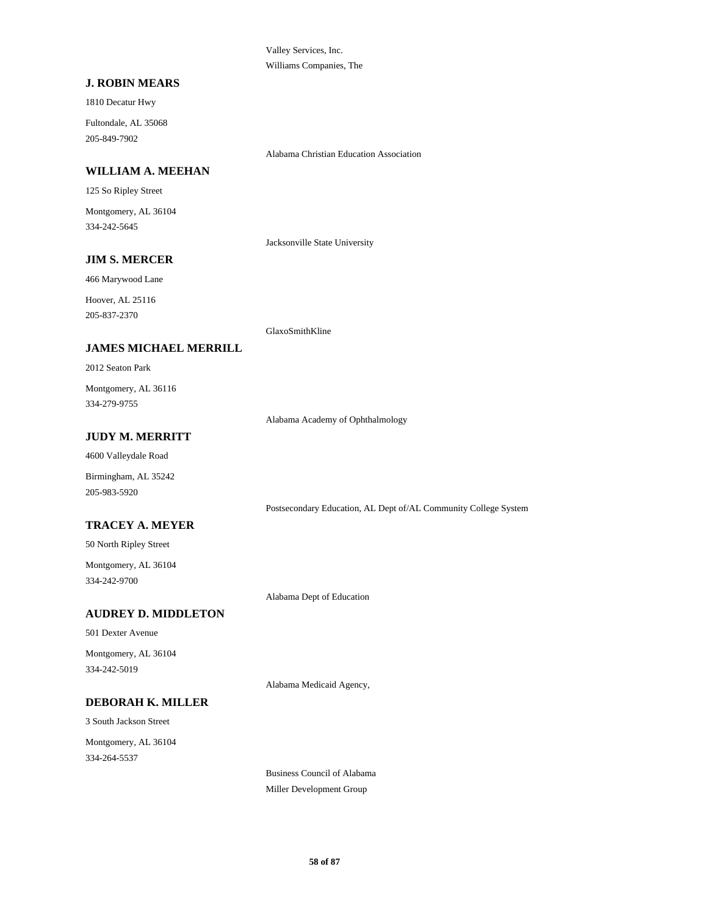Valley Services, Inc. Williams Companies, The

### **J. ROBIN MEARS**

1810 Decatur Hwy

205-849-7902 Fultondale, AL 35068

Alabama Christian Education Association

## **WILLIAM A. MEEHAN**

125 So Ripley Street

334-242-5645 Montgomery, AL 36104

Jacksonville State University

## **JIM S. MERCER**

466 Marywood Lane

205-837-2370 Hoover, AL 25116

GlaxoSmithKline

## **JAMES MICHAEL MERRILL**

2012 Seaton Park

334-279-9755 Montgomery, AL 36116

Alabama Academy of Ophthalmology

## **JUDY M. MERRITT**

4600 Valleydale Road

Birmingham, AL 35242 205-983-5920

Postsecondary Education, AL Dept of/AL Community College System

## **TRACEY A. MEYER**

50 North Ripley Street

334-242-9700 Montgomery, AL 36104

Alabama Dept of Education

## **AUDREY D. MIDDLETON**

501 Dexter Avenue

334-242-5019 Montgomery, AL 36104

Alabama Medicaid Agency,

## **DEBORAH K. MILLER**

3 South Jackson Street 334-264-5537 Montgomery, AL 36104

> Business Council of Alabama Miller Development Group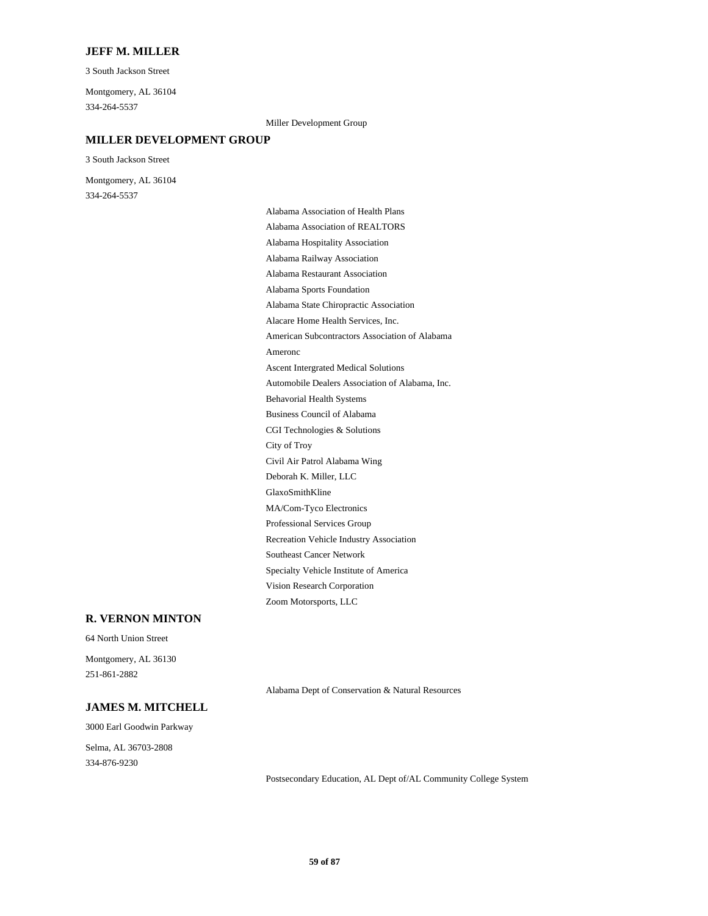#### **JEFF M. MILLER**

3 South Jackson Street

334-264-5537 Montgomery, AL 36104

#### Miller Development Group

### **MILLER DEVELOPMENT GROUP**

3 South Jackson Street

334-264-5537 Montgomery, AL 36104

> MA/Com-Tyco Electronics Professional Services Group Deborah K. Miller, LLC GlaxoSmithKline Recreation Vehicle Industry Association Vision Research Corporation Zoom Motorsports, LLC Southeast Cancer Network Specialty Vehicle Institute of America Civil Air Patrol Alabama Wing Alabama Sports Foundation Alabama Restaurant Association Alacare Home Health Services, Inc. Alabama State Chiropractic Association Alabama Association of REALTORS Alabama Association of Health Plans Alabama Railway Association Alabama Hospitality Association Business Council of Alabama Behavorial Health Systems City of Troy CGI Technologies & Solutions Ameronc American Subcontractors Association of Alabama Automobile Dealers Association of Alabama, Inc. Ascent Intergrated Medical Solutions

#### **R. VERNON MINTON**

64 North Union Street

251-861-2882 Montgomery, AL 36130

Alabama Dept of Conservation & Natural Resources

### **JAMES M. MITCHELL**

3000 Earl Goodwin Parkway 334-876-9230 Selma, AL 36703-2808

Postsecondary Education, AL Dept of/AL Community College System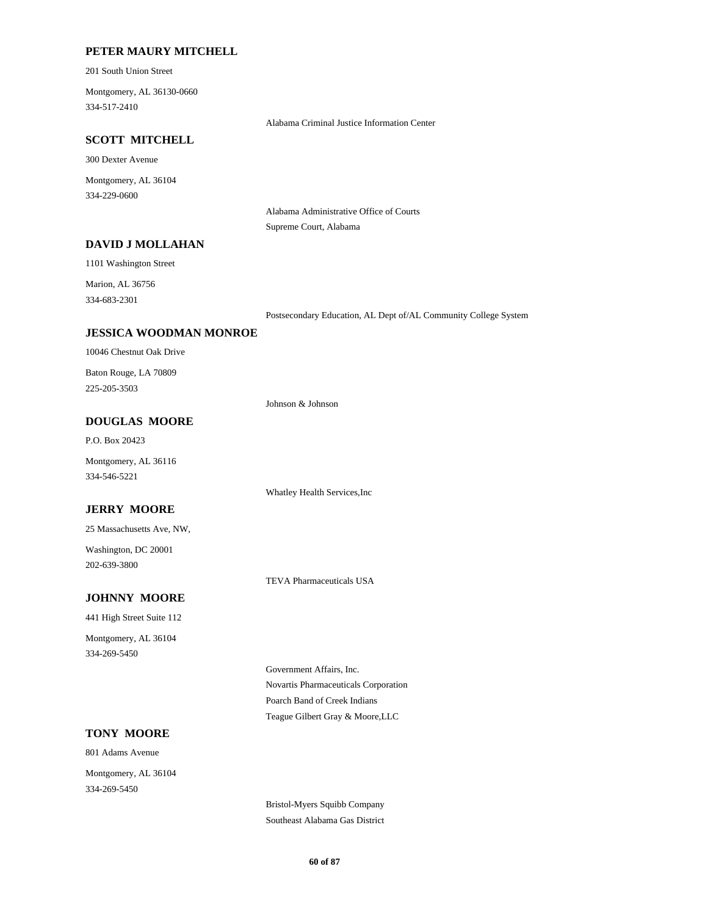## **PETER MAURY MITCHELL**

201 South Union Street

334-517-2410 Montgomery, AL 36130-0660

Alabama Criminal Justice Information Center

## **SCOTT MITCHELL**

300 Dexter Avenue

334-229-0600 Montgomery, AL 36104

> Alabama Administrative Office of Courts Supreme Court, Alabama

## **DAVID J MOLLAHAN**

1101 Washington Street

334-683-2301 Marion, AL 36756

Postsecondary Education, AL Dept of/AL Community College System

## **JESSICA WOODMAN MONROE**

10046 Chestnut Oak Drive

225-205-3503 Baton Rouge, LA 70809

Johnson & Johnson

## **DOUGLAS MOORE**

P.O. Box 20423

334-546-5221 Montgomery, AL 36116

## **JERRY MOORE**

25 Massachusetts Ave, NW,

202-639-3800 Washington, DC 20001

TEVA Pharmaceuticals USA

Whatley Health Services,Inc

## **JOHNNY MOORE**

441 High Street Suite 112

334-269-5450 Montgomery, AL 36104

> Novartis Pharmaceuticals Corporation Government Affairs, Inc. Teague Gilbert Gray & Moore,LLC Poarch Band of Creek Indians

## **TONY MOORE**

801 Adams Avenue 334-269-5450 Montgomery, AL 36104

> Bristol-Myers Squibb Company Southeast Alabama Gas District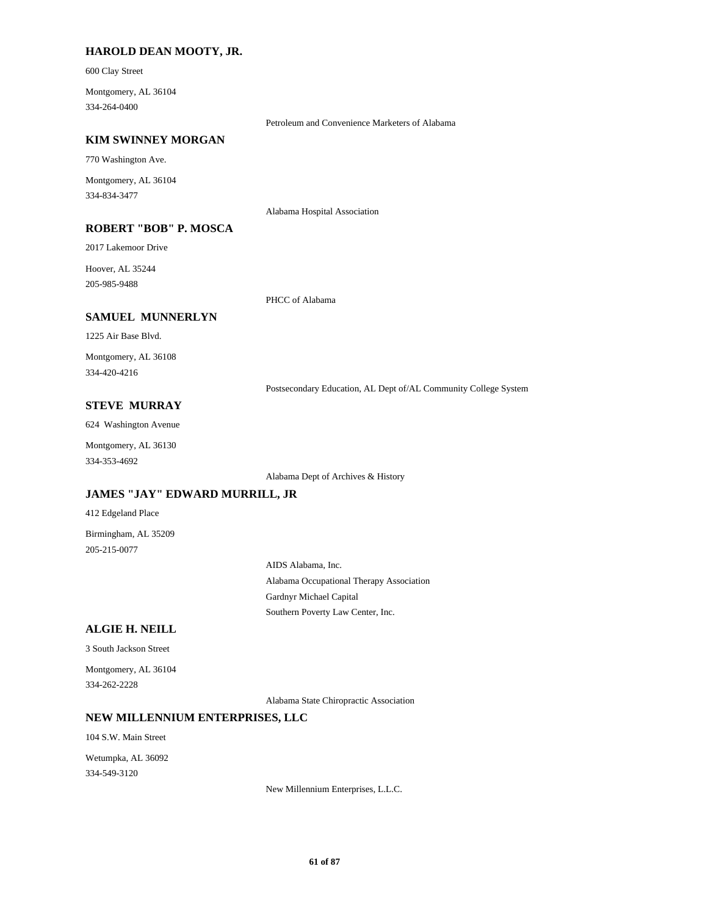### **HAROLD DEAN MOOTY, JR.**

600 Clay Street

334-264-0400 Montgomery, AL 36104

Petroleum and Convenience Marketers of Alabama

### **KIM SWINNEY MORGAN**

770 Washington Ave.

334-834-3477 Montgomery, AL 36104

**ROBERT "BOB" P. MOSCA**

2017 Lakemoor Drive

205-985-9488 Hoover, AL 35244

PHCC of Alabama

Alabama Hospital Association

#### **SAMUEL MUNNERLYN**

1225 Air Base Blvd.

334-420-4216 Montgomery, AL 36108

Postsecondary Education, AL Dept of/AL Community College System

## **STEVE MURRAY**

624 Washington Avenue

Montgomery, AL 36130

334-353-4692

Alabama Dept of Archives & History

## **JAMES "JAY" EDWARD MURRILL, JR**

412 Edgeland Place

205-215-0077 Birmingham, AL 35209

> Alabama Occupational Therapy Association AIDS Alabama, Inc. Southern Poverty Law Center, Inc. Gardnyr Michael Capital

### **ALGIE H. NEILL**

3 South Jackson Street

334-262-2228 Montgomery, AL 36104

Alabama State Chiropractic Association

#### **NEW MILLENNIUM ENTERPRISES, LLC**

104 S.W. Main Street

334-549-3120 Wetumpka, AL 36092

New Millennium Enterprises, L.L.C.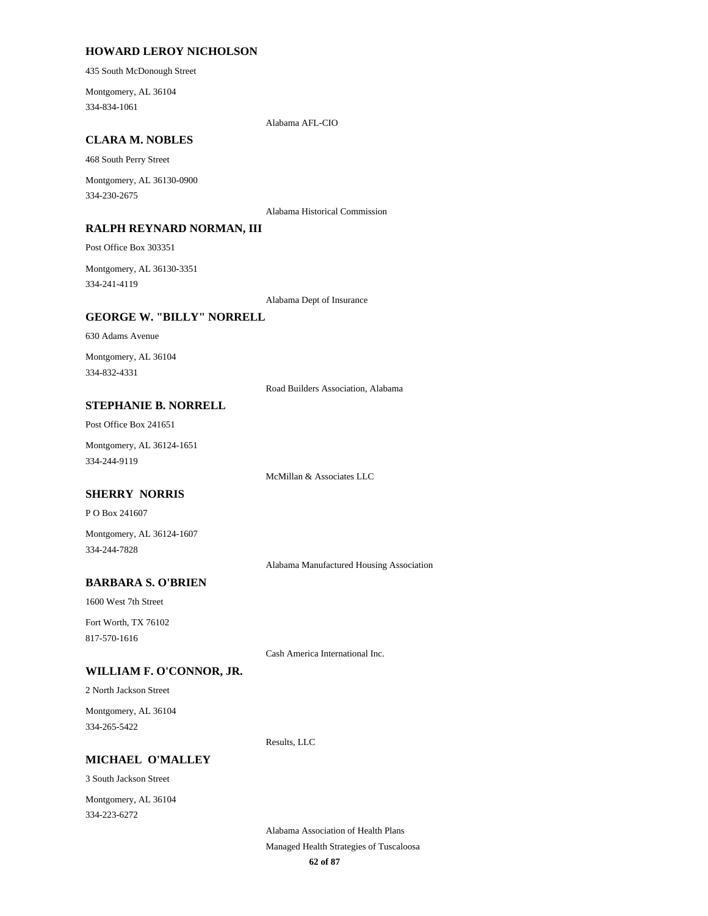#### **HOWARD LEROY NICHOLSON**

435 South McDonough Street

334-834-1061 Montgomery, AL 36104

Alabama AFL-CIO

## **CLARA M. NOBLES**

468 South Perry Street

334-230-2675 Montgomery, AL 36130-0900

Alabama Historical Commission

### **RALPH REYNARD NORMAN, III**

Post Office Box 303351

334-241-4119 Montgomery, AL 36130-3351

Alabama Dept of Insurance

## **GEORGE W. "BILLY" NORRELL**

630 Adams Avenue

334-832-4331 Montgomery, AL 36104

Road Builders Association, Alabama

## **STEPHANIE B. NORRELL**

Post Office Box 241651

334-244-9119 Montgomery, AL 36124-1651

McMillan & Associates LLC

#### **SHERRY NORRIS**

P O Box 241607

334-244-7828 Montgomery, AL 36124-1607

Alabama Manufactured Housing Association

## **BARBARA S. O'BRIEN**

1600 West 7th Street

817-570-1616 Fort Worth, TX 76102

Cash America International Inc.

Results, LLC

## **WILLIAM F. O'CONNOR, JR.**

2 North Jackson Street

334-265-5422 Montgomery, AL 36104

#### **MICHAEL O'MALLEY**

3 South Jackson Street

334-223-6272 Montgomery, AL 36104

> **62 of 87** Managed Health Strategies of Tuscaloosa Alabama Association of Health Plans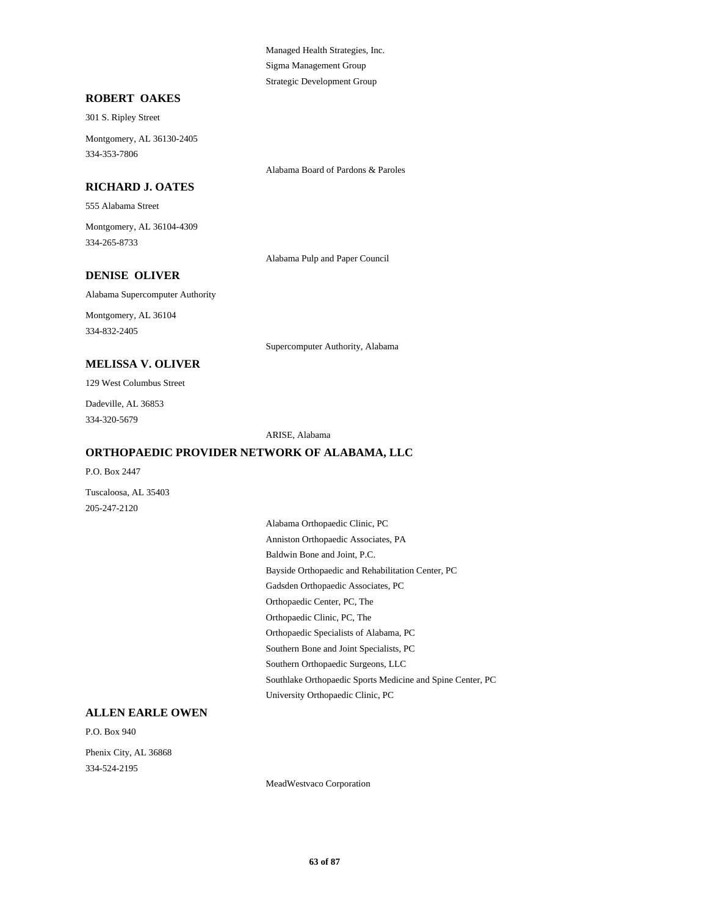Managed Health Strategies, Inc. Sigma Management Group Strategic Development Group

### **ROBERT OAKES**

301 S. Ripley Street

334-353-7806 Montgomery, AL 36130-2405

#### **RICHARD J. OATES**

555 Alabama Street

334-265-8733 Montgomery, AL 36104-4309

Alabama Pulp and Paper Council

Alabama Board of Pardons & Paroles

## **DENISE OLIVER**

Alabama Supercomputer Authority

334-832-2405 Montgomery, AL 36104

Supercomputer Authority, Alabama

## **MELISSA V. OLIVER**

129 West Columbus Street

334-320-5679 Dadeville, AL 36853

ARISE, Alabama

#### **ORTHOPAEDIC PROVIDER NETWORK OF ALABAMA, LLC**

P.O. Box 2447

205-247-2120 Tuscaloosa, AL 35403

> Bayside Orthopaedic and Rehabilitation Center, PC Gadsden Orthopaedic Associates, PC Orthopaedic Center, PC, The Alabama Orthopaedic Clinic, PC Anniston Orthopaedic Associates, PA Baldwin Bone and Joint, P.C. Southern Orthopaedic Surgeons, LLC Southlake Orthopaedic Sports Medicine and Spine Center, PC University Orthopaedic Clinic, PC Orthopaedic Clinic, PC, The Orthopaedic Specialists of Alabama, PC Southern Bone and Joint Specialists, PC

## **ALLEN EARLE OWEN**

P.O. Box 940

334-524-2195 Phenix City, AL 36868

MeadWestvaco Corporation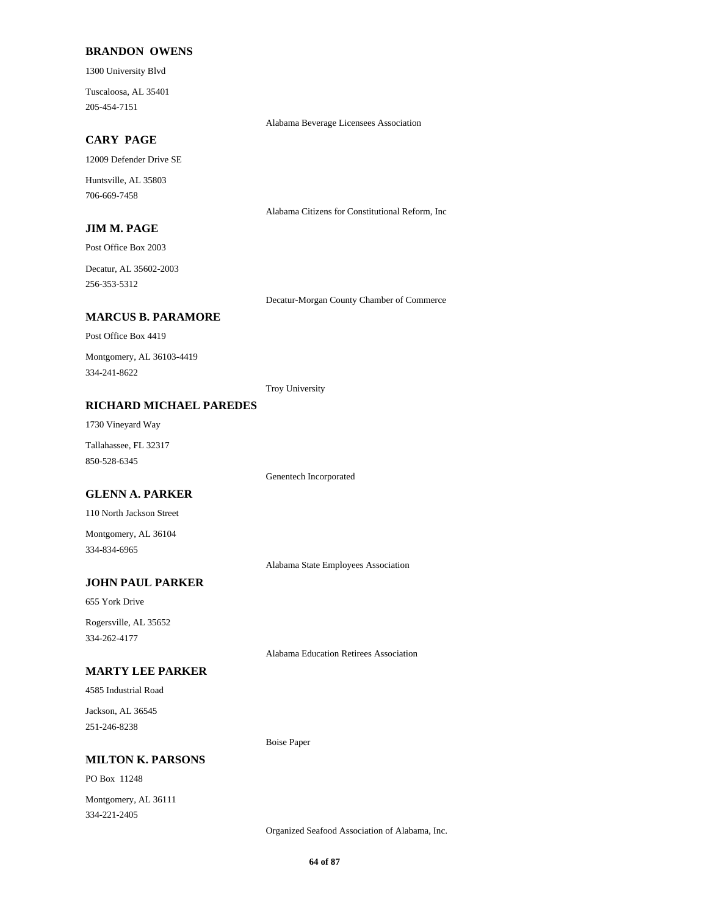#### **BRANDON OWENS**

1300 University Blvd

205-454-7151 Tuscaloosa, AL 35401

Alabama Beverage Licensees Association

Decatur-Morgan County Chamber of Commerce

Alabama Citizens for Constitutional Reform, Inc

## **CARY PAGE**

12009 Defender Drive SE

706-669-7458 Huntsville, AL 35803

### **JIM M. PAGE**

Post Office Box 2003

256-353-5312 Decatur, AL 35602-2003

#### **MARCUS B. PARAMORE**

Post Office Box 4419

334-241-8622 Montgomery, AL 36103-4419

Troy University

## **RICHARD MICHAEL PAREDES**

1730 Vineyard Way

850-528-6345 Tallahassee, FL 32317

Genentech Incorporated

## **GLENN A. PARKER**

110 North Jackson Street

334-834-6965 Montgomery, AL 36104

Alabama State Employees Association

## **JOHN PAUL PARKER**

655 York Drive

334-262-4177 Rogersville, AL 35652

Alabama Education Retirees Association

## **MARTY LEE PARKER**

4585 Industrial Road

251-246-8238 Jackson, AL 36545

#### **MILTON K. PARSONS**

PO Box 11248

334-221-2405 Montgomery, AL 36111

Organized Seafood Association of Alabama, Inc.

Boise Paper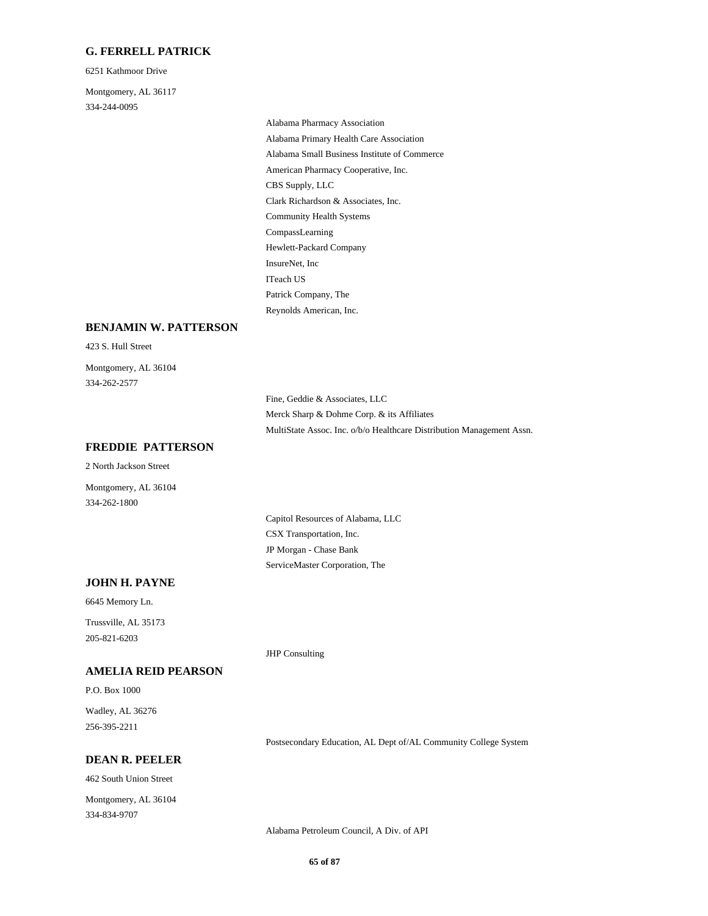### **G. FERRELL PATRICK**

6251 Kathmoor Drive

334-244-0095 Montgomery, AL 36117

> American Pharmacy Cooperative, Inc. CBS Supply, LLC Clark Richardson & Associates, Inc. Alabama Pharmacy Association Alabama Primary Health Care Association Alabama Small Business Institute of Commerce Community Health Systems ITeach US Patrick Company, The Reynolds American, Inc. CompassLearning Hewlett-Packard Company InsureNet, Inc

#### **BENJAMIN W. PATTERSON**

423 S. Hull Street

334-262-2577 Montgomery, AL 36104

> Fine, Geddie & Associates, LLC Merck Sharp & Dohme Corp. & its Affiliates MultiState Assoc. Inc. o/b/o Healthcare Distribution Management Assn.

## **FREDDIE PATTERSON**

2 North Jackson Street

334-262-1800 Montgomery, AL 36104

> CSX Transportation, Inc. Capitol Resources of Alabama, LLC ServiceMaster Corporation, The JP Morgan - Chase Bank

#### **JOHN H. PAYNE**

6645 Memory Ln. 205-821-6203 Trussville, AL 35173

**AMELIA REID PEARSON**

P.O. Box 1000

256-395-2211 Wadley, AL 36276

#### **DEAN R. PEELER**

462 South Union Street 334-834-9707 Montgomery, AL 36104 JHP Consulting

Postsecondary Education, AL Dept of/AL Community College System

Alabama Petroleum Council, A Div. of API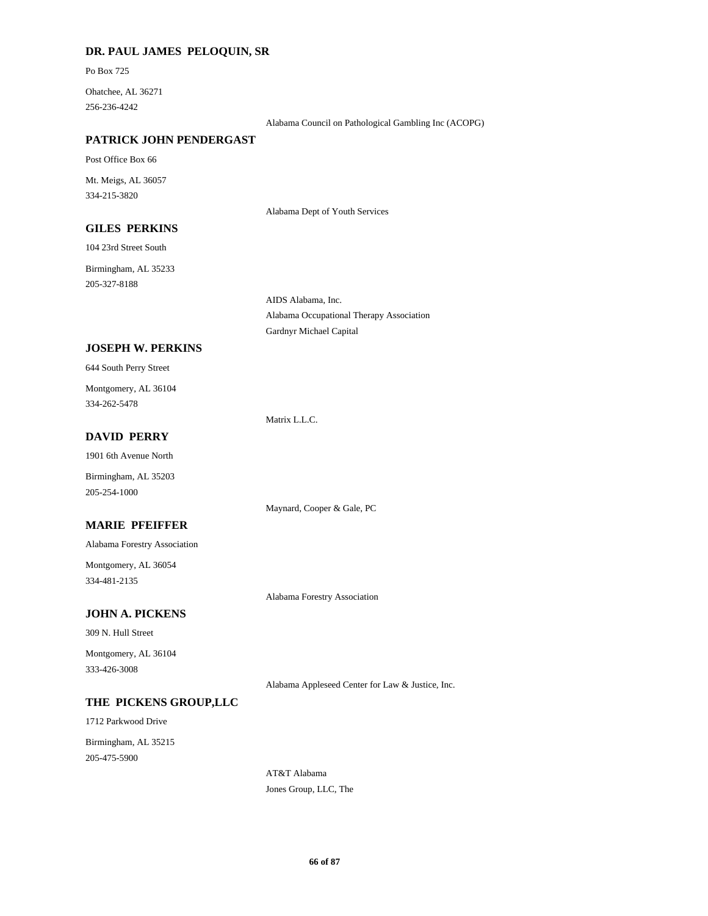## **DR. PAUL JAMES PELOQUIN, SR**

Po Box 725

256-236-4242 Ohatchee, AL 36271

Alabama Council on Pathological Gambling Inc (ACOPG)

#### **PATRICK JOHN PENDERGAST**

Post Office Box 66

334-215-3820 Mt. Meigs, AL 36057

Alabama Dept of Youth Services

## **GILES PERKINS**

104 23rd Street South

205-327-8188 Birmingham, AL 35233

> AIDS Alabama, Inc. Alabama Occupational Therapy Association Gardnyr Michael Capital

### **JOSEPH W. PERKINS**

|  |  |  | 644 South Perry Street |
|--|--|--|------------------------|
|--|--|--|------------------------|

334-262-5478 Montgomery, AL 36104

Matrix L.L.C.

## **DAVID PERRY**

1901 6th Avenue North

Birmingham, AL 35203 205-254-1000

Maynard, Cooper & Gale, PC

## **MARIE PFEIFFER**

Alabama Forestry Association

334-481-2135 Montgomery, AL 36054

Alabama Forestry Association

## **JOHN A. PICKENS**

309 N. Hull Street

333-426-3008 Montgomery, AL 36104

Alabama Appleseed Center for Law & Justice, Inc.

#### **THE PICKENS GROUP,LLC**

1712 Parkwood Drive

205-475-5900 Birmingham, AL 35215

> AT&T Alabama Jones Group, LLC, The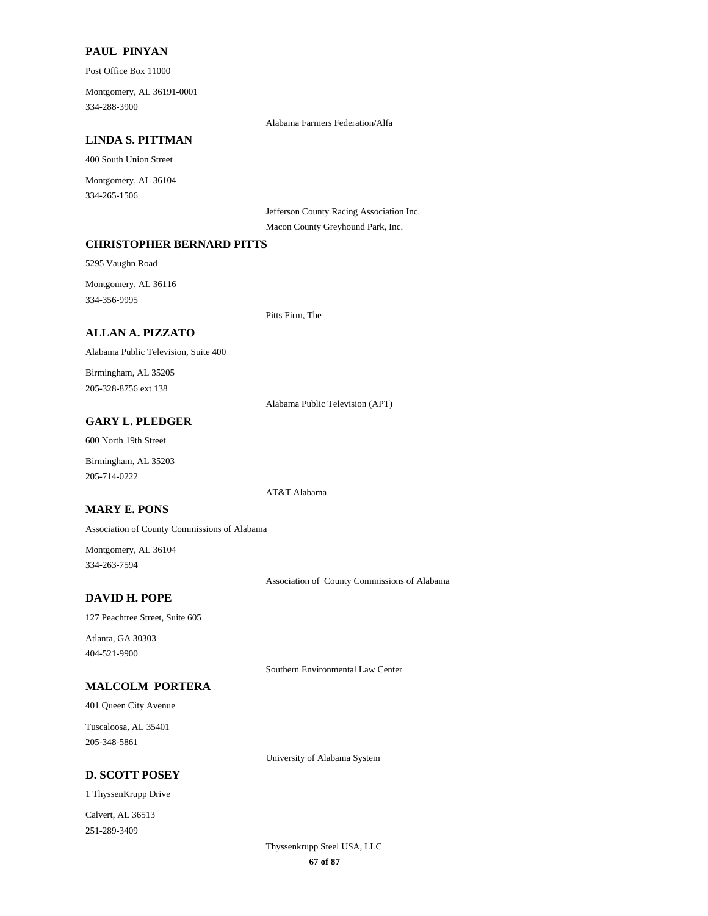## **PAUL PINYAN**

Post Office Box 11000

334-288-3900 Montgomery, AL 36191-0001

Alabama Farmers Federation/Alfa

### **LINDA S. PITTMAN**

400 South Union Street

334-265-1506 Montgomery, AL 36104

Jefferson County Racing Association Inc.

Macon County Greyhound Park, Inc.

## **CHRISTOPHER BERNARD PITTS**

5295 Vaughn Road

334-356-9995 Montgomery, AL 36116

Pitts Firm, The

## **ALLAN A. PIZZATO**

Alabama Public Television, Suite 400

205-328-8756 ext 138 Birmingham, AL 35205

Alabama Public Television (APT)

## **GARY L. PLEDGER**

600 North 19th Street

205-714-0222 Birmingham, AL 35203

AT&T Alabama

## **MARY E. PONS**

Association of County Commissions of Alabama

334-263-7594 Montgomery, AL 36104

Association of County Commissions of Alabama

## **DAVID H. POPE**

127 Peachtree Street, Suite 605

404-521-9900 Atlanta, GA 30303

Southern Environmental Law Center

## **MALCOLM PORTERA**

401 Queen City Avenue

205-348-5861 Tuscaloosa, AL 35401

University of Alabama System

## **D. SCOTT POSEY**

1 ThyssenKrupp Drive

251-289-3409 Calvert, AL 36513

> **67 of 87** Thyssenkrupp Steel USA, LLC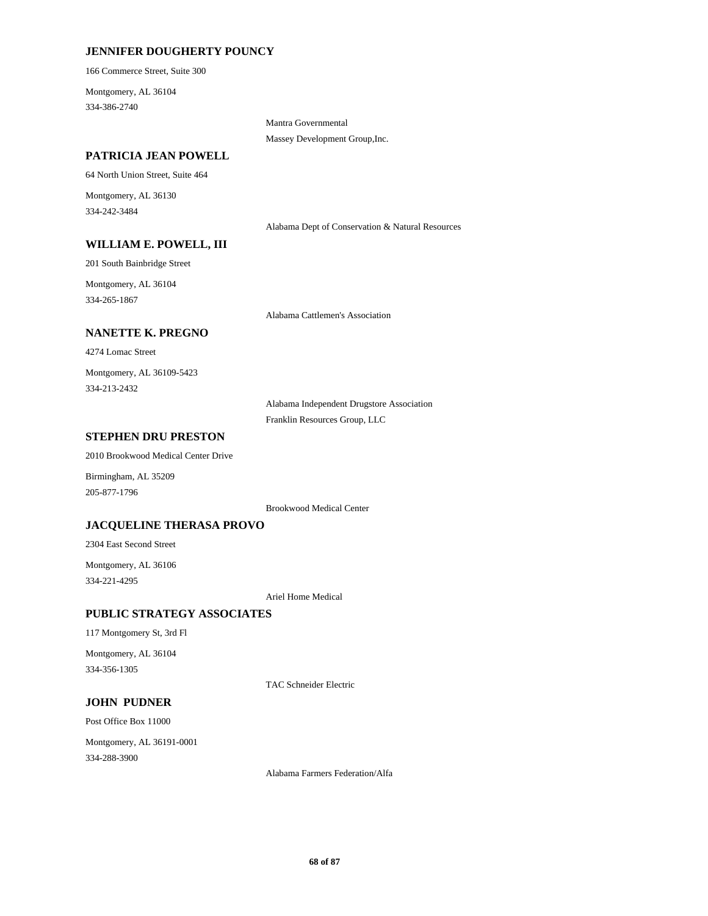## **JENNIFER DOUGHERTY POUNCY**

166 Commerce Street, Suite 300

334-386-2740 Montgomery, AL 36104

> Mantra Governmental Massey Development Group,Inc.

## **PATRICIA JEAN POWELL**

64 North Union Street, Suite 464

334-242-3484 Montgomery, AL 36130

Alabama Dept of Conservation & Natural Resources

#### **WILLIAM E. POWELL, III**

201 South Bainbridge Street

334-265-1867 Montgomery, AL 36104

Alabama Cattlemen's Association

## **NANETTE K. PREGNO**

4274 Lomac Street

334-213-2432 Montgomery, AL 36109-5423

> Alabama Independent Drugstore Association Franklin Resources Group, LLC

#### **STEPHEN DRU PRESTON**

2010 Brookwood Medical Center Drive

205-877-1796 Birmingham, AL 35209

Brookwood Medical Center

## **JACQUELINE THERASA PROVO**

2304 East Second Street

334-221-4295 Montgomery, AL 36106

Ariel Home Medical

## **PUBLIC STRATEGY ASSOCIATES**

117 Montgomery St, 3rd Fl

334-356-1305 Montgomery, AL 36104

TAC Schneider Electric

### **JOHN PUDNER**

Post Office Box 11000

334-288-3900 Montgomery, AL 36191-0001

Alabama Farmers Federation/Alfa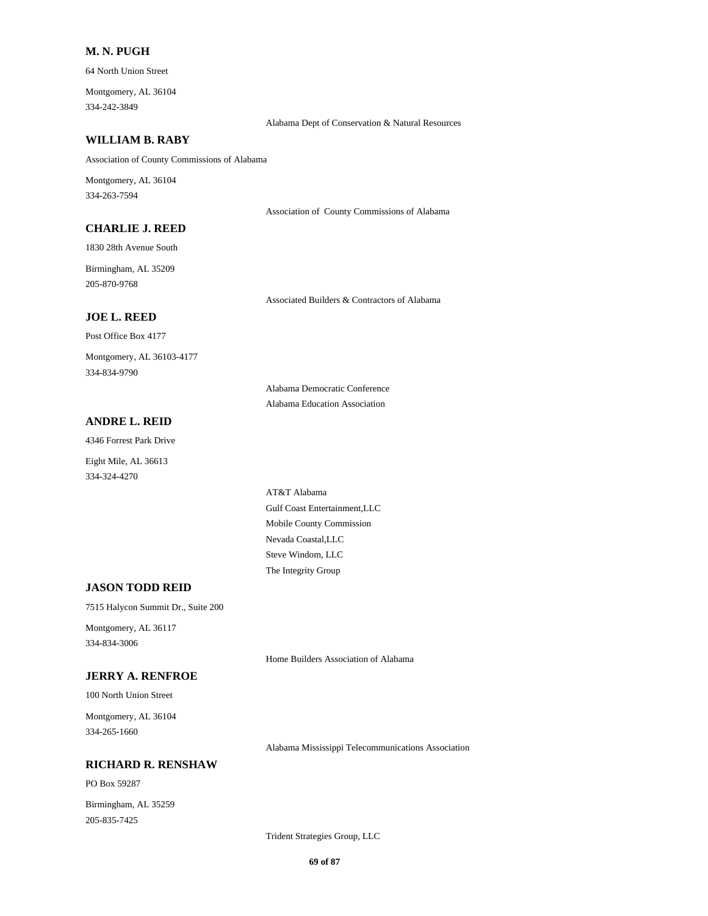## **M. N. PUGH**

64 North Union Street

334-242-3849 Montgomery, AL 36104

Alabama Dept of Conservation & Natural Resources

#### **WILLIAM B. RABY**

Association of County Commissions of Alabama

334-263-7594 Montgomery, AL 36104

Association of County Commissions of Alabama

Associated Builders & Contractors of Alabama

#### **CHARLIE J. REED**

1830 28th Avenue South

205-870-9768 Birmingham, AL 35209

#### **JOE L. REED**

Post Office Box 4177 334-834-9790 Montgomery, AL 36103-4177

> Alabama Democratic Conference Alabama Education Association

## **ANDRE L. REID**

4346 Forrest Park Drive

334-324-4270 Eight Mile, AL 36613

> Mobile County Commission Gulf Coast Entertainment,LLC AT&T Alabama The Integrity Group Steve Windom, LLC Nevada Coastal,LLC

#### **JASON TODD REID**

7515 Halycon Summit Dr., Suite 200

334-834-3006 Montgomery, AL 36117

Home Builders Association of Alabama

## **JERRY A. RENFROE**

100 North Union Street

334-265-1660 Montgomery, AL 36104

Alabama Mississippi Telecommunications Association

## **RICHARD R. RENSHAW**

PO Box 59287

205-835-7425 Birmingham, AL 35259

Trident Strategies Group, LLC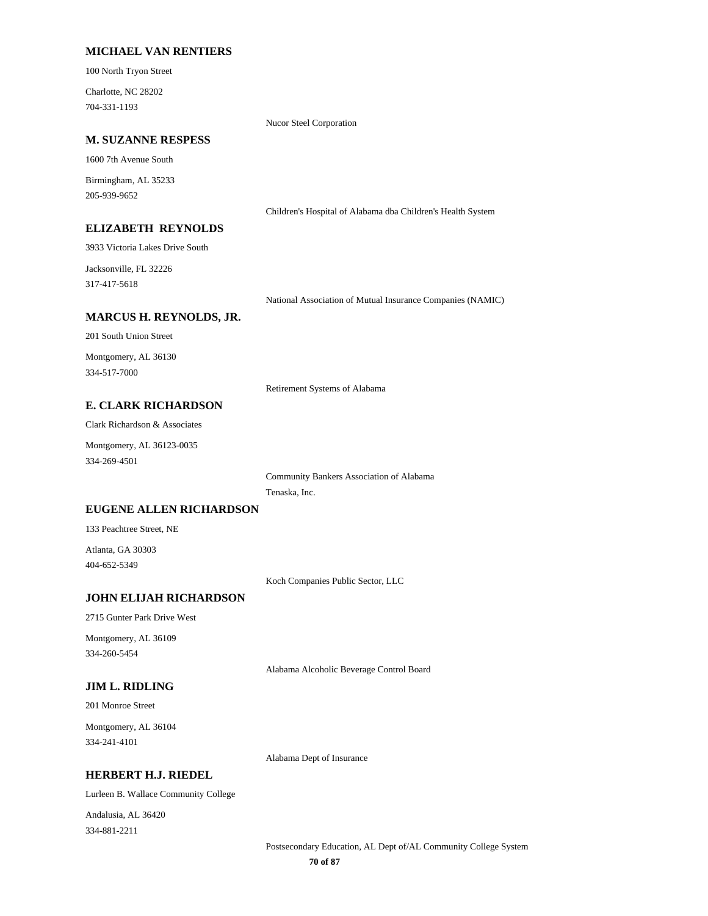### **MICHAEL VAN RENTIERS**

100 North Tryon Street

704-331-1193 Charlotte, NC 28202

Nucor Steel Corporation

### **M. SUZANNE RESPESS**

1600 7th Avenue South

205-939-9652 Birmingham, AL 35233

Children's Hospital of Alabama dba Children's Health System

## **ELIZABETH REYNOLDS**

3933 Victoria Lakes Drive South

317-417-5618 Jacksonville, FL 32226

National Association of Mutual Insurance Companies (NAMIC)

#### **MARCUS H. REYNOLDS, JR.**

201 South Union Street

334-517-7000 Montgomery, AL 36130

Retirement Systems of Alabama

## **E. CLARK RICHARDSON**

Clark Richardson & Associates

334-269-4501 Montgomery, AL 36123-0035

> Tenaska, Inc. Community Bankers Association of Alabama

#### **EUGENE ALLEN RICHARDSON**

133 Peachtree Street, NE

404-652-5349 Atlanta, GA 30303

Koch Companies Public Sector, LLC

#### **JOHN ELIJAH RICHARDSON**

2715 Gunter Park Drive West

334-260-5454 Montgomery, AL 36109

Alabama Alcoholic Beverage Control Board

### **JIM L. RIDLING**

201 Monroe Street

334-241-4101 Montgomery, AL 36104

Alabama Dept of Insurance

#### **HERBERT H.J. RIEDEL**

Lurleen B. Wallace Community College

334-881-2211 Andalusia, AL 36420

> **70 of 87** Postsecondary Education, AL Dept of/AL Community College System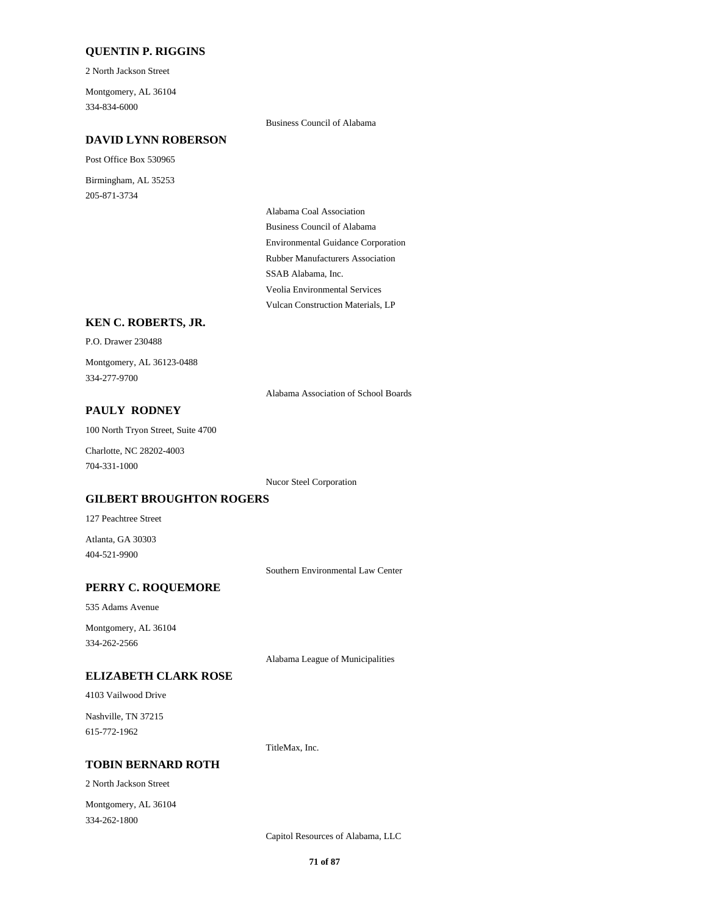## **QUENTIN P. RIGGINS**

2 North Jackson Street

334-834-6000 Montgomery, AL 36104

Business Council of Alabama

### **DAVID LYNN ROBERSON**

Post Office Box 530965

205-871-3734 Birmingham, AL 35253

> Environmental Guidance Corporation Business Council of Alabama Alabama Coal Association Rubber Manufacturers Association Vulcan Construction Materials, LP Veolia Environmental Services SSAB Alabama, Inc.

## **KEN C. ROBERTS, JR.**

P.O. Drawer 230488

334-277-9700 Montgomery, AL 36123-0488

Alabama Association of School Boards

## **PAULY RODNEY**

100 North Tryon Street, Suite 4700

704-331-1000 Charlotte, NC 28202-4003

Nucor Steel Corporation

## **GILBERT BROUGHTON ROGERS**

127 Peachtree Street

404-521-9900 Atlanta, GA 30303

Southern Environmental Law Center

#### **PERRY C. ROQUEMORE**

535 Adams Avenue

334-262-2566 Montgomery, AL 36104

Alabama League of Municipalities

## **ELIZABETH CLARK ROSE**

4103 Vailwood Drive

615-772-1962 Nashville, TN 37215

TitleMax, Inc.

### **TOBIN BERNARD ROTH**

2 North Jackson Street

334-262-1800 Montgomery, AL 36104

Capitol Resources of Alabama, LLC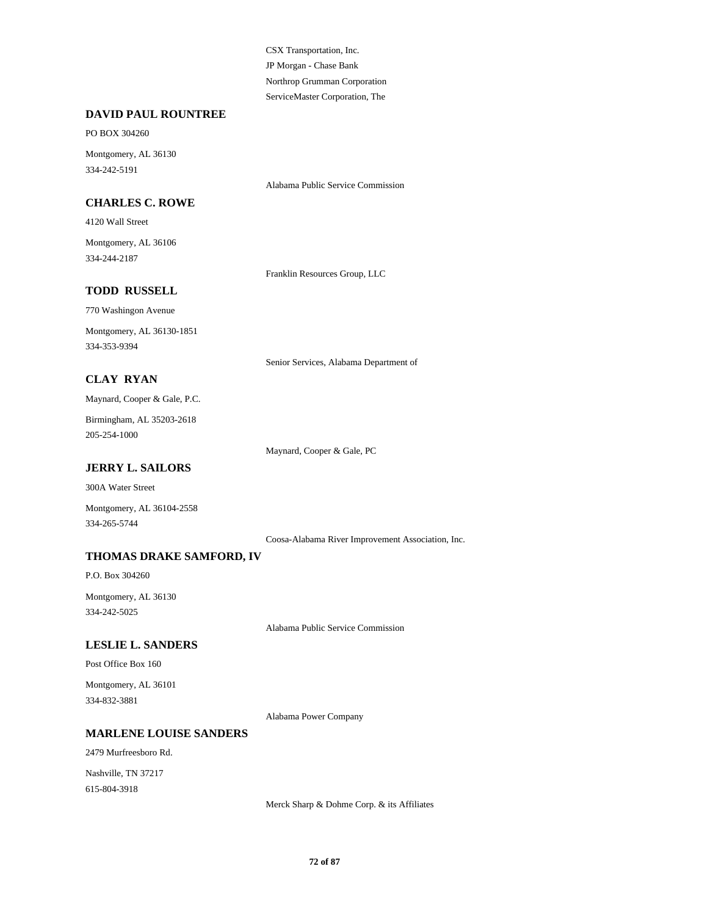JP Morgan - Chase Bank CSX Transportation, Inc. ServiceMaster Corporation, The Northrop Grumman Corporation

### **DAVID PAUL ROUNTREE**

#### PO BOX 304260

334-242-5191 Montgomery, AL 36130

#### **CHARLES C. ROWE**

Alabama Public Service Commission

# 334-244-2187 Montgomery, AL 36106

4120 Wall Street

Franklin Resources Group, LLC

## **TODD RUSSELL**

770 Washingon Avenue

334-353-9394 Montgomery, AL 36130-1851

Senior Services, Alabama Department of

## **CLAY RYAN**

Maynard, Cooper & Gale, P.C.

205-254-1000 Birmingham, AL 35203-2618

Maynard, Cooper & Gale, PC

## **JERRY L. SAILORS**

300A Water Street

334-265-5744 Montgomery, AL 36104-2558

Coosa-Alabama River Improvement Association, Inc.

### **THOMAS DRAKE SAMFORD, IV**

P.O. Box 304260

334-242-5025 Montgomery, AL 36130

Alabama Public Service Commission

### **LESLIE L. SANDERS**

Post Office Box 160

334-832-3881 Montgomery, AL 36101

Alabama Power Company

#### **MARLENE LOUISE SANDERS**

2479 Murfreesboro Rd.

615-804-3918 Nashville, TN 37217

Merck Sharp & Dohme Corp. & its Affiliates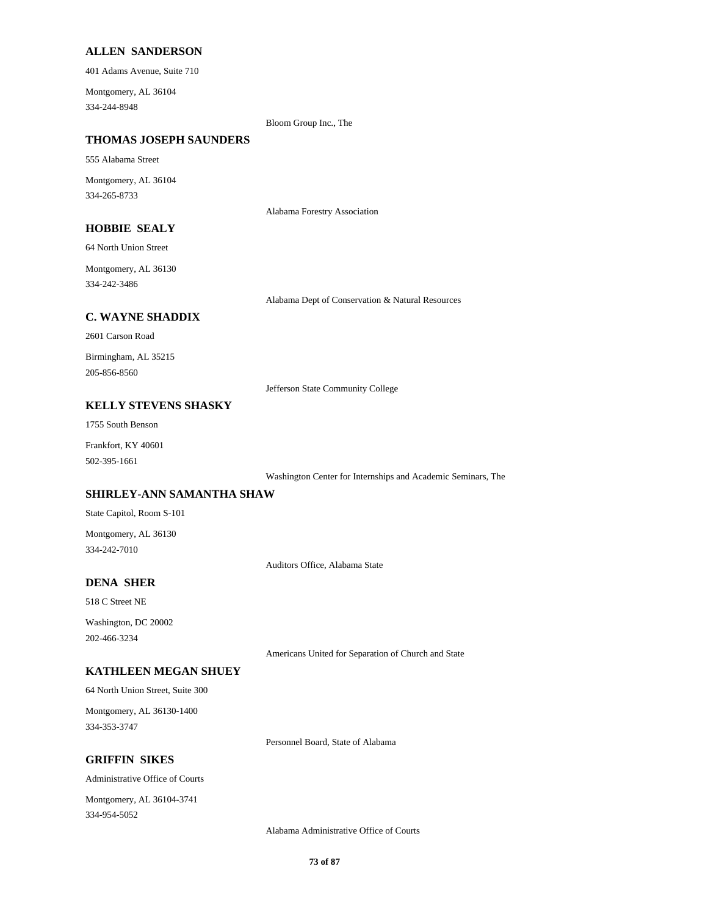#### **ALLEN SANDERSON**

401 Adams Avenue, Suite 710

334-244-8948 Montgomery, AL 36104

Bloom Group Inc., The

#### **THOMAS JOSEPH SAUNDERS**

555 Alabama Street

334-265-8733 Montgomery, AL 36104

Alabama Forestry Association

#### **HOBBIE SEALY**

64 North Union Street

334-242-3486 Montgomery, AL 36130

Alabama Dept of Conservation & Natural Resources

#### **C. WAYNE SHADDIX**

2601 Carson Road

205-856-8560 Birmingham, AL 35215

Jefferson State Community College

# **KELLY STEVENS SHASKY**

1755 South Benson

502-395-1661 Frankfort, KY 40601

Washington Center for Internships and Academic Seminars, The

## **SHIRLEY-ANN SAMANTHA SHAW**

State Capitol, Room S-101

334-242-7010 Montgomery, AL 36130

Auditors Office, Alabama State

## **DENA SHER**

518 C Street NE

202-466-3234 Washington, DC 20002

Americans United for Separation of Church and State

# **KATHLEEN MEGAN SHUEY**

64 North Union Street, Suite 300

334-353-3747 Montgomery, AL 36130-1400

Personnel Board, State of Alabama

## **GRIFFIN SIKES**

Administrative Office of Courts

334-954-5052 Montgomery, AL 36104-3741

Alabama Administrative Office of Courts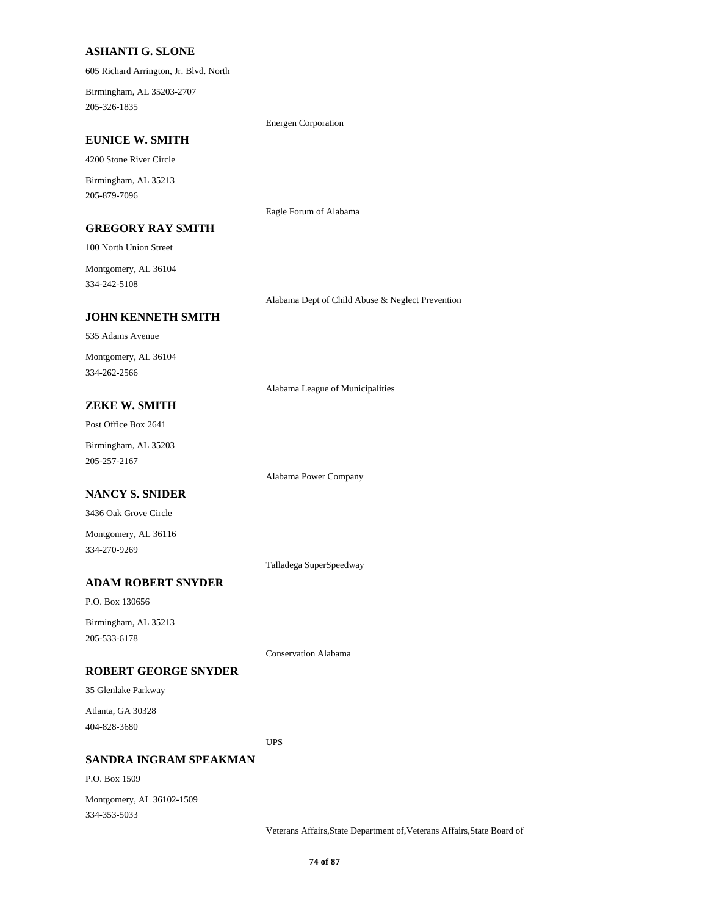#### **ASHANTI G. SLONE**

605 Richard Arrington, Jr. Blvd. North

205-326-1835 Birmingham, AL 35203-2707

Energen Corporation

Eagle Forum of Alabama

#### **EUNICE W. SMITH**

4200 Stone River Circle

205-879-7096 Birmingham, AL 35213

## **GREGORY RAY SMITH**

100 North Union Street

334-242-5108 Montgomery, AL 36104

Alabama Dept of Child Abuse & Neglect Prevention

# **JOHN KENNETH SMITH**

535 Adams Avenue

334-262-2566 Montgomery, AL 36104

Alabama League of Municipalities

# **ZEKE W. SMITH**

Post Office Box 2641

205-257-2167 Birmingham, AL 35203

Alabama Power Company

# **NANCY S. SNIDER**

3436 Oak Grove Circle

334-270-9269 Montgomery, AL 36116

Talladega SuperSpeedway

# **ADAM ROBERT SNYDER**

P.O. Box 130656

205-533-6178 Birmingham, AL 35213

Conservation Alabama

## **ROBERT GEORGE SNYDER**

35 Glenlake Parkway

404-828-3680 Atlanta, GA 30328

UPS

#### **SANDRA INGRAM SPEAKMAN**

P.O. Box 1509

334-353-5033 Montgomery, AL 36102-1509

Veterans Affairs,State Department of,Veterans Affairs,State Board of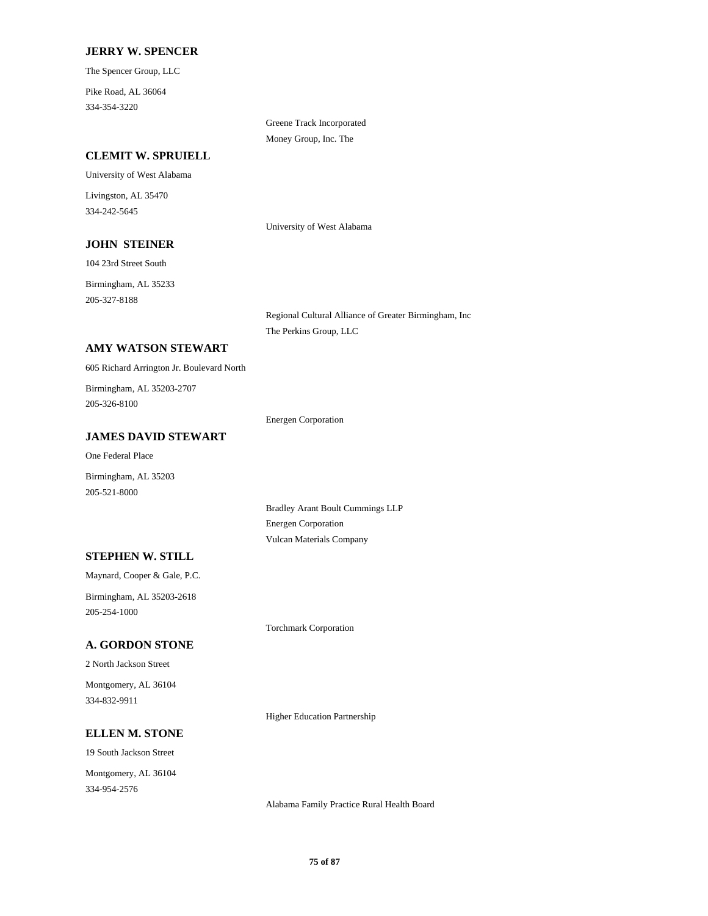#### **JERRY W. SPENCER**

The Spencer Group, LLC

334-354-3220 Pike Road, AL 36064

> Greene Track Incorporated Money Group, Inc. The

#### **CLEMIT W. SPRUIELL**

# University of West Alabama 334-242-5645 Livingston, AL 35470

University of West Alabama

# 104 23rd Street South **JOHN STEINER**

Birmingham, AL 35233

205-327-8188

Regional Cultural Alliance of Greater Birmingham, Inc The Perkins Group, LLC

## **AMY WATSON STEWART**

605 Richard Arrington Jr. Boulevard North

205-326-8100 Birmingham, AL 35203-2707

Energen Corporation

#### **JAMES DAVID STEWART**

One Federal Place

Birmingham, AL 35203 205-521-8000

> Bradley Arant Boult Cummings LLP Energen Corporation Vulcan Materials Company

# **STEPHEN W. STILL**

Maynard, Cooper & Gale, P.C. Birmingham, AL 35203-2618

205-254-1000

#### **A. GORDON STONE**

2 North Jackson Street 334-832-9911 Montgomery, AL 36104 Torchmark Corporation

Higher Education Partnership

## **ELLEN M. STONE**

19 South Jackson Street

334-954-2576 Montgomery, AL 36104

Alabama Family Practice Rural Health Board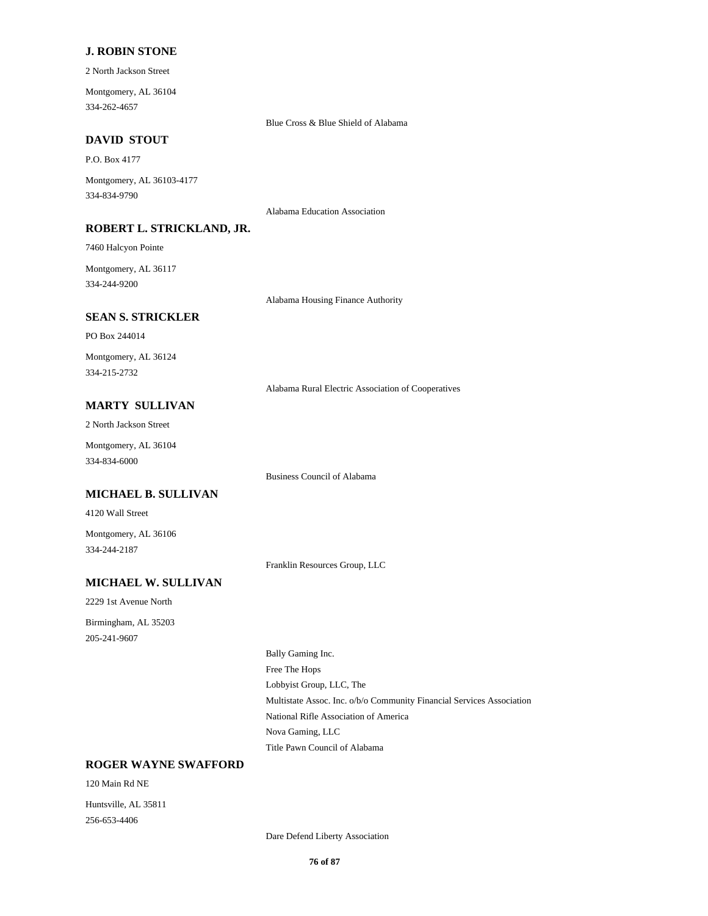#### **J. ROBIN STONE**

2 North Jackson Street

334-262-4657 Montgomery, AL 36104

Blue Cross & Blue Shield of Alabama

Alabama Education Association

#### **DAVID STOUT**

P.O. Box 4177

334-834-9790 Montgomery, AL 36103-4177

**ROBERT L. STRICKLAND, JR.**

7460 Halcyon Pointe

334-244-9200 Montgomery, AL 36117

Alabama Housing Finance Authority

#### **SEAN S. STRICKLER**

PO Box 244014

334-215-2732 Montgomery, AL 36124

Alabama Rural Electric Association of Cooperatives

# **MARTY SULLIVAN**

2 North Jackson Street

334-834-6000 Montgomery, AL 36104

**MICHAEL B. SULLIVAN**

4120 Wall Street

334-244-2187 Montgomery, AL 36106

Franklin Resources Group, LLC

Business Council of Alabama

# **MICHAEL W. SULLIVAN**

2229 1st Avenue North 205-241-9607 Birmingham, AL 35203

Lobbyist Group, LLC, The Free The Hops Bally Gaming Inc. Multistate Assoc. Inc. o/b/o Community Financial Services Association Title Pawn Council of Alabama Nova Gaming, LLC National Rifle Association of America

#### **ROGER WAYNE SWAFFORD**

120 Main Rd NE 256-653-4406 Huntsville, AL 35811

Dare Defend Liberty Association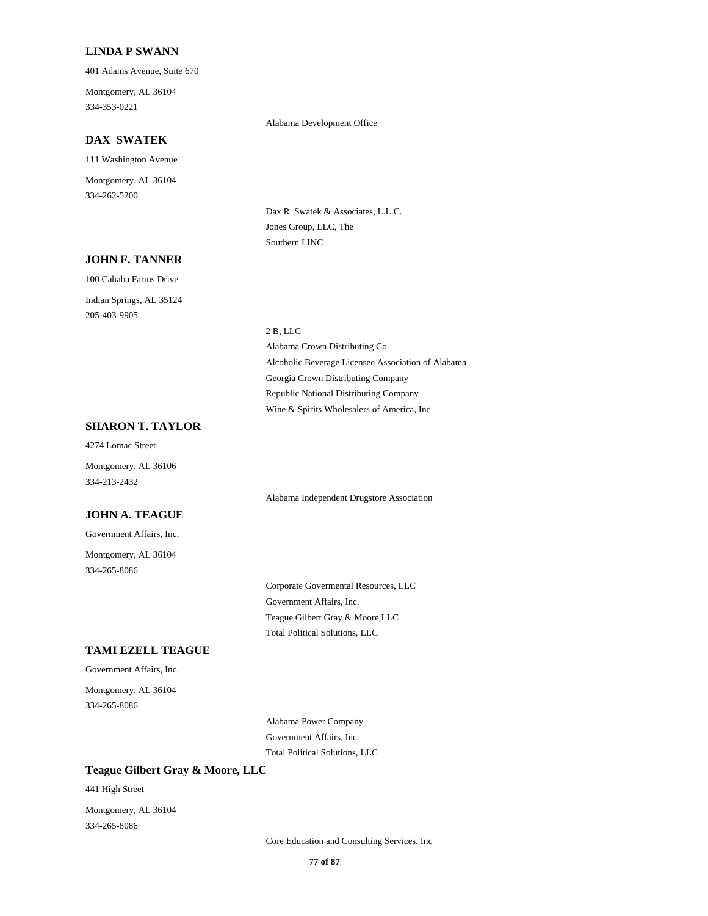#### **LINDA P SWANN**

401 Adams Avenue, Suite 670

334-353-0221 Montgomery, AL 36104

#### **DAX SWATEK**

111 Washington Avenue 334-262-5200 Montgomery, AL 36104

#### **JOHN F. TANNER**

100 Cahaba Farms Drive 205-403-9905 Indian Springs, AL 35124

#### Alabama Development Office

Dax R. Swatek & Associates, L.L.C. Jones Group, LLC, The Southern LINC

#### 2 B, LLC

Alcoholic Beverage Licensee Association of Alabama Alabama Crown Distributing Co. Wine & Spirits Wholesalers of America, Inc Republic National Distributing Company Georgia Crown Distributing Company

## **SHARON T. TAYLOR**

4274 Lomac Street

334-213-2432 Montgomery, AL 36106

#### **JOHN A. TEAGUE**

Government Affairs, Inc.

334-265-8086 Montgomery, AL 36104 Alabama Independent Drugstore Association

Government Affairs, Inc. Corporate Govermental Resources, LLC Total Political Solutions, LLC Teague Gilbert Gray & Moore,LLC

#### **TAMI EZELL TEAGUE**

Government Affairs, Inc.

334-265-8086 Montgomery, AL 36104

> Alabama Power Company Government Affairs, Inc. Total Political Solutions, LLC

#### **Teague Gilbert Gray & Moore, LLC**

441 High Street

334-265-8086 Montgomery, AL 36104

Core Education and Consulting Services, Inc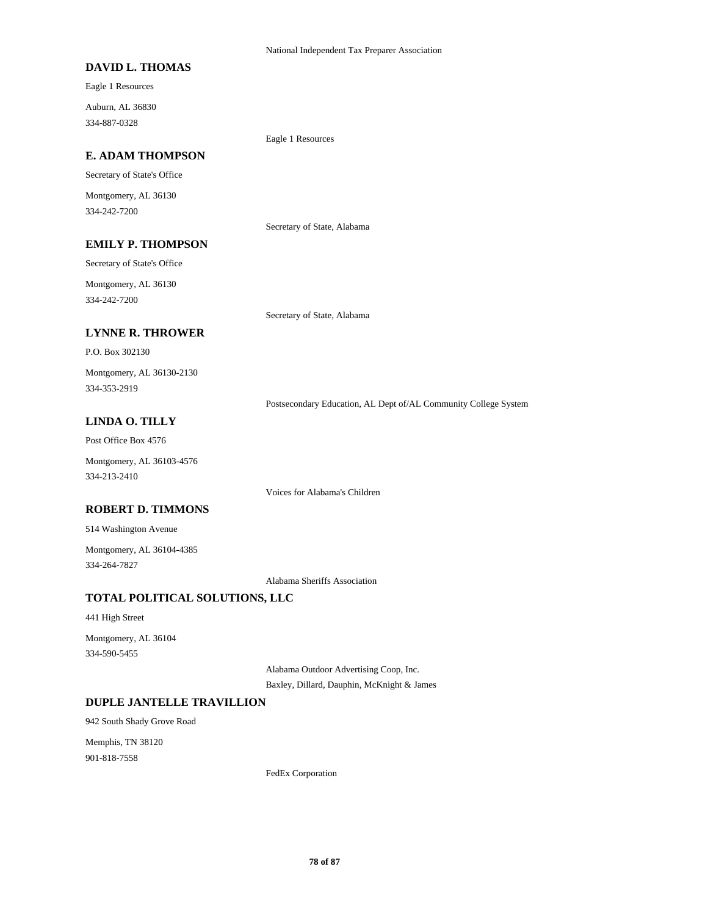#### **DAVID L. THOMAS**

Eagle 1 Resources 334-887-0328 Auburn, AL 36830

Eagle 1 Resources

## **E. ADAM THOMPSON**

Secretary of State's Office

334-242-7200 Montgomery, AL 36130

Secretary of State, Alabama

#### **EMILY P. THOMPSON**

Secretary of State's Office

334-242-7200 Montgomery, AL 36130

Secretary of State, Alabama

# **LYNNE R. THROWER**

P.O. Box 302130

334-353-2919 Montgomery, AL 36130-2130

Postsecondary Education, AL Dept of/AL Community College System

## **LINDA O. TILLY**

Post Office Box 4576

334-213-2410 Montgomery, AL 36103-4576

Voices for Alabama's Children

#### **ROBERT D. TIMMONS**

514 Washington Avenue

334-264-7827 Montgomery, AL 36104-4385

Alabama Sheriffs Association

## **TOTAL POLITICAL SOLUTIONS, LLC**

441 High Street

334-590-5455 Montgomery, AL 36104

Alabama Outdoor Advertising Coop, Inc.

Baxley, Dillard, Dauphin, McKnight & James

#### **DUPLE JANTELLE TRAVILLION**

942 South Shady Grove Road

901-818-7558 Memphis, TN 38120

FedEx Corporation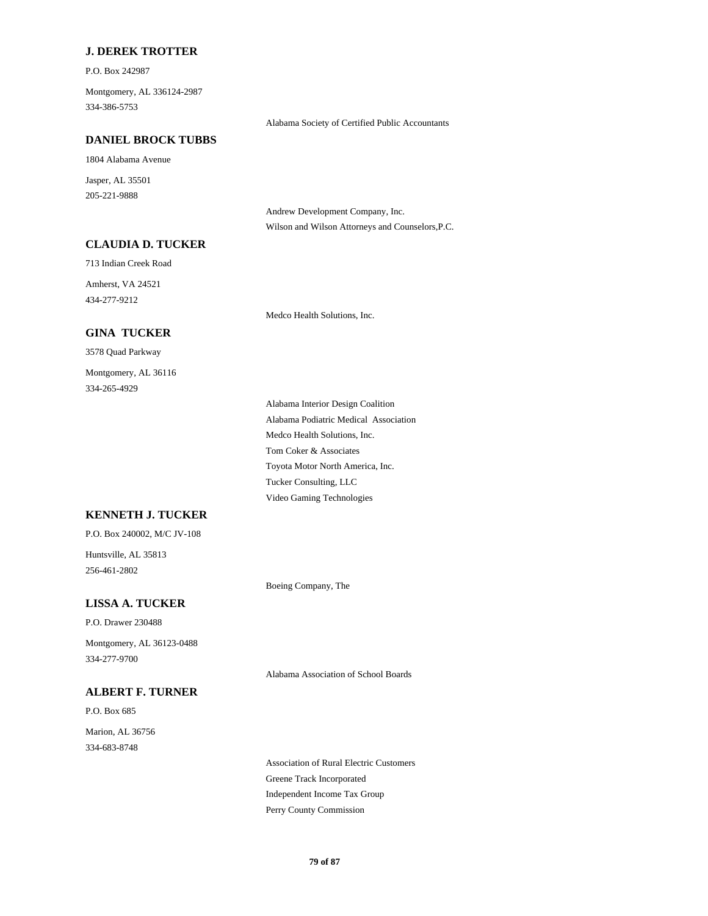## **J. DEREK TROTTER**

P.O. Box 242987

334-386-5753 Montgomery, AL 336124-2987

Alabama Society of Certified Public Accountants

#### **DANIEL BROCK TUBBS**

1804 Alabama Avenue

205-221-9888 Jasper, AL 35501

> Andrew Development Company, Inc. Wilson and Wilson Attorneys and Counselors,P.C.

## **CLAUDIA D. TUCKER**

713 Indian Creek Road

434-277-9212 Amherst, VA 24521

## **GINA TUCKER**

3578 Quad Parkway

334-265-4929 Montgomery, AL 36116 Medco Health Solutions, Inc.

Tucker Consulting, LLC Video Gaming Technologies Alabama Podiatric Medical Association Alabama Interior Design Coalition Medco Health Solutions, Inc. Toyota Motor North America, Inc. Tom Coker & Associates

## **KENNETH J. TUCKER**

P.O. Box 240002, M/C JV-108

256-461-2802 Huntsville, AL 35813

Boeing Company, The

# **LISSA A. TUCKER**

P.O. Drawer 230488

334-277-9700 Montgomery, AL 36123-0488

# **ALBERT F. TURNER**

P.O. Box 685 334-683-8748 Marion, AL 36756 Alabama Association of School Boards

Greene Track Incorporated Association of Rural Electric Customers Perry County Commission Independent Income Tax Group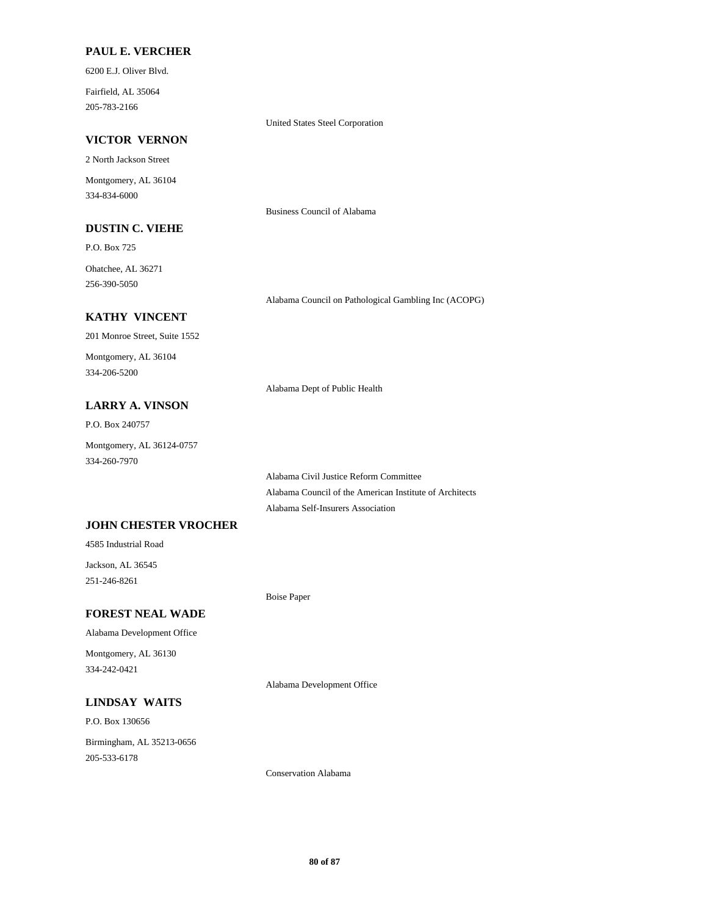#### **PAUL E. VERCHER**

6200 E.J. Oliver Blvd.

205-783-2166 Fairfield, AL 35064

United States Steel Corporation

Business Council of Alabama

#### **VICTOR VERNON**

2 North Jackson Street

334-834-6000 Montgomery, AL 36104

## **DUSTIN C. VIEHE**

P.O. Box 725 Ohatchee, AL 36271

256-390-5050

Alabama Council on Pathological Gambling Inc (ACOPG)

## **KATHY VINCENT**

201 Monroe Street, Suite 1552

334-206-5200 Montgomery, AL 36104

Alabama Dept of Public Health

# **LARRY A. VINSON**

P.O. Box 240757

334-260-7970 Montgomery, AL 36124-0757

> Alabama Civil Justice Reform Committee Alabama Council of the American Institute of Architects Alabama Self-Insurers Association

## **JOHN CHESTER VROCHER**

4585 Industrial Road

251-246-8261 Jackson, AL 36545

Boise Paper

## **FOREST NEAL WADE**

#### Alabama Development Office

334-242-0421 Montgomery, AL 36130

Alabama Development Office

## **LINDSAY WAITS**

P.O. Box 130656

205-533-6178 Birmingham, AL 35213-0656

Conservation Alabama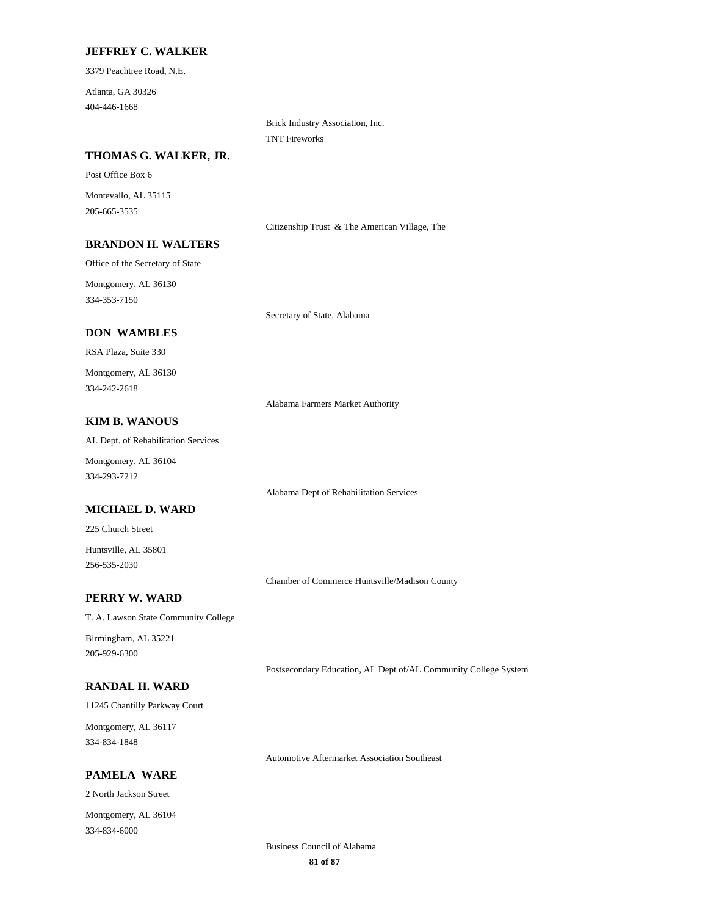#### **JEFFREY C. WALKER**

3379 Peachtree Road, N.E.

404-446-1668 Atlanta, GA 30326

> Brick Industry Association, Inc. TNT Fireworks

## **THOMAS G. WALKER, JR.**

Post Office Box 6

205-665-3535 Montevallo, AL 35115

Citizenship Trust & The American Village, The

## **BRANDON H. WALTERS**

Office of the Secretary of State

334-353-7150 Montgomery, AL 36130

#### **DON WAMBLES**

RSA Plaza, Suite 330

334-242-2618 Montgomery, AL 36130

Alabama Farmers Market Authority

Secretary of State, Alabama

## **KIM B. WANOUS**

AL Dept. of Rehabilitation Services

334-293-7212 Montgomery, AL 36104

Alabama Dept of Rehabilitation Services

#### **MICHAEL D. WARD**

225 Church Street

256-535-2030 Huntsville, AL 35801

Chamber of Commerce Huntsville/Madison County

# **PERRY W. WARD**

T. A. Lawson State Community College

205-929-6300 Birmingham, AL 35221

#### **RANDAL H. WARD**

Postsecondary Education, AL Dept of/AL Community College System

#### 11245 Chantilly Parkway Court

334-834-1848 Montgomery, AL 36117

Automotive Aftermarket Association Southeast

## **PAMELA WARE**

2 North Jackson Street

334-834-6000 Montgomery, AL 36104

> **81 of 87** Business Council of Alabama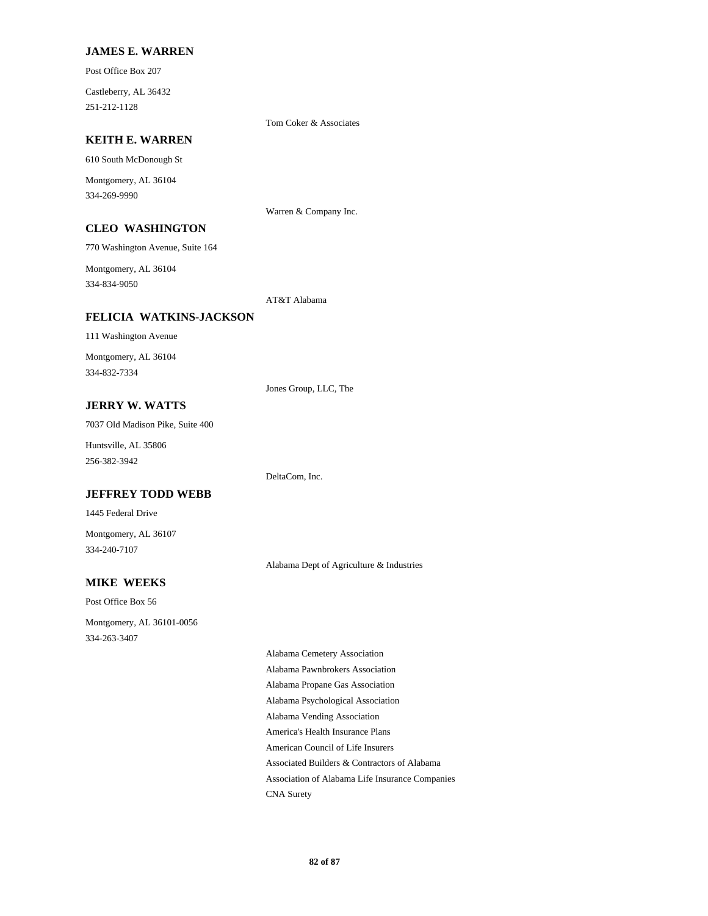#### **JAMES E. WARREN**

Post Office Box 207

251-212-1128 Castleberry, AL 36432

Tom Coker & Associates

## **KEITH E. WARREN**

610 South McDonough St

334-269-9990 Montgomery, AL 36104

Warren & Company Inc.

## **CLEO WASHINGTON**

770 Washington Avenue, Suite 164

334-834-9050 Montgomery, AL 36104

AT&T Alabama

## **FELICIA WATKINS-JACKSON**

111 Washington Avenue

334-832-7334 Montgomery, AL 36104

Jones Group, LLC, The

DeltaCom, Inc.

# **JERRY W. WATTS**

7037 Old Madison Pike, Suite 400

256-382-3942 Huntsville, AL 35806

#### **JEFFREY TODD WEBB**

1445 Federal Drive

334-240-7107 Montgomery, AL 36107

Alabama Dept of Agriculture & Industries

# **MIKE WEEKS**

Post Office Box 56 334-263-3407 Montgomery, AL 36101-0056

> Alabama Psychological Association Alabama Vending Association Alabama Propane Gas Association Alabama Cemetery Association Alabama Pawnbrokers Association Association of Alabama Life Insurance Companies CNA Surety Associated Builders & Contractors of Alabama America's Health Insurance Plans American Council of Life Insurers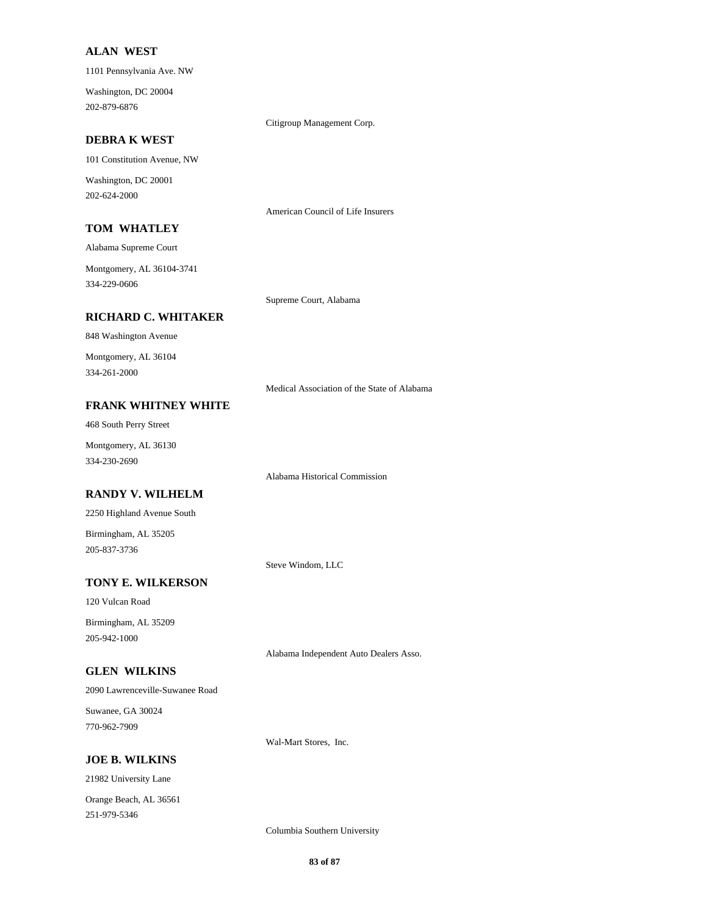#### **ALAN WEST**

1101 Pennsylvania Ave. NW

202-879-6876 Washington, DC 20004

Citigroup Management Corp.

#### **DEBRA K WEST**

101 Constitution Avenue, NW

202-624-2000 Washington, DC 20001

American Council of Life Insurers

Supreme Court, Alabama

## **TOM WHATLEY**

Alabama Supreme Court

334-229-0606 Montgomery, AL 36104-3741

## **RICHARD C. WHITAKER**

848 Washington Avenue

334-261-2000 Montgomery, AL 36104

Medical Association of the State of Alabama

# **FRANK WHITNEY WHITE**

468 South Perry Street

334-230-2690 Montgomery, AL 36130

Alabama Historical Commission

# **RANDY V. WILHELM**

2250 Highland Avenue South

205-837-3736 Birmingham, AL 35205

Steve Windom, LLC

## **TONY E. WILKERSON**

120 Vulcan Road

205-942-1000 Birmingham, AL 35209

Alabama Independent Auto Dealers Asso.

# **GLEN WILKINS**

2090 Lawrenceville-Suwanee Road

770-962-7909 Suwanee, GA 30024

Wal-Mart Stores, Inc.

## **JOE B. WILKINS**

21982 University Lane

251-979-5346 Orange Beach, AL 36561

Columbia Southern University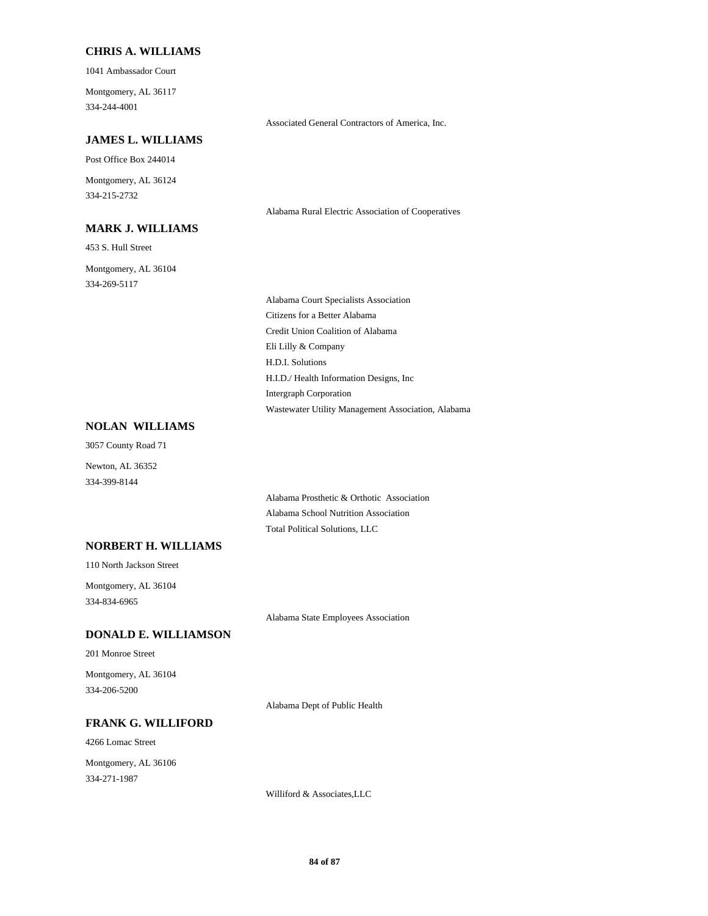## **CHRIS A. WILLIAMS**

1041 Ambassador Court

334-244-4001 Montgomery, AL 36117

Associated General Contractors of America, Inc.

## **JAMES L. WILLIAMS**

Post Office Box 244014

334-215-2732 Montgomery, AL 36124

#### **MARK J. WILLIAMS**

453 S. Hull Street

334-269-5117 Montgomery, AL 36104 Alabama Rural Electric Association of Cooperatives

Credit Union Coalition of Alabama Eli Lilly & Company Alabama Court Specialists Association Citizens for a Better Alabama Intergraph Corporation Wastewater Utility Management Association, Alabama H.D.I. Solutions H.I.D./ Health Information Designs, Inc

## **NOLAN WILLIAMS**

334-399-8144 Newton, AL 36352 3057 County Road 71

> Alabama Prosthetic & Orthotic Association Alabama School Nutrition Association Total Political Solutions, LLC

## **NORBERT H. WILLIAMS**

110 North Jackson Street

334-834-6965 Montgomery, AL 36104

Alabama State Employees Association

## **DONALD E. WILLIAMSON**

201 Monroe Street

334-206-5200 Montgomery, AL 36104

Alabama Dept of Public Health

# **FRANK G. WILLIFORD**

4266 Lomac Street

334-271-1987 Montgomery, AL 36106

Williford & Associates,LLC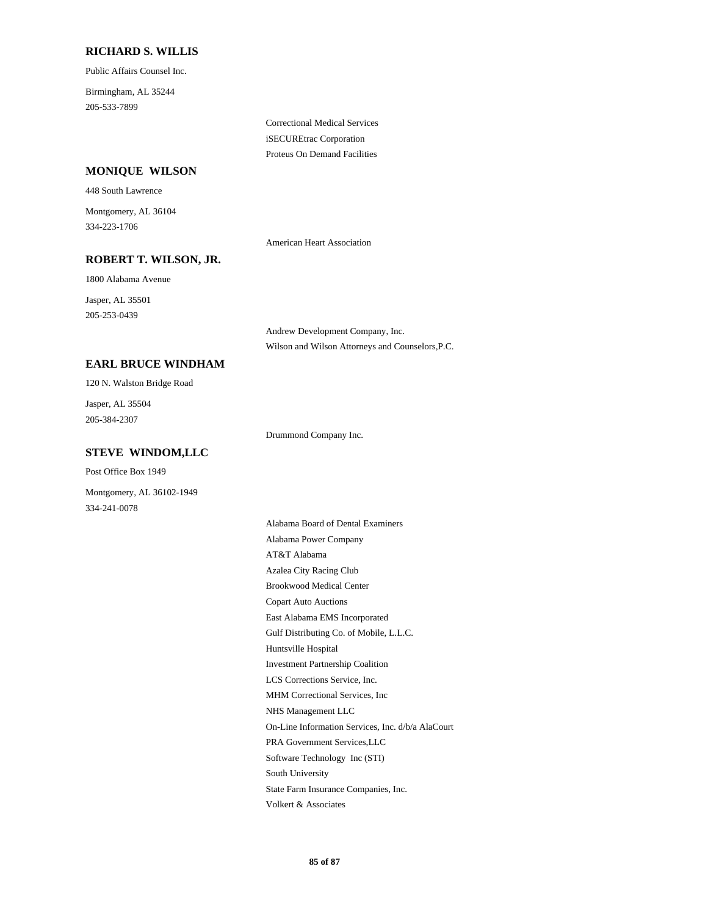#### **RICHARD S. WILLIS**

Public Affairs Counsel Inc.

205-533-7899 Birmingham, AL 35244

> Correctional Medical Services iSECUREtrac Corporation Proteus On Demand Facilities

## **MONIQUE WILSON**

448 South Lawrence

334-223-1706 Montgomery, AL 36104

American Heart Association

# **ROBERT T. WILSON, JR.**

1800 Alabama Avenue

205-253-0439 Jasper, AL 35501

> Andrew Development Company, Inc. Wilson and Wilson Attorneys and Counselors,P.C.

# **EARL BRUCE WINDHAM**

120 N. Walston Bridge Road

205-384-2307 Jasper, AL 35504

Drummond Company Inc.

## **STEVE WINDOM,LLC**

Post Office Box 1949

Montgomery, AL 36102-1949 334-241-0078

> East Alabama EMS Incorporated Copart Auto Auctions Huntsville Hospital Gulf Distributing Co. of Mobile, L.L.C. Brookwood Medical Center Alabama Power Company Alabama Board of Dental Examiners Azalea City Racing Club AT&T Alabama Investment Partnership Coalition South University Software Technology Inc (STI) Volkert & Associates State Farm Insurance Companies, Inc. PRA Government Services,LLC MHM Correctional Services, Inc LCS Corrections Service, Inc. On-Line Information Services, Inc. d/b/a AlaCourt NHS Management LLC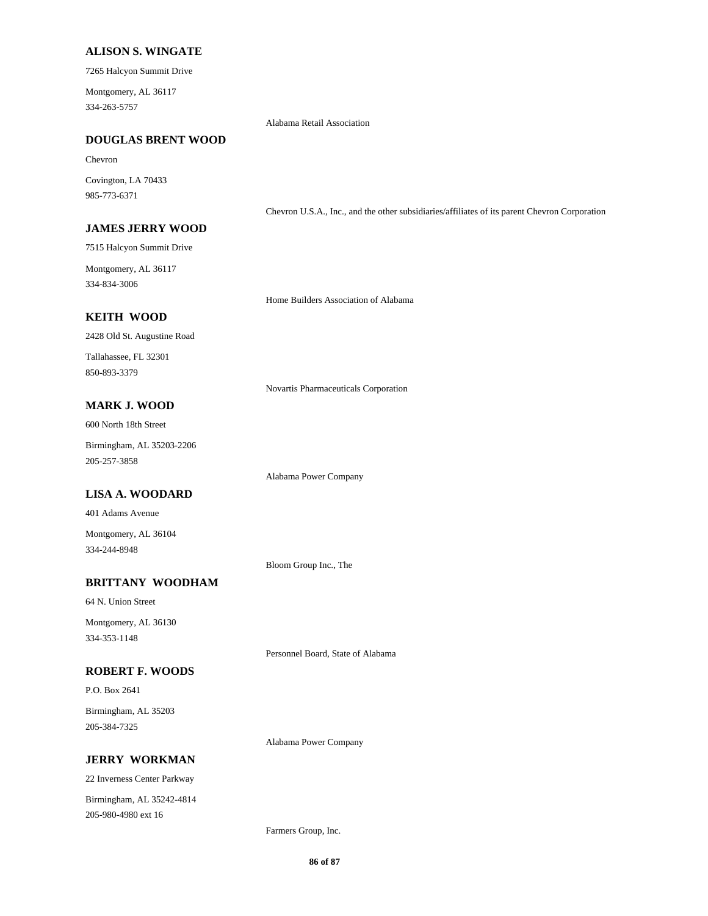#### **ALISON S. WINGATE**

7265 Halcyon Summit Drive

334-263-5757 Montgomery, AL 36117

Alabama Retail Association

#### **DOUGLAS BRENT WOOD**

#### Chevron

985-773-6371 Covington, LA 70433

#### **JAMES JERRY WOOD**

7515 Halcyon Summit Drive

334-834-3006 Montgomery, AL 36117

Home Builders Association of Alabama

Chevron U.S.A., Inc., and the other subsidiaries/affiliates of its parent Chevron Corporation

## **KEITH WOOD**

2428 Old St. Augustine Road

850-893-3379 Tallahassee, FL 32301

Novartis Pharmaceuticals Corporation

# **MARK J. WOOD**

600 North 18th Street

205-257-3858 Birmingham, AL 35203-2206

#### **LISA A. WOODARD**

401 Adams Avenue

334-244-8948 Montgomery, AL 36104

Bloom Group Inc., The

Alabama Power Company

## **BRITTANY WOODHAM**

64 N. Union Street

334-353-1148 Montgomery, AL 36130

Personnel Board, State of Alabama

# **ROBERT F. WOODS**

P.O. Box 2641

205-384-7325 Birmingham, AL 35203

Alabama Power Company

## **JERRY WORKMAN**

22 Inverness Center Parkway 205-980-4980 ext 16 Birmingham, AL 35242-4814

Farmers Group, Inc.